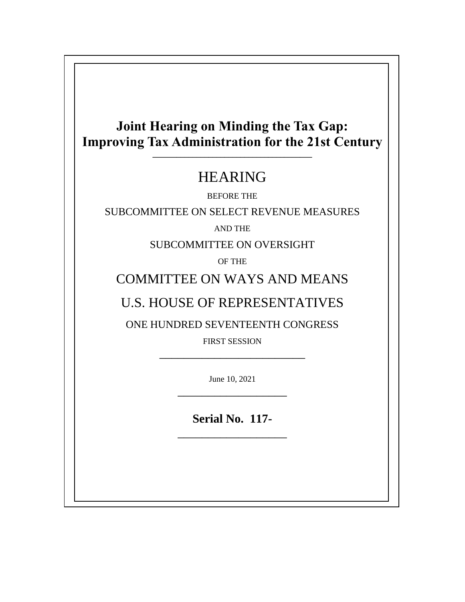### **Joint Hearing on Minding the Tax Gap: Improving Tax Administration for the 21st Century \_\_\_\_\_\_\_\_\_\_\_\_\_\_\_\_\_\_\_\_\_\_\_\_\_\_\_\_\_\_\_\_\_\_\_\_\_\_\_\_**

## HEARING

BEFORE THE

SUBCOMMITTEE ON SELECT REVENUE MEASURES

AND THE

SUBCOMMITTEE ON OVERSIGHT

OF THE

## COMMITTEE ON WAYS AND MEANS

## U.S. HOUSE OF REPRESENTATIVES

ONE HUNDRED SEVENTEENTH CONGRESS

FIRST SESSION \_\_\_\_\_\_\_\_\_\_\_\_\_\_\_\_\_\_\_\_\_\_\_\_

> June 10, 2021 \_\_\_\_\_\_\_\_\_\_\_\_\_\_\_\_\_\_

> **Serial No. 117-** \_\_\_\_\_\_\_\_\_\_\_\_\_\_\_\_\_\_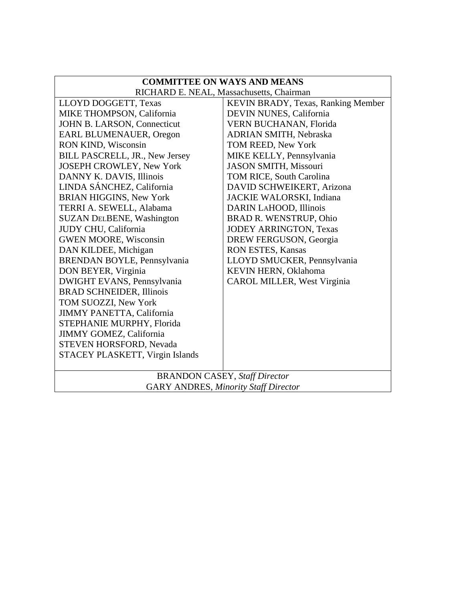| <b>COMMITTEE ON WAYS AND MEANS</b>          |                                      |  |
|---------------------------------------------|--------------------------------------|--|
| RICHARD E. NEAL, Massachusetts, Chairman    |                                      |  |
| LLOYD DOGGETT, Texas                        | KEVIN BRADY, Texas, Ranking Member   |  |
| MIKE THOMPSON, California                   | DEVIN NUNES, California              |  |
| JOHN B. LARSON, Connecticut                 | VERN BUCHANAN, Florida               |  |
| EARL BLUMENAUER, Oregon                     | <b>ADRIAN SMITH, Nebraska</b>        |  |
| RON KIND, Wisconsin                         | TOM REED, New York                   |  |
| <b>BILL PASCRELL, JR., New Jersey</b>       | MIKE KELLY, Pennsylvania             |  |
| JOSEPH CROWLEY, New York                    | <b>JASON SMITH, Missouri</b>         |  |
| DANNY K. DAVIS, Illinois                    | <b>TOM RICE, South Carolina</b>      |  |
| LINDA SÁNCHEZ, California                   | DAVID SCHWEIKERT, Arizona            |  |
| <b>BRIAN HIGGINS, New York</b>              | JACKIE WALORSKI, Indiana             |  |
| TERRI A. SEWELL, Alabama                    | DARIN LAHOOD, Illinois               |  |
| <b>SUZAN DELBENE, Washington</b>            | <b>BRAD R. WENSTRUP, Ohio</b>        |  |
| JUDY CHU, California                        | <b>JODEY ARRINGTON, Texas</b>        |  |
| <b>GWEN MOORE, Wisconsin</b>                | DREW FERGUSON, Georgia               |  |
| DAN KILDEE, Michigan                        | RON ESTES, Kansas                    |  |
| BRENDAN BOYLE, Pennsylvania                 | LLOYD SMUCKER, Pennsylvania          |  |
| DON BEYER, Virginia                         | KEVIN HERN, Oklahoma                 |  |
| DWIGHT EVANS, Pennsylvania                  | CAROL MILLER, West Virginia          |  |
| <b>BRAD SCHNEIDER, Illinois</b>             |                                      |  |
| TOM SUOZZI, New York                        |                                      |  |
| <b>JIMMY PANETTA, California</b>            |                                      |  |
| STEPHANIE MURPHY, Florida                   |                                      |  |
| <b>JIMMY GOMEZ, California</b>              |                                      |  |
| STEVEN HORSFORD, Nevada                     |                                      |  |
| STACEY PLASKETT, Virgin Islands             |                                      |  |
|                                             | <b>BRANDON CASEY, Staff Director</b> |  |
| <b>GARY ANDRES, Minority Staff Director</b> |                                      |  |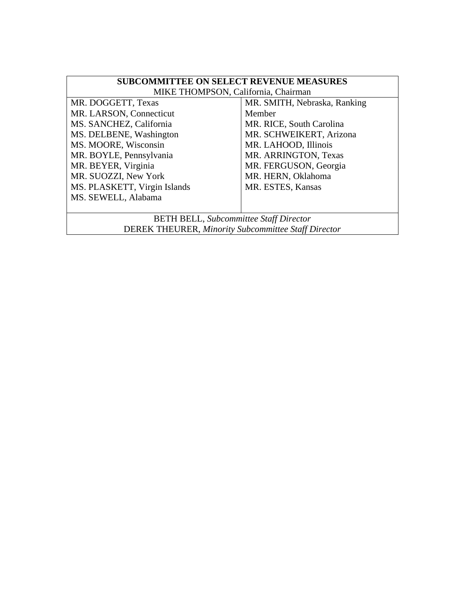| <b>SUBCOMMITTEE ON SELECT REVENUE MEASURES</b>             |                              |  |
|------------------------------------------------------------|------------------------------|--|
| MIKE THOMPSON, California, Chairman                        |                              |  |
| MR. DOGGETT, Texas                                         | MR. SMITH, Nebraska, Ranking |  |
| MR. LARSON, Connecticut                                    | Member                       |  |
| MS. SANCHEZ, California                                    | MR. RICE, South Carolina     |  |
| MS. DELBENE, Washington                                    | MR. SCHWEIKERT, Arizona      |  |
| MS. MOORE, Wisconsin                                       | MR. LAHOOD, Illinois         |  |
| MR. BOYLE, Pennsylvania                                    | MR. ARRINGTON, Texas         |  |
| MR. BEYER, Virginia                                        | MR. FERGUSON, Georgia        |  |
| MR. SUOZZI, New York                                       | MR. HERN, Oklahoma           |  |
| MS. PLASKETT, Virgin Islands                               | MR. ESTES, Kansas            |  |
| MS. SEWELL, Alabama                                        |                              |  |
|                                                            |                              |  |
| <b>BETH BELL, Subcommittee Staff Director</b>              |                              |  |
| <b>DEREK THEURER, Minority Subcommittee Staff Director</b> |                              |  |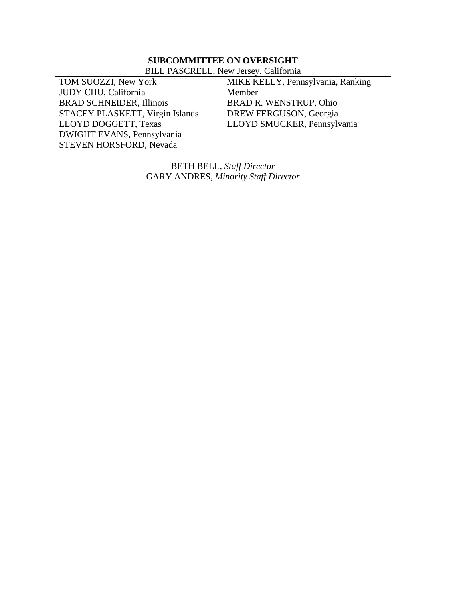| <b>SUBCOMMITTEE ON OVERSIGHT</b>            |                                   |  |
|---------------------------------------------|-----------------------------------|--|
| BILL PASCRELL, New Jersey, California       |                                   |  |
| TOM SUOZZI, New York                        | MIKE KELLY, Pennsylvania, Ranking |  |
| JUDY CHU, California                        | Member                            |  |
| <b>BRAD SCHNEIDER, Illinois</b>             | <b>BRAD R. WENSTRUP, Ohio</b>     |  |
| STACEY PLASKETT, Virgin Islands             | DREW FERGUSON, Georgia            |  |
| LLOYD DOGGETT, Texas                        | LLOYD SMUCKER, Pennsylvania       |  |
| DWIGHT EVANS, Pennsylvania                  |                                   |  |
| STEVEN HORSFORD, Nevada                     |                                   |  |
|                                             |                                   |  |
| <b>BETH BELL, Staff Director</b>            |                                   |  |
| <b>GARY ANDRES, Minority Staff Director</b> |                                   |  |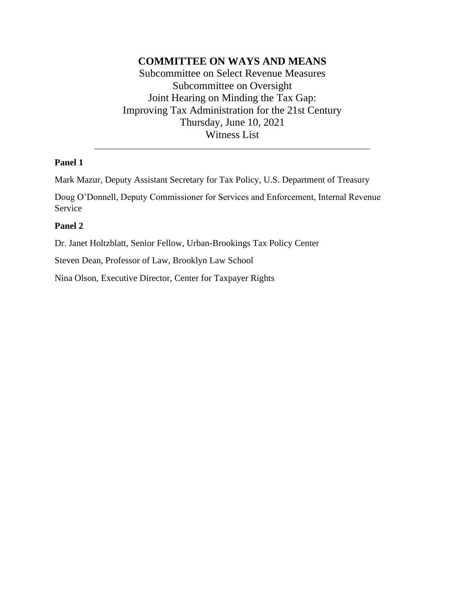#### **COMMITTEE ON WAYS AND MEANS**

Subcommittee on Select Revenue Measures Subcommittee on Oversight Joint Hearing on Minding the Tax Gap: Improving Tax Administration for the 21st Century Thursday, June 10, 2021 Witness List

\_\_\_\_\_\_\_\_\_\_\_\_\_\_\_\_\_\_\_\_\_\_\_\_\_\_\_\_\_\_\_\_\_\_\_\_\_\_\_\_\_\_\_\_\_\_\_\_\_\_\_\_\_\_\_\_\_\_\_\_\_\_\_\_\_\_

#### **Panel 1**

Mark Mazur, Deputy Assistant Secretary for Tax Policy, U.S. Department of Treasury

Doug O'Donnell, Deputy Commissioner for Services and Enforcement, Internal Revenue Service

#### **Panel 2**

Dr. Janet Holtzblatt, Senior Fellow, Urban-Brookings Tax Policy Center

Steven Dean, Professor of Law, Brooklyn Law School

Nina Olson, Executive Director, Center for Taxpayer Rights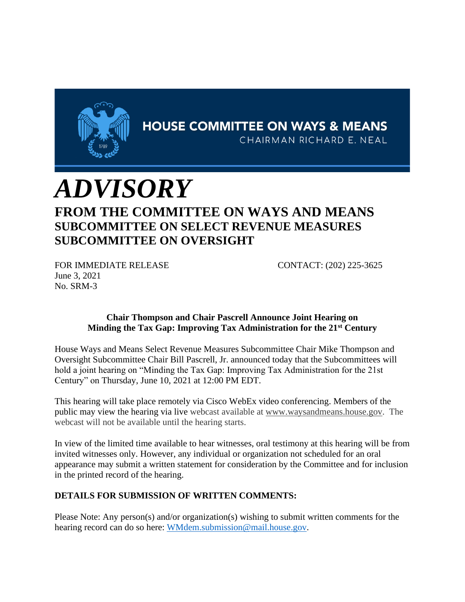

**HOUSE COMMITTEE ON WAYS & MEANS** 

CHAIRMAN RICHARD E. NEAL

# *ADVISORY* **FROM THE COMMITTEE ON WAYS AND MEANS SUBCOMMITTEE ON SELECT REVENUE MEASURES SUBCOMMITTEE ON OVERSIGHT**

FOR IMMEDIATE RELEASE CONTACT: (202) 225-3625 June 3, 2021 No. SRM-3

#### **Chair Thompson and Chair Pascrell Announce Joint Hearing on Minding the Tax Gap: Improving Tax Administration for the 21st Century**

House Ways and Means Select Revenue Measures Subcommittee Chair Mike Thompson and Oversight Subcommittee Chair Bill Pascrell, Jr. announced today that the Subcommittees will hold a joint hearing on "Minding the Tax Gap: Improving Tax Administration for the 21st Century" on Thursday, June 10, 2021 at 12:00 PM EDT.

This hearing will take place remotely via Cisco WebEx video conferencing. Members of the public may view the hearing via live webcast available at [www.waysandmeans.house.gov.](http://www.waysandmeans.house.gov/) The webcast will not be available until the hearing starts.

In view of the limited time available to hear witnesses, oral testimony at this hearing will be from invited witnesses only. However, any individual or organization not scheduled for an oral appearance may submit a written statement for consideration by the Committee and for inclusion in the printed record of the hearing.

#### **DETAILS FOR SUBMISSION OF WRITTEN COMMENTS:**

Please Note: Any person(s) and/or organization(s) wishing to submit written comments for the hearing record can do so here: [WMdem.submission@mail.house.gov.](mailto:WMdem.submission@mail.house.gov)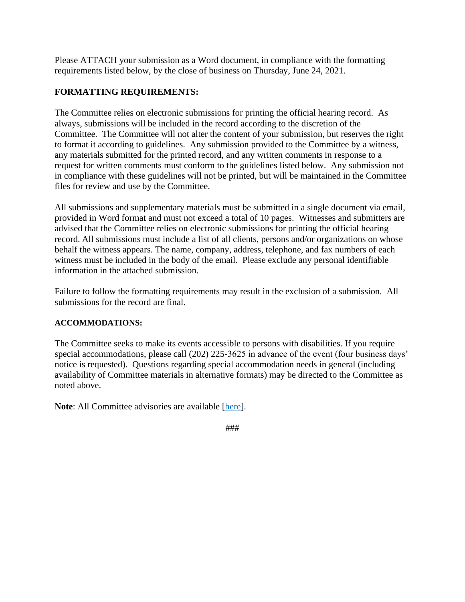Please ATTACH your submission as a Word document, in compliance with the formatting requirements listed below, by the close of business on Thursday, June 24, 2021.

#### **FORMATTING REQUIREMENTS:**

The Committee relies on electronic submissions for printing the official hearing record. As always, submissions will be included in the record according to the discretion of the Committee. The Committee will not alter the content of your submission, but reserves the right to format it according to guidelines. Any submission provided to the Committee by a witness, any materials submitted for the printed record, and any written comments in response to a request for written comments must conform to the guidelines listed below. Any submission not in compliance with these guidelines will not be printed, but will be maintained in the Committee files for review and use by the Committee.

All submissions and supplementary materials must be submitted in a single document via email, provided in Word format and must not exceed a total of 10 pages. Witnesses and submitters are advised that the Committee relies on electronic submissions for printing the official hearing record. All submissions must include a list of all clients, persons and/or organizations on whose behalf the witness appears. The name, company, address, telephone, and fax numbers of each witness must be included in the body of the email. Please exclude any personal identifiable information in the attached submission.

Failure to follow the formatting requirements may result in the exclusion of a submission. All submissions for the record are final.

#### **ACCOMMODATIONS:**

The Committee seeks to make its events accessible to persons with disabilities. If you require special accommodations, please call (202) 225-3625 in advance of the event (four business days' notice is requested). Questions regarding special accommodation needs in general (including availability of Committee materials in alternative formats) may be directed to the Committee as noted above.

**Note**: All Committee advisories are available [\[here\]](https://waysandmeans.house.gov/legislation/hearings).

<sup>###</sup>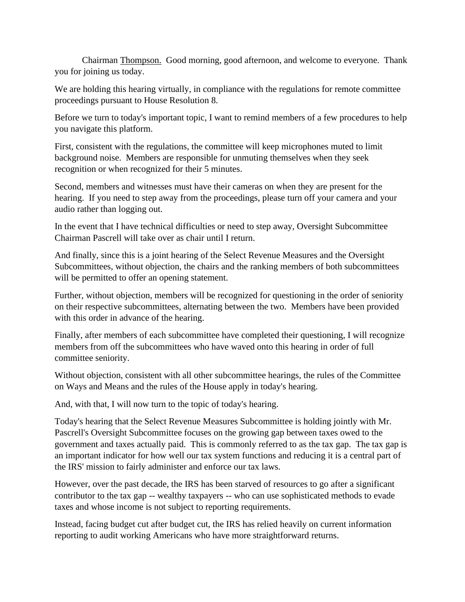Chairman Thompson. Good morning, good afternoon, and welcome to everyone. Thank you for joining us today.

We are holding this hearing virtually, in compliance with the regulations for remote committee proceedings pursuant to House Resolution 8.

Before we turn to today's important topic, I want to remind members of a few procedures to help you navigate this platform.

First, consistent with the regulations, the committee will keep microphones muted to limit background noise. Members are responsible for unmuting themselves when they seek recognition or when recognized for their 5 minutes.

Second, members and witnesses must have their cameras on when they are present for the hearing. If you need to step away from the proceedings, please turn off your camera and your audio rather than logging out.

In the event that I have technical difficulties or need to step away, Oversight Subcommittee Chairman Pascrell will take over as chair until I return.

And finally, since this is a joint hearing of the Select Revenue Measures and the Oversight Subcommittees, without objection, the chairs and the ranking members of both subcommittees will be permitted to offer an opening statement.

Further, without objection, members will be recognized for questioning in the order of seniority on their respective subcommittees, alternating between the two. Members have been provided with this order in advance of the hearing.

Finally, after members of each subcommittee have completed their questioning, I will recognize members from off the subcommittees who have waved onto this hearing in order of full committee seniority.

Without objection, consistent with all other subcommittee hearings, the rules of the Committee on Ways and Means and the rules of the House apply in today's hearing.

And, with that, I will now turn to the topic of today's hearing.

Today's hearing that the Select Revenue Measures Subcommittee is holding jointly with Mr. Pascrell's Oversight Subcommittee focuses on the growing gap between taxes owed to the government and taxes actually paid. This is commonly referred to as the tax gap. The tax gap is an important indicator for how well our tax system functions and reducing it is a central part of the IRS' mission to fairly administer and enforce our tax laws.

However, over the past decade, the IRS has been starved of resources to go after a significant contributor to the tax gap -- wealthy taxpayers -- who can use sophisticated methods to evade taxes and whose income is not subject to reporting requirements.

Instead, facing budget cut after budget cut, the IRS has relied heavily on current information reporting to audit working Americans who have more straightforward returns.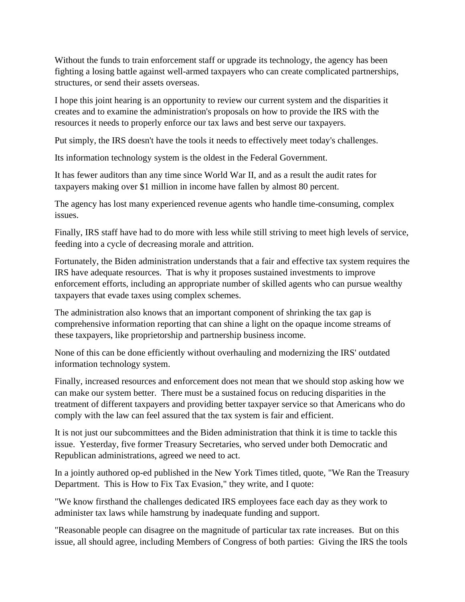Without the funds to train enforcement staff or upgrade its technology, the agency has been fighting a losing battle against well-armed taxpayers who can create complicated partnerships, structures, or send their assets overseas.

I hope this joint hearing is an opportunity to review our current system and the disparities it creates and to examine the administration's proposals on how to provide the IRS with the resources it needs to properly enforce our tax laws and best serve our taxpayers.

Put simply, the IRS doesn't have the tools it needs to effectively meet today's challenges.

Its information technology system is the oldest in the Federal Government.

It has fewer auditors than any time since World War II, and as a result the audit rates for taxpayers making over \$1 million in income have fallen by almost 80 percent.

The agency has lost many experienced revenue agents who handle time-consuming, complex issues.

Finally, IRS staff have had to do more with less while still striving to meet high levels of service, feeding into a cycle of decreasing morale and attrition.

Fortunately, the Biden administration understands that a fair and effective tax system requires the IRS have adequate resources. That is why it proposes sustained investments to improve enforcement efforts, including an appropriate number of skilled agents who can pursue wealthy taxpayers that evade taxes using complex schemes.

The administration also knows that an important component of shrinking the tax gap is comprehensive information reporting that can shine a light on the opaque income streams of these taxpayers, like proprietorship and partnership business income.

None of this can be done efficiently without overhauling and modernizing the IRS' outdated information technology system.

Finally, increased resources and enforcement does not mean that we should stop asking how we can make our system better. There must be a sustained focus on reducing disparities in the treatment of different taxpayers and providing better taxpayer service so that Americans who do comply with the law can feel assured that the tax system is fair and efficient.

It is not just our subcommittees and the Biden administration that think it is time to tackle this issue. Yesterday, five former Treasury Secretaries, who served under both Democratic and Republican administrations, agreed we need to act.

In a jointly authored op-ed published in the New York Times titled, quote, "We Ran the Treasury Department. This is How to Fix Tax Evasion," they write, and I quote:

"We know firsthand the challenges dedicated IRS employees face each day as they work to administer tax laws while hamstrung by inadequate funding and support.

"Reasonable people can disagree on the magnitude of particular tax rate increases. But on this issue, all should agree, including Members of Congress of both parties: Giving the IRS the tools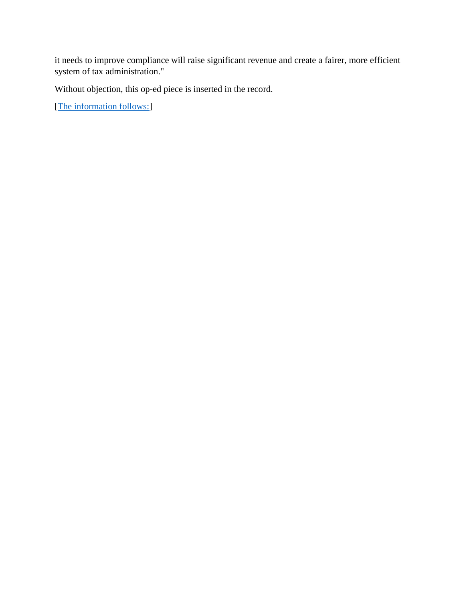it needs to improve compliance will raise significant revenue and create a fairer, more efficient system of tax administration."

Without objection, this op-ed piece is inserted in the record.

[\[The information follows:\]](https://waysandmeans.house.gov/sites/democrats.waysandmeans.house.gov/files/documents/Opinion%20_%20Five%20Former%20Treasury%20Secretaries_%20Fund%20the%20IRS%20-%20The%20New%20York%20Times.pdf)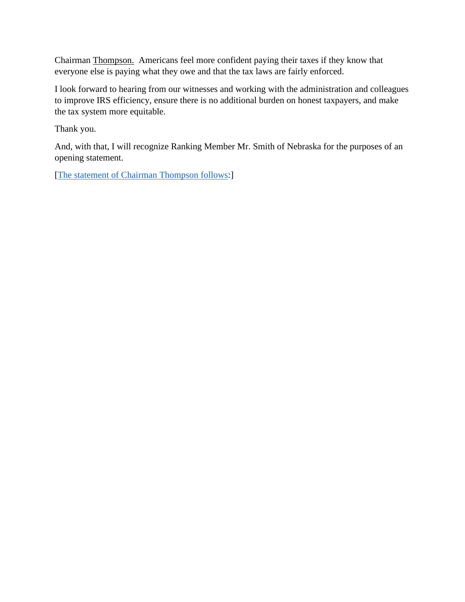Chairman Thompson. Americans feel more confident paying their taxes if they know that everyone else is paying what they owe and that the tax laws are fairly enforced.

I look forward to hearing from our witnesses and working with the administration and colleagues to improve IRS efficiency, ensure there is no additional burden on honest taxpayers, and make the tax system more equitable.

Thank you.

And, with that, I will recognize Ranking Member Mr. Smith of Nebraska for the purposes of an opening statement.

[\[The statement of Chairman Thompson follows:](https://waysandmeans.house.gov/media-center/press-releases/chairman-mike-thompson-opening-statement-select-revenue-measures-and)]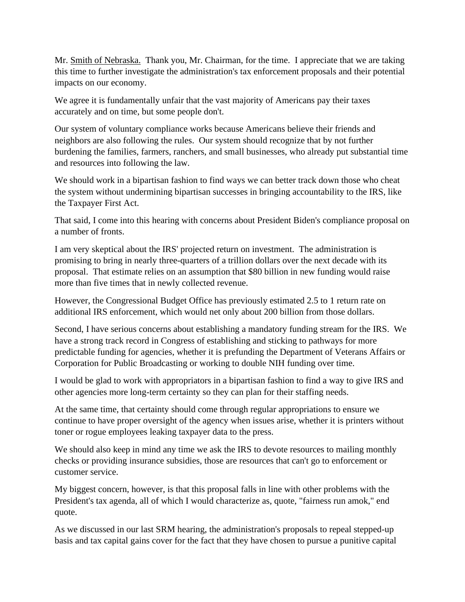Mr. Smith of Nebraska. Thank you, Mr. Chairman, for the time. I appreciate that we are taking this time to further investigate the administration's tax enforcement proposals and their potential impacts on our economy.

We agree it is fundamentally unfair that the vast majority of Americans pay their taxes accurately and on time, but some people don't.

Our system of voluntary compliance works because Americans believe their friends and neighbors are also following the rules. Our system should recognize that by not further burdening the families, farmers, ranchers, and small businesses, who already put substantial time and resources into following the law.

We should work in a bipartisan fashion to find ways we can better track down those who cheat the system without undermining bipartisan successes in bringing accountability to the IRS, like the Taxpayer First Act.

That said, I come into this hearing with concerns about President Biden's compliance proposal on a number of fronts.

I am very skeptical about the IRS' projected return on investment. The administration is promising to bring in nearly three-quarters of a trillion dollars over the next decade with its proposal. That estimate relies on an assumption that \$80 billion in new funding would raise more than five times that in newly collected revenue.

However, the Congressional Budget Office has previously estimated 2.5 to 1 return rate on additional IRS enforcement, which would net only about 200 billion from those dollars.

Second, I have serious concerns about establishing a mandatory funding stream for the IRS. We have a strong track record in Congress of establishing and sticking to pathways for more predictable funding for agencies, whether it is prefunding the Department of Veterans Affairs or Corporation for Public Broadcasting or working to double NIH funding over time.

I would be glad to work with appropriators in a bipartisan fashion to find a way to give IRS and other agencies more long-term certainty so they can plan for their staffing needs.

At the same time, that certainty should come through regular appropriations to ensure we continue to have proper oversight of the agency when issues arise, whether it is printers without toner or rogue employees leaking taxpayer data to the press.

We should also keep in mind any time we ask the IRS to devote resources to mailing monthly checks or providing insurance subsidies, those are resources that can't go to enforcement or customer service.

My biggest concern, however, is that this proposal falls in line with other problems with the President's tax agenda, all of which I would characterize as, quote, "fairness run amok," end quote.

As we discussed in our last SRM hearing, the administration's proposals to repeal stepped-up basis and tax capital gains cover for the fact that they have chosen to pursue a punitive capital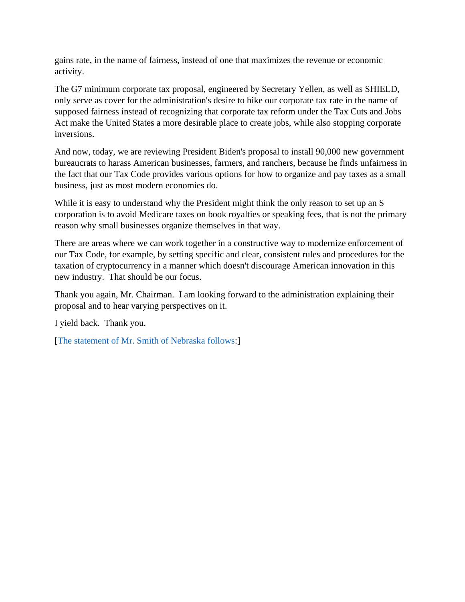gains rate, in the name of fairness, instead of one that maximizes the revenue or economic activity.

The G7 minimum corporate tax proposal, engineered by Secretary Yellen, as well as SHIELD, only serve as cover for the administration's desire to hike our corporate tax rate in the name of supposed fairness instead of recognizing that corporate tax reform under the Tax Cuts and Jobs Act make the United States a more desirable place to create jobs, while also stopping corporate inversions.

And now, today, we are reviewing President Biden's proposal to install 90,000 new government bureaucrats to harass American businesses, farmers, and ranchers, because he finds unfairness in the fact that our Tax Code provides various options for how to organize and pay taxes as a small business, just as most modern economies do.

While it is easy to understand why the President might think the only reason to set up an S corporation is to avoid Medicare taxes on book royalties or speaking fees, that is not the primary reason why small businesses organize themselves in that way.

There are areas where we can work together in a constructive way to modernize enforcement of our Tax Code, for example, by setting specific and clear, consistent rules and procedures for the taxation of cryptocurrency in a manner which doesn't discourage American innovation in this new industry. That should be our focus.

Thank you again, Mr. Chairman. I am looking forward to the administration explaining their proposal and to hear varying perspectives on it.

I yield back. Thank you.

[\[The statement of Mr. Smith of Nebraska follows:](https://waysandmeans.house.gov/sites/democrats.waysandmeans.house.gov/files/documents/6.10.21%20Smith%20Opening%20Statements.pdf)]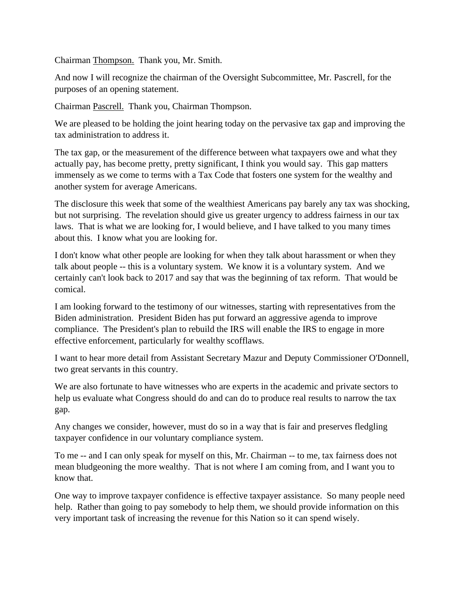Chairman Thompson. Thank you, Mr. Smith.

And now I will recognize the chairman of the Oversight Subcommittee, Mr. Pascrell, for the purposes of an opening statement.

Chairman Pascrell. Thank you, Chairman Thompson.

We are pleased to be holding the joint hearing today on the pervasive tax gap and improving the tax administration to address it.

The tax gap, or the measurement of the difference between what taxpayers owe and what they actually pay, has become pretty, pretty significant, I think you would say. This gap matters immensely as we come to terms with a Tax Code that fosters one system for the wealthy and another system for average Americans.

The disclosure this week that some of the wealthiest Americans pay barely any tax was shocking, but not surprising. The revelation should give us greater urgency to address fairness in our tax laws. That is what we are looking for, I would believe, and I have talked to you many times about this. I know what you are looking for.

I don't know what other people are looking for when they talk about harassment or when they talk about people -- this is a voluntary system. We know it is a voluntary system. And we certainly can't look back to 2017 and say that was the beginning of tax reform. That would be comical.

I am looking forward to the testimony of our witnesses, starting with representatives from the Biden administration. President Biden has put forward an aggressive agenda to improve compliance. The President's plan to rebuild the IRS will enable the IRS to engage in more effective enforcement, particularly for wealthy scofflaws.

I want to hear more detail from Assistant Secretary Mazur and Deputy Commissioner O'Donnell, two great servants in this country.

We are also fortunate to have witnesses who are experts in the academic and private sectors to help us evaluate what Congress should do and can do to produce real results to narrow the tax gap.

Any changes we consider, however, must do so in a way that is fair and preserves fledgling taxpayer confidence in our voluntary compliance system.

To me -- and I can only speak for myself on this, Mr. Chairman -- to me, tax fairness does not mean bludgeoning the more wealthy. That is not where I am coming from, and I want you to know that.

One way to improve taxpayer confidence is effective taxpayer assistance. So many people need help. Rather than going to pay somebody to help them, we should provide information on this very important task of increasing the revenue for this Nation so it can spend wisely.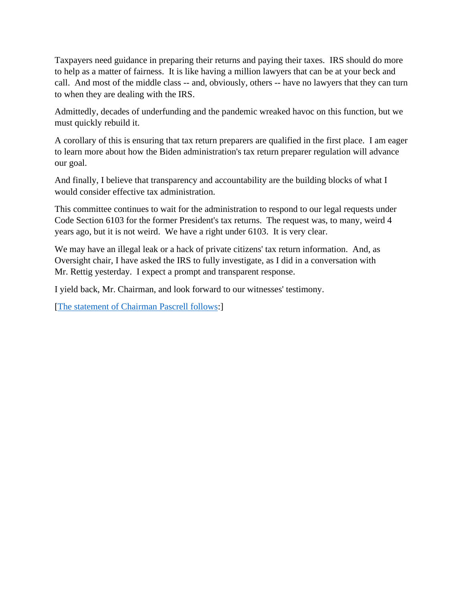Taxpayers need guidance in preparing their returns and paying their taxes. IRS should do more to help as a matter of fairness. It is like having a million lawyers that can be at your beck and call. And most of the middle class -- and, obviously, others -- have no lawyers that they can turn to when they are dealing with the IRS.

Admittedly, decades of underfunding and the pandemic wreaked havoc on this function, but we must quickly rebuild it.

A corollary of this is ensuring that tax return preparers are qualified in the first place. I am eager to learn more about how the Biden administration's tax return preparer regulation will advance our goal.

And finally, I believe that transparency and accountability are the building blocks of what I would consider effective tax administration.

This committee continues to wait for the administration to respond to our legal requests under Code Section 6103 for the former President's tax returns. The request was, to many, weird 4 years ago, but it is not weird. We have a right under 6103. It is very clear.

We may have an illegal leak or a hack of private citizens' tax return information. And, as Oversight chair, I have asked the IRS to fully investigate, as I did in a conversation with Mr. Rettig yesterday. I expect a prompt and transparent response.

I yield back, Mr. Chairman, and look forward to our witnesses' testimony.

[\[The statement of Chairman Pascrell follows:](https://waysandmeans.house.gov/media-center/press-releases/chairman-pascrell-opening-statement-select-revenue-measures-and)]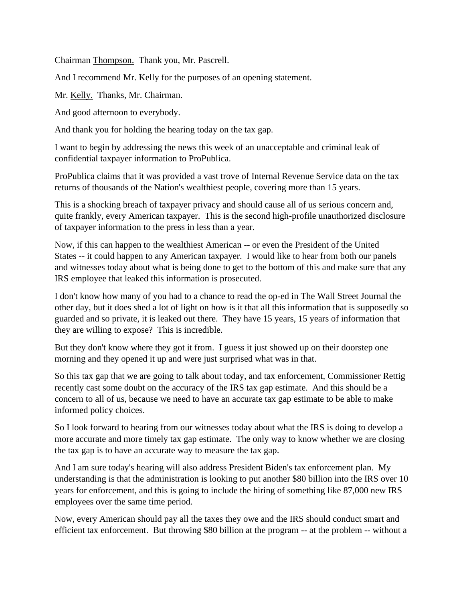Chairman Thompson. Thank you, Mr. Pascrell.

And I recommend Mr. Kelly for the purposes of an opening statement.

Mr. Kelly. Thanks, Mr. Chairman.

And good afternoon to everybody.

And thank you for holding the hearing today on the tax gap.

I want to begin by addressing the news this week of an unacceptable and criminal leak of confidential taxpayer information to ProPublica.

ProPublica claims that it was provided a vast trove of Internal Revenue Service data on the tax returns of thousands of the Nation's wealthiest people, covering more than 15 years.

This is a shocking breach of taxpayer privacy and should cause all of us serious concern and, quite frankly, every American taxpayer. This is the second high-profile unauthorized disclosure of taxpayer information to the press in less than a year.

Now, if this can happen to the wealthiest American -- or even the President of the United States -- it could happen to any American taxpayer. I would like to hear from both our panels and witnesses today about what is being done to get to the bottom of this and make sure that any IRS employee that leaked this information is prosecuted.

I don't know how many of you had to a chance to read the op-ed in The Wall Street Journal the other day, but it does shed a lot of light on how is it that all this information that is supposedly so guarded and so private, it is leaked out there. They have 15 years, 15 years of information that they are willing to expose? This is incredible.

But they don't know where they got it from. I guess it just showed up on their doorstep one morning and they opened it up and were just surprised what was in that.

So this tax gap that we are going to talk about today, and tax enforcement, Commissioner Rettig recently cast some doubt on the accuracy of the IRS tax gap estimate. And this should be a concern to all of us, because we need to have an accurate tax gap estimate to be able to make informed policy choices.

So I look forward to hearing from our witnesses today about what the IRS is doing to develop a more accurate and more timely tax gap estimate. The only way to know whether we are closing the tax gap is to have an accurate way to measure the tax gap.

And I am sure today's hearing will also address President Biden's tax enforcement plan. My understanding is that the administration is looking to put another \$80 billion into the IRS over 10 years for enforcement, and this is going to include the hiring of something like 87,000 new IRS employees over the same time period.

Now, every American should pay all the taxes they owe and the IRS should conduct smart and efficient tax enforcement. But throwing \$80 billion at the program -- at the problem -- without a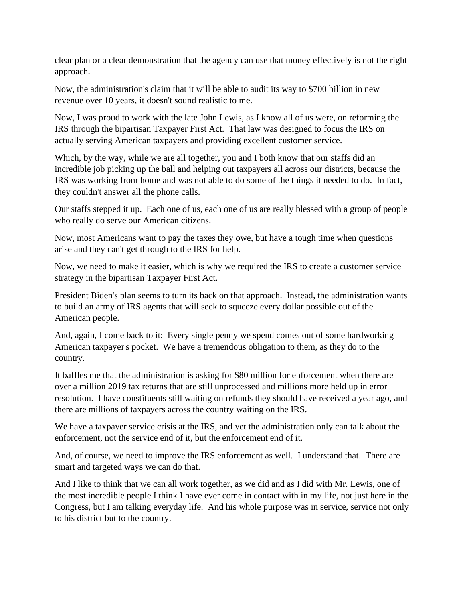clear plan or a clear demonstration that the agency can use that money effectively is not the right approach.

Now, the administration's claim that it will be able to audit its way to \$700 billion in new revenue over 10 years, it doesn't sound realistic to me.

Now, I was proud to work with the late John Lewis, as I know all of us were, on reforming the IRS through the bipartisan Taxpayer First Act. That law was designed to focus the IRS on actually serving American taxpayers and providing excellent customer service.

Which, by the way, while we are all together, you and I both know that our staffs did an incredible job picking up the ball and helping out taxpayers all across our districts, because the IRS was working from home and was not able to do some of the things it needed to do. In fact, they couldn't answer all the phone calls.

Our staffs stepped it up. Each one of us, each one of us are really blessed with a group of people who really do serve our American citizens.

Now, most Americans want to pay the taxes they owe, but have a tough time when questions arise and they can't get through to the IRS for help.

Now, we need to make it easier, which is why we required the IRS to create a customer service strategy in the bipartisan Taxpayer First Act.

President Biden's plan seems to turn its back on that approach. Instead, the administration wants to build an army of IRS agents that will seek to squeeze every dollar possible out of the American people.

And, again, I come back to it: Every single penny we spend comes out of some hardworking American taxpayer's pocket. We have a tremendous obligation to them, as they do to the country.

It baffles me that the administration is asking for \$80 million for enforcement when there are over a million 2019 tax returns that are still unprocessed and millions more held up in error resolution. I have constituents still waiting on refunds they should have received a year ago, and there are millions of taxpayers across the country waiting on the IRS.

We have a taxpayer service crisis at the IRS, and yet the administration only can talk about the enforcement, not the service end of it, but the enforcement end of it.

And, of course, we need to improve the IRS enforcement as well. I understand that. There are smart and targeted ways we can do that.

And I like to think that we can all work together, as we did and as I did with Mr. Lewis, one of the most incredible people I think I have ever come in contact with in my life, not just here in the Congress, but I am talking everyday life. And his whole purpose was in service, service not only to his district but to the country.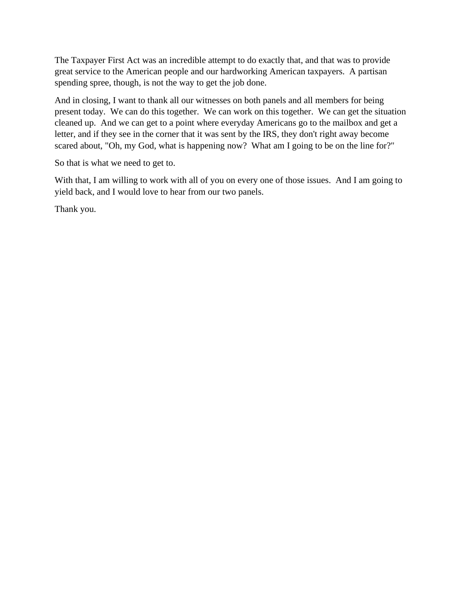The Taxpayer First Act was an incredible attempt to do exactly that, and that was to provide great service to the American people and our hardworking American taxpayers. A partisan spending spree, though, is not the way to get the job done.

And in closing, I want to thank all our witnesses on both panels and all members for being present today. We can do this together. We can work on this together. We can get the situation cleaned up. And we can get to a point where everyday Americans go to the mailbox and get a letter, and if they see in the corner that it was sent by the IRS, they don't right away become scared about, "Oh, my God, what is happening now? What am I going to be on the line for?"

So that is what we need to get to.

With that, I am willing to work with all of you on every one of those issues. And I am going to yield back, and I would love to hear from our two panels.

Thank you.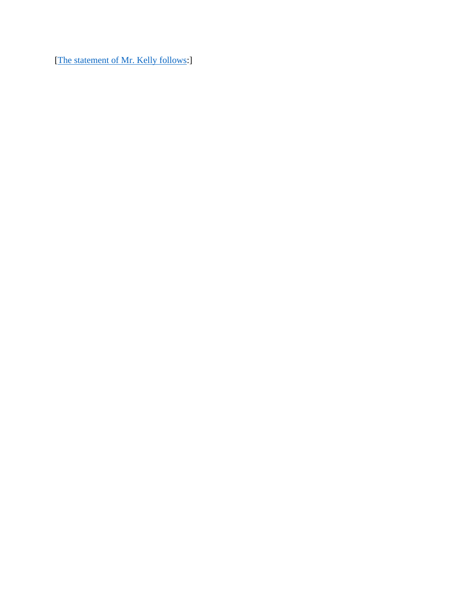[\[The statement of Mr. Kelly follows:](https://waysandmeans.house.gov/sites/democrats.waysandmeans.house.gov/files/documents/6.10.21%20Kelly%20Opening%20Statement.pdf)]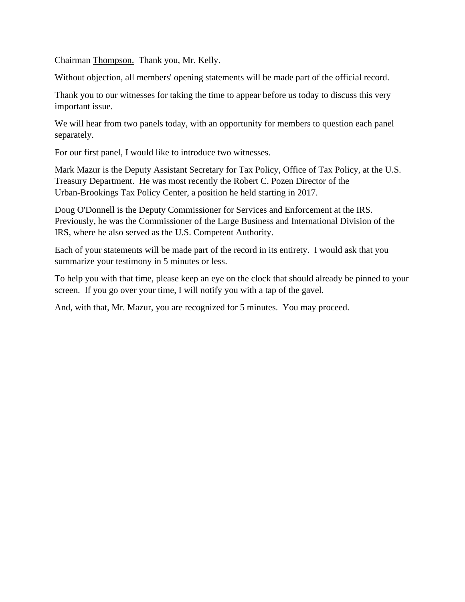Chairman Thompson. Thank you, Mr. Kelly.

Without objection, all members' opening statements will be made part of the official record.

Thank you to our witnesses for taking the time to appear before us today to discuss this very important issue.

We will hear from two panels today, with an opportunity for members to question each panel separately.

For our first panel, I would like to introduce two witnesses.

Mark Mazur is the Deputy Assistant Secretary for Tax Policy, Office of Tax Policy, at the U.S. Treasury Department. He was most recently the Robert C. Pozen Director of the Urban-Brookings Tax Policy Center, a position he held starting in 2017.

Doug O'Donnell is the Deputy Commissioner for Services and Enforcement at the IRS. Previously, he was the Commissioner of the Large Business and International Division of the IRS, where he also served as the U.S. Competent Authority.

Each of your statements will be made part of the record in its entirety. I would ask that you summarize your testimony in 5 minutes or less.

To help you with that time, please keep an eye on the clock that should already be pinned to your screen. If you go over your time, I will notify you with a tap of the gavel.

And, with that, Mr. Mazur, you are recognized for 5 minutes. You may proceed.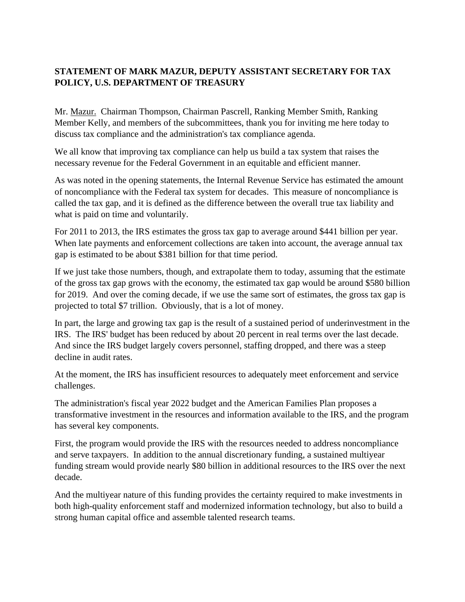#### **STATEMENT OF MARK MAZUR, DEPUTY ASSISTANT SECRETARY FOR TAX POLICY, U.S. DEPARTMENT OF TREASURY**

Mr. Mazur. Chairman Thompson, Chairman Pascrell, Ranking Member Smith, Ranking Member Kelly, and members of the subcommittees, thank you for inviting me here today to discuss tax compliance and the administration's tax compliance agenda.

We all know that improving tax compliance can help us build a tax system that raises the necessary revenue for the Federal Government in an equitable and efficient manner.

As was noted in the opening statements, the Internal Revenue Service has estimated the amount of noncompliance with the Federal tax system for decades. This measure of noncompliance is called the tax gap, and it is defined as the difference between the overall true tax liability and what is paid on time and voluntarily.

For 2011 to 2013, the IRS estimates the gross tax gap to average around \$441 billion per year. When late payments and enforcement collections are taken into account, the average annual tax gap is estimated to be about \$381 billion for that time period.

If we just take those numbers, though, and extrapolate them to today, assuming that the estimate of the gross tax gap grows with the economy, the estimated tax gap would be around \$580 billion for 2019. And over the coming decade, if we use the same sort of estimates, the gross tax gap is projected to total \$7 trillion. Obviously, that is a lot of money.

In part, the large and growing tax gap is the result of a sustained period of underinvestment in the IRS. The IRS' budget has been reduced by about 20 percent in real terms over the last decade. And since the IRS budget largely covers personnel, staffing dropped, and there was a steep decline in audit rates.

At the moment, the IRS has insufficient resources to adequately meet enforcement and service challenges.

The administration's fiscal year 2022 budget and the American Families Plan proposes a transformative investment in the resources and information available to the IRS, and the program has several key components.

First, the program would provide the IRS with the resources needed to address noncompliance and serve taxpayers. In addition to the annual discretionary funding, a sustained multiyear funding stream would provide nearly \$80 billion in additional resources to the IRS over the next decade.

And the multiyear nature of this funding provides the certainty required to make investments in both high-quality enforcement staff and modernized information technology, but also to build a strong human capital office and assemble talented research teams.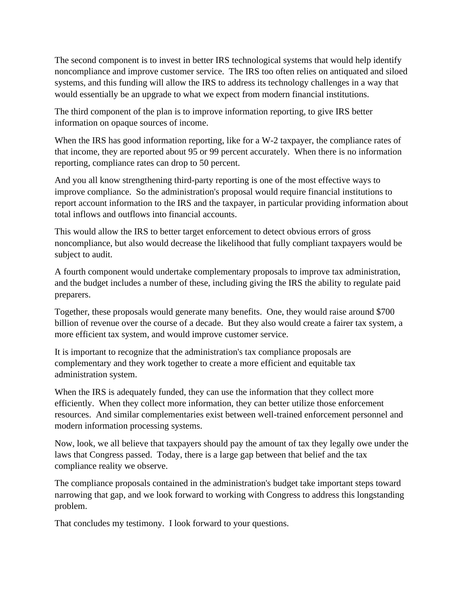The second component is to invest in better IRS technological systems that would help identify noncompliance and improve customer service. The IRS too often relies on antiquated and siloed systems, and this funding will allow the IRS to address its technology challenges in a way that would essentially be an upgrade to what we expect from modern financial institutions.

The third component of the plan is to improve information reporting, to give IRS better information on opaque sources of income.

When the IRS has good information reporting, like for a W-2 taxpayer, the compliance rates of that income, they are reported about 95 or 99 percent accurately. When there is no information reporting, compliance rates can drop to 50 percent.

And you all know strengthening third-party reporting is one of the most effective ways to improve compliance. So the administration's proposal would require financial institutions to report account information to the IRS and the taxpayer, in particular providing information about total inflows and outflows into financial accounts.

This would allow the IRS to better target enforcement to detect obvious errors of gross noncompliance, but also would decrease the likelihood that fully compliant taxpayers would be subject to audit.

A fourth component would undertake complementary proposals to improve tax administration, and the budget includes a number of these, including giving the IRS the ability to regulate paid preparers.

Together, these proposals would generate many benefits. One, they would raise around \$700 billion of revenue over the course of a decade. But they also would create a fairer tax system, a more efficient tax system, and would improve customer service.

It is important to recognize that the administration's tax compliance proposals are complementary and they work together to create a more efficient and equitable tax administration system.

When the IRS is adequately funded, they can use the information that they collect more efficiently. When they collect more information, they can better utilize those enforcement resources. And similar complementaries exist between well-trained enforcement personnel and modern information processing systems.

Now, look, we all believe that taxpayers should pay the amount of tax they legally owe under the laws that Congress passed. Today, there is a large gap between that belief and the tax compliance reality we observe.

The compliance proposals contained in the administration's budget take important steps toward narrowing that gap, and we look forward to working with Congress to address this longstanding problem.

That concludes my testimony. I look forward to your questions.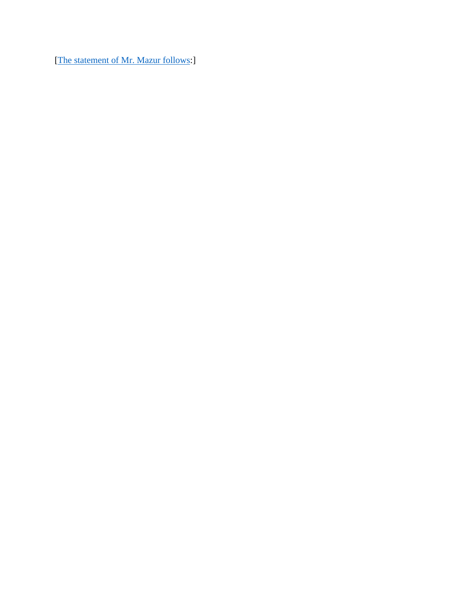[\[The statement of Mr. Mazur follows:](https://waysandmeans.house.gov/sites/democrats.waysandmeans.house.gov/files/documents/Mazur_Testimony.pdf)]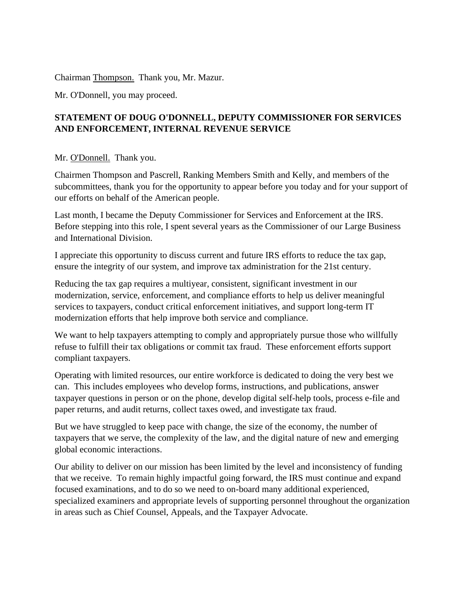Chairman Thompson. Thank you, Mr. Mazur.

Mr. O'Donnell, you may proceed.

#### **STATEMENT OF DOUG O'DONNELL, DEPUTY COMMISSIONER FOR SERVICES AND ENFORCEMENT, INTERNAL REVENUE SERVICE**

#### Mr. O'Donnell. Thank you.

Chairmen Thompson and Pascrell, Ranking Members Smith and Kelly, and members of the subcommittees, thank you for the opportunity to appear before you today and for your support of our efforts on behalf of the American people.

Last month, I became the Deputy Commissioner for Services and Enforcement at the IRS. Before stepping into this role, I spent several years as the Commissioner of our Large Business and International Division.

I appreciate this opportunity to discuss current and future IRS efforts to reduce the tax gap, ensure the integrity of our system, and improve tax administration for the 21st century.

Reducing the tax gap requires a multiyear, consistent, significant investment in our modernization, service, enforcement, and compliance efforts to help us deliver meaningful services to taxpayers, conduct critical enforcement initiatives, and support long-term IT modernization efforts that help improve both service and compliance.

We want to help taxpayers attempting to comply and appropriately pursue those who willfully refuse to fulfill their tax obligations or commit tax fraud. These enforcement efforts support compliant taxpayers.

Operating with limited resources, our entire workforce is dedicated to doing the very best we can. This includes employees who develop forms, instructions, and publications, answer taxpayer questions in person or on the phone, develop digital self-help tools, process e-file and paper returns, and audit returns, collect taxes owed, and investigate tax fraud.

But we have struggled to keep pace with change, the size of the economy, the number of taxpayers that we serve, the complexity of the law, and the digital nature of new and emerging global economic interactions.

Our ability to deliver on our mission has been limited by the level and inconsistency of funding that we receive. To remain highly impactful going forward, the IRS must continue and expand focused examinations, and to do so we need to on-board many additional experienced, specialized examiners and appropriate levels of supporting personnel throughout the organization in areas such as Chief Counsel, Appeals, and the Taxpayer Advocate.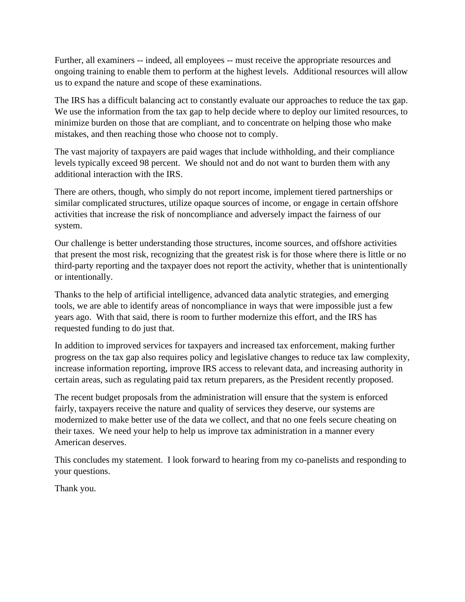Further, all examiners -- indeed, all employees -- must receive the appropriate resources and ongoing training to enable them to perform at the highest levels. Additional resources will allow us to expand the nature and scope of these examinations.

The IRS has a difficult balancing act to constantly evaluate our approaches to reduce the tax gap. We use the information from the tax gap to help decide where to deploy our limited resources, to minimize burden on those that are compliant, and to concentrate on helping those who make mistakes, and then reaching those who choose not to comply.

The vast majority of taxpayers are paid wages that include withholding, and their compliance levels typically exceed 98 percent. We should not and do not want to burden them with any additional interaction with the IRS.

There are others, though, who simply do not report income, implement tiered partnerships or similar complicated structures, utilize opaque sources of income, or engage in certain offshore activities that increase the risk of noncompliance and adversely impact the fairness of our system.

Our challenge is better understanding those structures, income sources, and offshore activities that present the most risk, recognizing that the greatest risk is for those where there is little or no third-party reporting and the taxpayer does not report the activity, whether that is unintentionally or intentionally.

Thanks to the help of artificial intelligence, advanced data analytic strategies, and emerging tools, we are able to identify areas of noncompliance in ways that were impossible just a few years ago. With that said, there is room to further modernize this effort, and the IRS has requested funding to do just that.

In addition to improved services for taxpayers and increased tax enforcement, making further progress on the tax gap also requires policy and legislative changes to reduce tax law complexity, increase information reporting, improve IRS access to relevant data, and increasing authority in certain areas, such as regulating paid tax return preparers, as the President recently proposed.

The recent budget proposals from the administration will ensure that the system is enforced fairly, taxpayers receive the nature and quality of services they deserve, our systems are modernized to make better use of the data we collect, and that no one feels secure cheating on their taxes. We need your help to help us improve tax administration in a manner every American deserves.

This concludes my statement. I look forward to hearing from my co-panelists and responding to your questions.

Thank you.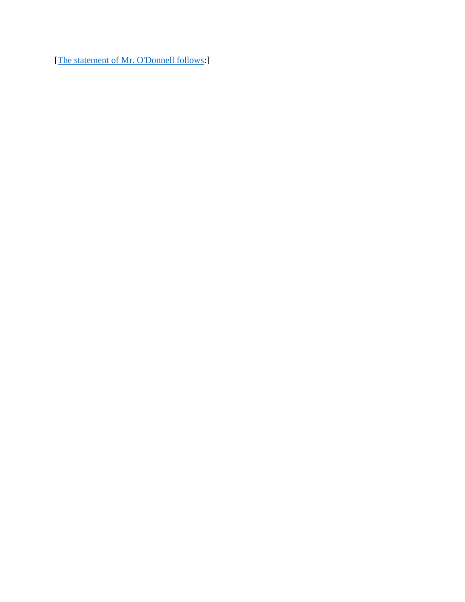[\[The statement of Mr.](https://waysandmeans.house.gov/sites/democrats.waysandmeans.house.gov/files/documents/O%27Donnell_Testimony.pdf) O'Donnell follows:]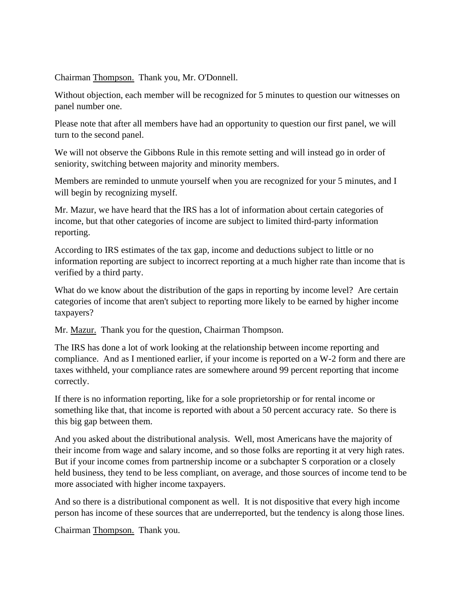Chairman Thompson. Thank you, Mr. O'Donnell.

Without objection, each member will be recognized for 5 minutes to question our witnesses on panel number one.

Please note that after all members have had an opportunity to question our first panel, we will turn to the second panel.

We will not observe the Gibbons Rule in this remote setting and will instead go in order of seniority, switching between majority and minority members.

Members are reminded to unmute yourself when you are recognized for your 5 minutes, and I will begin by recognizing myself.

Mr. Mazur, we have heard that the IRS has a lot of information about certain categories of income, but that other categories of income are subject to limited third-party information reporting.

According to IRS estimates of the tax gap, income and deductions subject to little or no information reporting are subject to incorrect reporting at a much higher rate than income that is verified by a third party.

What do we know about the distribution of the gaps in reporting by income level? Are certain categories of income that aren't subject to reporting more likely to be earned by higher income taxpayers?

Mr. Mazur. Thank you for the question, Chairman Thompson.

The IRS has done a lot of work looking at the relationship between income reporting and compliance. And as I mentioned earlier, if your income is reported on a W-2 form and there are taxes withheld, your compliance rates are somewhere around 99 percent reporting that income correctly.

If there is no information reporting, like for a sole proprietorship or for rental income or something like that, that income is reported with about a 50 percent accuracy rate. So there is this big gap between them.

And you asked about the distributional analysis. Well, most Americans have the majority of their income from wage and salary income, and so those folks are reporting it at very high rates. But if your income comes from partnership income or a subchapter S corporation or a closely held business, they tend to be less compliant, on average, and those sources of income tend to be more associated with higher income taxpayers.

And so there is a distributional component as well. It is not dispositive that every high income person has income of these sources that are underreported, but the tendency is along those lines.

Chairman Thompson. Thank you.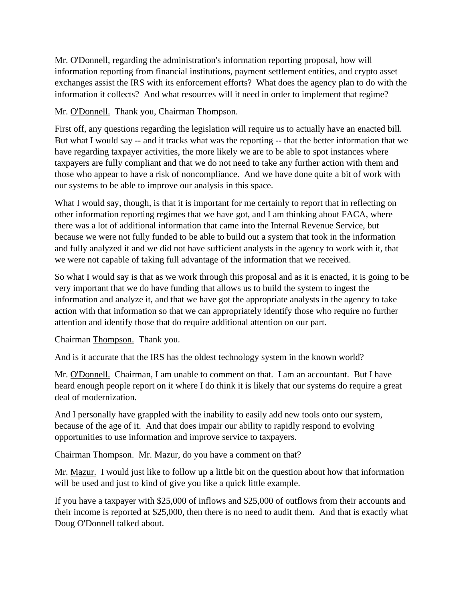Mr. O'Donnell, regarding the administration's information reporting proposal, how will information reporting from financial institutions, payment settlement entities, and crypto asset exchanges assist the IRS with its enforcement efforts? What does the agency plan to do with the information it collects? And what resources will it need in order to implement that regime?

Mr. O'Donnell. Thank you, Chairman Thompson.

First off, any questions regarding the legislation will require us to actually have an enacted bill. But what I would say -- and it tracks what was the reporting -- that the better information that we have regarding taxpayer activities, the more likely we are to be able to spot instances where taxpayers are fully compliant and that we do not need to take any further action with them and those who appear to have a risk of noncompliance. And we have done quite a bit of work with our systems to be able to improve our analysis in this space.

What I would say, though, is that it is important for me certainly to report that in reflecting on other information reporting regimes that we have got, and I am thinking about FACA, where there was a lot of additional information that came into the Internal Revenue Service, but because we were not fully funded to be able to build out a system that took in the information and fully analyzed it and we did not have sufficient analysts in the agency to work with it, that we were not capable of taking full advantage of the information that we received.

So what I would say is that as we work through this proposal and as it is enacted, it is going to be very important that we do have funding that allows us to build the system to ingest the information and analyze it, and that we have got the appropriate analysts in the agency to take action with that information so that we can appropriately identify those who require no further attention and identify those that do require additional attention on our part.

Chairman Thompson. Thank you.

And is it accurate that the IRS has the oldest technology system in the known world?

Mr. O'Donnell. Chairman, I am unable to comment on that. I am an accountant. But I have heard enough people report on it where I do think it is likely that our systems do require a great deal of modernization.

And I personally have grappled with the inability to easily add new tools onto our system, because of the age of it. And that does impair our ability to rapidly respond to evolving opportunities to use information and improve service to taxpayers.

Chairman Thompson. Mr. Mazur, do you have a comment on that?

Mr. Mazur. I would just like to follow up a little bit on the question about how that information will be used and just to kind of give you like a quick little example.

If you have a taxpayer with \$25,000 of inflows and \$25,000 of outflows from their accounts and their income is reported at \$25,000, then there is no need to audit them. And that is exactly what Doug O'Donnell talked about.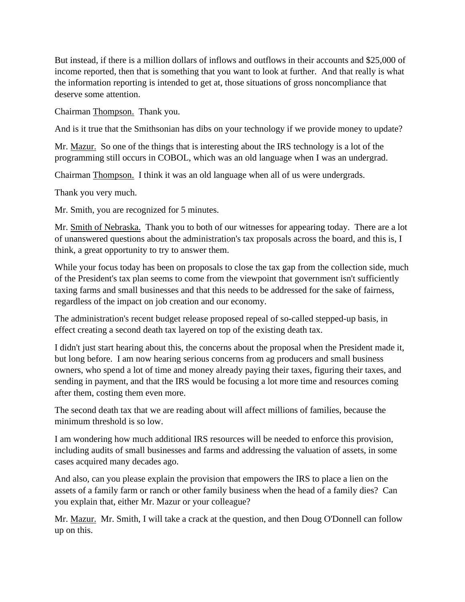But instead, if there is a million dollars of inflows and outflows in their accounts and \$25,000 of income reported, then that is something that you want to look at further. And that really is what the information reporting is intended to get at, those situations of gross noncompliance that deserve some attention.

Chairman Thompson. Thank you.

And is it true that the Smithsonian has dibs on your technology if we provide money to update?

Mr. Mazur. So one of the things that is interesting about the IRS technology is a lot of the programming still occurs in COBOL, which was an old language when I was an undergrad.

Chairman Thompson. I think it was an old language when all of us were undergrads.

Thank you very much.

Mr. Smith, you are recognized for 5 minutes.

Mr. Smith of Nebraska. Thank you to both of our witnesses for appearing today. There are a lot of unanswered questions about the administration's tax proposals across the board, and this is, I think, a great opportunity to try to answer them.

While your focus today has been on proposals to close the tax gap from the collection side, much of the President's tax plan seems to come from the viewpoint that government isn't sufficiently taxing farms and small businesses and that this needs to be addressed for the sake of fairness, regardless of the impact on job creation and our economy.

The administration's recent budget release proposed repeal of so-called stepped-up basis, in effect creating a second death tax layered on top of the existing death tax.

I didn't just start hearing about this, the concerns about the proposal when the President made it, but long before. I am now hearing serious concerns from ag producers and small business owners, who spend a lot of time and money already paying their taxes, figuring their taxes, and sending in payment, and that the IRS would be focusing a lot more time and resources coming after them, costing them even more.

The second death tax that we are reading about will affect millions of families, because the minimum threshold is so low.

I am wondering how much additional IRS resources will be needed to enforce this provision, including audits of small businesses and farms and addressing the valuation of assets, in some cases acquired many decades ago.

And also, can you please explain the provision that empowers the IRS to place a lien on the assets of a family farm or ranch or other family business when the head of a family dies? Can you explain that, either Mr. Mazur or your colleague?

Mr. Mazur. Mr. Smith, I will take a crack at the question, and then Doug O'Donnell can follow up on this.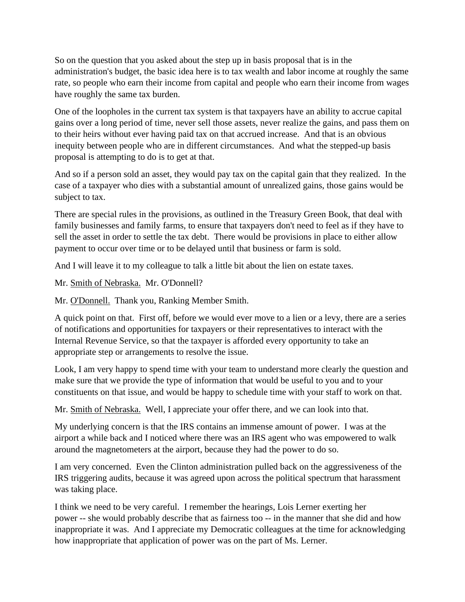So on the question that you asked about the step up in basis proposal that is in the administration's budget, the basic idea here is to tax wealth and labor income at roughly the same rate, so people who earn their income from capital and people who earn their income from wages have roughly the same tax burden.

One of the loopholes in the current tax system is that taxpayers have an ability to accrue capital gains over a long period of time, never sell those assets, never realize the gains, and pass them on to their heirs without ever having paid tax on that accrued increase. And that is an obvious inequity between people who are in different circumstances. And what the stepped-up basis proposal is attempting to do is to get at that.

And so if a person sold an asset, they would pay tax on the capital gain that they realized. In the case of a taxpayer who dies with a substantial amount of unrealized gains, those gains would be subject to tax.

There are special rules in the provisions, as outlined in the Treasury Green Book, that deal with family businesses and family farms, to ensure that taxpayers don't need to feel as if they have to sell the asset in order to settle the tax debt. There would be provisions in place to either allow payment to occur over time or to be delayed until that business or farm is sold.

And I will leave it to my colleague to talk a little bit about the lien on estate taxes.

Mr. Smith of Nebraska. Mr. O'Donnell?

Mr. O'Donnell. Thank you, Ranking Member Smith.

A quick point on that. First off, before we would ever move to a lien or a levy, there are a series of notifications and opportunities for taxpayers or their representatives to interact with the Internal Revenue Service, so that the taxpayer is afforded every opportunity to take an appropriate step or arrangements to resolve the issue.

Look, I am very happy to spend time with your team to understand more clearly the question and make sure that we provide the type of information that would be useful to you and to your constituents on that issue, and would be happy to schedule time with your staff to work on that.

Mr. Smith of Nebraska. Well, I appreciate your offer there, and we can look into that.

My underlying concern is that the IRS contains an immense amount of power. I was at the airport a while back and I noticed where there was an IRS agent who was empowered to walk around the magnetometers at the airport, because they had the power to do so.

I am very concerned. Even the Clinton administration pulled back on the aggressiveness of the IRS triggering audits, because it was agreed upon across the political spectrum that harassment was taking place.

I think we need to be very careful. I remember the hearings, Lois Lerner exerting her power -- she would probably describe that as fairness too -- in the manner that she did and how inappropriate it was. And I appreciate my Democratic colleagues at the time for acknowledging how inappropriate that application of power was on the part of Ms. Lerner.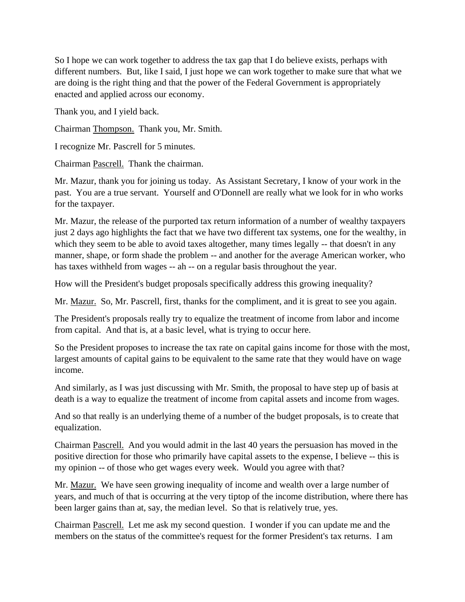So I hope we can work together to address the tax gap that I do believe exists, perhaps with different numbers. But, like I said, I just hope we can work together to make sure that what we are doing is the right thing and that the power of the Federal Government is appropriately enacted and applied across our economy.

Thank you, and I yield back.

Chairman Thompson. Thank you, Mr. Smith.

I recognize Mr. Pascrell for 5 minutes.

Chairman Pascrell. Thank the chairman.

Mr. Mazur, thank you for joining us today. As Assistant Secretary, I know of your work in the past. You are a true servant. Yourself and O'Donnell are really what we look for in who works for the taxpayer.

Mr. Mazur, the release of the purported tax return information of a number of wealthy taxpayers just 2 days ago highlights the fact that we have two different tax systems, one for the wealthy, in which they seem to be able to avoid taxes altogether, many times legally -- that doesn't in any manner, shape, or form shade the problem -- and another for the average American worker, who has taxes withheld from wages -- ah -- on a regular basis throughout the year.

How will the President's budget proposals specifically address this growing inequality?

Mr. Mazur. So, Mr. Pascrell, first, thanks for the compliment, and it is great to see you again.

The President's proposals really try to equalize the treatment of income from labor and income from capital. And that is, at a basic level, what is trying to occur here.

So the President proposes to increase the tax rate on capital gains income for those with the most, largest amounts of capital gains to be equivalent to the same rate that they would have on wage income.

And similarly, as I was just discussing with Mr. Smith, the proposal to have step up of basis at death is a way to equalize the treatment of income from capital assets and income from wages.

And so that really is an underlying theme of a number of the budget proposals, is to create that equalization.

Chairman Pascrell. And you would admit in the last 40 years the persuasion has moved in the positive direction for those who primarily have capital assets to the expense, I believe -- this is my opinion -- of those who get wages every week. Would you agree with that?

Mr. Mazur. We have seen growing inequality of income and wealth over a large number of years, and much of that is occurring at the very tiptop of the income distribution, where there has been larger gains than at, say, the median level. So that is relatively true, yes.

Chairman Pascrell. Let me ask my second question. I wonder if you can update me and the members on the status of the committee's request for the former President's tax returns. I am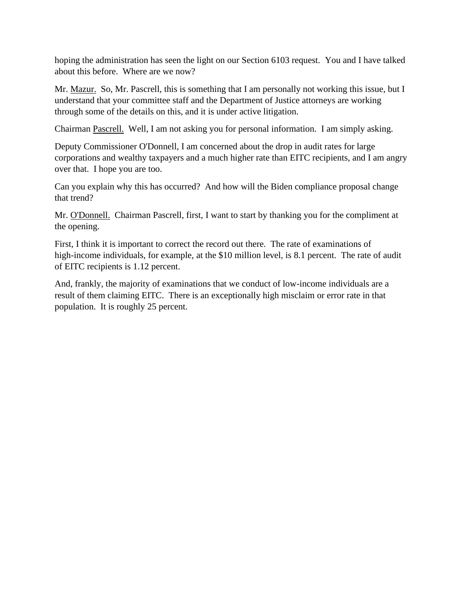hoping the administration has seen the light on our Section 6103 request. You and I have talked about this before. Where are we now?

Mr. Mazur. So, Mr. Pascrell, this is something that I am personally not working this issue, but I understand that your committee staff and the Department of Justice attorneys are working through some of the details on this, and it is under active litigation.

Chairman Pascrell. Well, I am not asking you for personal information. I am simply asking.

Deputy Commissioner O'Donnell, I am concerned about the drop in audit rates for large corporations and wealthy taxpayers and a much higher rate than EITC recipients, and I am angry over that. I hope you are too.

Can you explain why this has occurred? And how will the Biden compliance proposal change that trend?

Mr. O'Donnell. Chairman Pascrell, first, I want to start by thanking you for the compliment at the opening.

First, I think it is important to correct the record out there. The rate of examinations of high-income individuals, for example, at the \$10 million level, is 8.1 percent. The rate of audit of EITC recipients is 1.12 percent.

And, frankly, the majority of examinations that we conduct of low-income individuals are a result of them claiming EITC. There is an exceptionally high misclaim or error rate in that population. It is roughly 25 percent.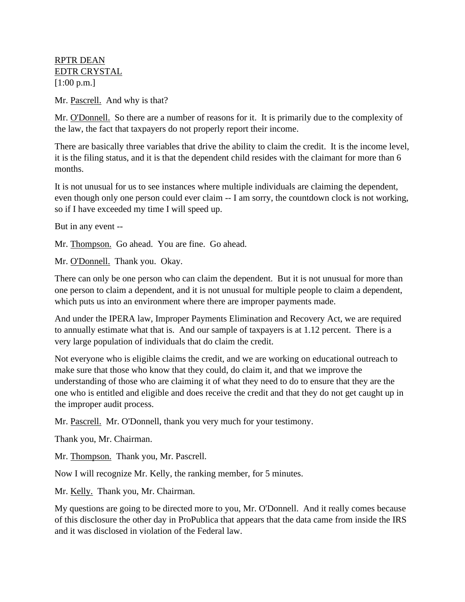RPTR DEAN EDTR CRYSTAL [1:00 p.m.]

Mr. Pascrell. And why is that?

Mr. O'Donnell. So there are a number of reasons for it. It is primarily due to the complexity of the law, the fact that taxpayers do not properly report their income.

There are basically three variables that drive the ability to claim the credit. It is the income level, it is the filing status, and it is that the dependent child resides with the claimant for more than 6 months.

It is not unusual for us to see instances where multiple individuals are claiming the dependent, even though only one person could ever claim -- I am sorry, the countdown clock is not working, so if I have exceeded my time I will speed up.

But in any event --

Mr. Thompson. Go ahead. You are fine. Go ahead.

Mr. O'Donnell. Thank you. Okay.

There can only be one person who can claim the dependent. But it is not unusual for more than one person to claim a dependent, and it is not unusual for multiple people to claim a dependent, which puts us into an environment where there are improper payments made.

And under the IPERA law, Improper Payments Elimination and Recovery Act, we are required to annually estimate what that is. And our sample of taxpayers is at 1.12 percent. There is a very large population of individuals that do claim the credit.

Not everyone who is eligible claims the credit, and we are working on educational outreach to make sure that those who know that they could, do claim it, and that we improve the understanding of those who are claiming it of what they need to do to ensure that they are the one who is entitled and eligible and does receive the credit and that they do not get caught up in the improper audit process.

Mr. Pascrell. Mr. O'Donnell, thank you very much for your testimony.

Thank you, Mr. Chairman.

Mr. Thompson. Thank you, Mr. Pascrell.

Now I will recognize Mr. Kelly, the ranking member, for 5 minutes.

Mr. Kelly. Thank you, Mr. Chairman.

My questions are going to be directed more to you, Mr. O'Donnell. And it really comes because of this disclosure the other day in ProPublica that appears that the data came from inside the IRS and it was disclosed in violation of the Federal law.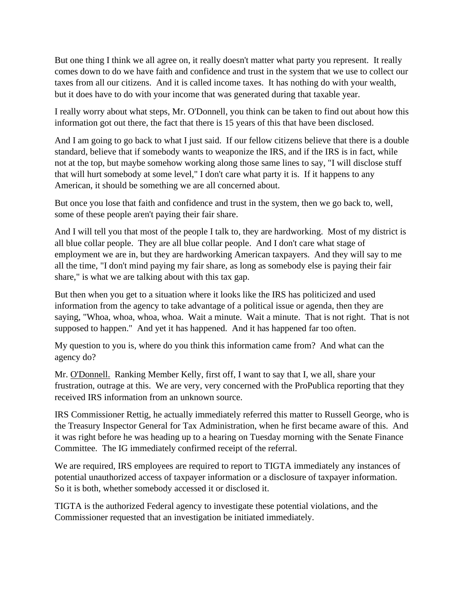But one thing I think we all agree on, it really doesn't matter what party you represent. It really comes down to do we have faith and confidence and trust in the system that we use to collect our taxes from all our citizens. And it is called income taxes. It has nothing do with your wealth, but it does have to do with your income that was generated during that taxable year.

I really worry about what steps, Mr. O'Donnell, you think can be taken to find out about how this information got out there, the fact that there is 15 years of this that have been disclosed.

And I am going to go back to what I just said. If our fellow citizens believe that there is a double standard, believe that if somebody wants to weaponize the IRS, and if the IRS is in fact, while not at the top, but maybe somehow working along those same lines to say, "I will disclose stuff that will hurt somebody at some level," I don't care what party it is. If it happens to any American, it should be something we are all concerned about.

But once you lose that faith and confidence and trust in the system, then we go back to, well, some of these people aren't paying their fair share.

And I will tell you that most of the people I talk to, they are hardworking. Most of my district is all blue collar people. They are all blue collar people. And I don't care what stage of employment we are in, but they are hardworking American taxpayers. And they will say to me all the time, "I don't mind paying my fair share, as long as somebody else is paying their fair share," is what we are talking about with this tax gap.

But then when you get to a situation where it looks like the IRS has politicized and used information from the agency to take advantage of a political issue or agenda, then they are saying, "Whoa, whoa, whoa, whoa. Wait a minute. Wait a minute. That is not right. That is not supposed to happen." And yet it has happened. And it has happened far too often.

My question to you is, where do you think this information came from? And what can the agency do?

Mr. O'Donnell. Ranking Member Kelly, first off, I want to say that I, we all, share your frustration, outrage at this. We are very, very concerned with the ProPublica reporting that they received IRS information from an unknown source.

IRS Commissioner Rettig, he actually immediately referred this matter to Russell George, who is the Treasury Inspector General for Tax Administration, when he first became aware of this. And it was right before he was heading up to a hearing on Tuesday morning with the Senate Finance Committee. The IG immediately confirmed receipt of the referral.

We are required, IRS employees are required to report to TIGTA immediately any instances of potential unauthorized access of taxpayer information or a disclosure of taxpayer information. So it is both, whether somebody accessed it or disclosed it.

TIGTA is the authorized Federal agency to investigate these potential violations, and the Commissioner requested that an investigation be initiated immediately.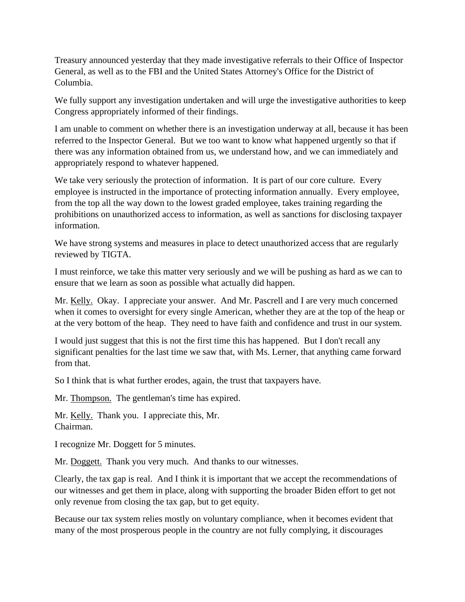Treasury announced yesterday that they made investigative referrals to their Office of Inspector General, as well as to the FBI and the United States Attorney's Office for the District of Columbia.

We fully support any investigation undertaken and will urge the investigative authorities to keep Congress appropriately informed of their findings.

I am unable to comment on whether there is an investigation underway at all, because it has been referred to the Inspector General. But we too want to know what happened urgently so that if there was any information obtained from us, we understand how, and we can immediately and appropriately respond to whatever happened.

We take very seriously the protection of information. It is part of our core culture. Every employee is instructed in the importance of protecting information annually. Every employee, from the top all the way down to the lowest graded employee, takes training regarding the prohibitions on unauthorized access to information, as well as sanctions for disclosing taxpayer information.

We have strong systems and measures in place to detect unauthorized access that are regularly reviewed by TIGTA.

I must reinforce, we take this matter very seriously and we will be pushing as hard as we can to ensure that we learn as soon as possible what actually did happen.

Mr. Kelly. Okay. I appreciate your answer. And Mr. Pascrell and I are very much concerned when it comes to oversight for every single American, whether they are at the top of the heap or at the very bottom of the heap. They need to have faith and confidence and trust in our system.

I would just suggest that this is not the first time this has happened. But I don't recall any significant penalties for the last time we saw that, with Ms. Lerner, that anything came forward from that.

So I think that is what further erodes, again, the trust that taxpayers have.

Mr. Thompson. The gentleman's time has expired.

Mr. Kelly. Thank you. I appreciate this, Mr. Chairman.

I recognize Mr. Doggett for 5 minutes.

Mr. Doggett. Thank you very much. And thanks to our witnesses.

Clearly, the tax gap is real. And I think it is important that we accept the recommendations of our witnesses and get them in place, along with supporting the broader Biden effort to get not only revenue from closing the tax gap, but to get equity.

Because our tax system relies mostly on voluntary compliance, when it becomes evident that many of the most prosperous people in the country are not fully complying, it discourages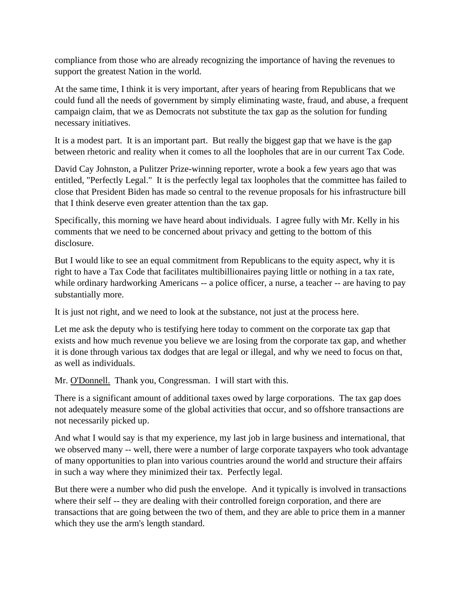compliance from those who are already recognizing the importance of having the revenues to support the greatest Nation in the world.

At the same time, I think it is very important, after years of hearing from Republicans that we could fund all the needs of government by simply eliminating waste, fraud, and abuse, a frequent campaign claim, that we as Democrats not substitute the tax gap as the solution for funding necessary initiatives.

It is a modest part. It is an important part. But really the biggest gap that we have is the gap between rhetoric and reality when it comes to all the loopholes that are in our current Tax Code.

David Cay Johnston, a Pulitzer Prize-winning reporter, wrote a book a few years ago that was entitled, "Perfectly Legal." It is the perfectly legal tax loopholes that the committee has failed to close that President Biden has made so central to the revenue proposals for his infrastructure bill that I think deserve even greater attention than the tax gap.

Specifically, this morning we have heard about individuals. I agree fully with Mr. Kelly in his comments that we need to be concerned about privacy and getting to the bottom of this disclosure.

But I would like to see an equal commitment from Republicans to the equity aspect, why it is right to have a Tax Code that facilitates multibillionaires paying little or nothing in a tax rate, while ordinary hardworking Americans -- a police officer, a nurse, a teacher -- are having to pay substantially more.

It is just not right, and we need to look at the substance, not just at the process here.

Let me ask the deputy who is testifying here today to comment on the corporate tax gap that exists and how much revenue you believe we are losing from the corporate tax gap, and whether it is done through various tax dodges that are legal or illegal, and why we need to focus on that, as well as individuals.

Mr. O'Donnell. Thank you, Congressman. I will start with this.

There is a significant amount of additional taxes owed by large corporations. The tax gap does not adequately measure some of the global activities that occur, and so offshore transactions are not necessarily picked up.

And what I would say is that my experience, my last job in large business and international, that we observed many -- well, there were a number of large corporate taxpayers who took advantage of many opportunities to plan into various countries around the world and structure their affairs in such a way where they minimized their tax. Perfectly legal.

But there were a number who did push the envelope. And it typically is involved in transactions where their self -- they are dealing with their controlled foreign corporation, and there are transactions that are going between the two of them, and they are able to price them in a manner which they use the arm's length standard.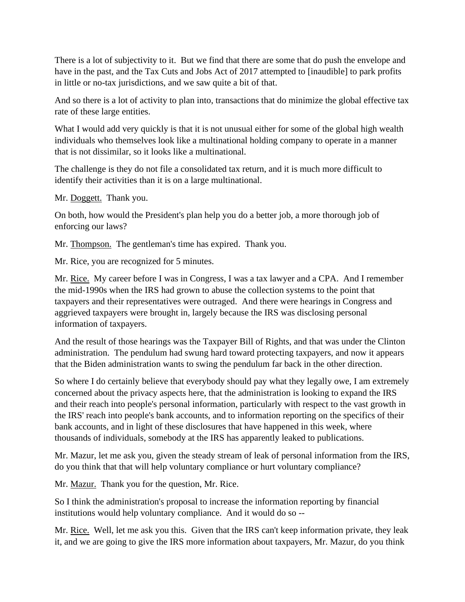There is a lot of subjectivity to it. But we find that there are some that do push the envelope and have in the past, and the Tax Cuts and Jobs Act of 2017 attempted to [inaudible] to park profits in little or no-tax jurisdictions, and we saw quite a bit of that.

And so there is a lot of activity to plan into, transactions that do minimize the global effective tax rate of these large entities.

What I would add very quickly is that it is not unusual either for some of the global high wealth individuals who themselves look like a multinational holding company to operate in a manner that is not dissimilar, so it looks like a multinational.

The challenge is they do not file a consolidated tax return, and it is much more difficult to identify their activities than it is on a large multinational.

Mr. Doggett. Thank you.

On both, how would the President's plan help you do a better job, a more thorough job of enforcing our laws?

Mr. Thompson. The gentleman's time has expired. Thank you.

Mr. Rice, you are recognized for 5 minutes.

Mr. Rice. My career before I was in Congress, I was a tax lawyer and a CPA. And I remember the mid-1990s when the IRS had grown to abuse the collection systems to the point that taxpayers and their representatives were outraged. And there were hearings in Congress and aggrieved taxpayers were brought in, largely because the IRS was disclosing personal information of taxpayers.

And the result of those hearings was the Taxpayer Bill of Rights, and that was under the Clinton administration. The pendulum had swung hard toward protecting taxpayers, and now it appears that the Biden administration wants to swing the pendulum far back in the other direction.

So where I do certainly believe that everybody should pay what they legally owe, I am extremely concerned about the privacy aspects here, that the administration is looking to expand the IRS and their reach into people's personal information, particularly with respect to the vast growth in the IRS' reach into people's bank accounts, and to information reporting on the specifics of their bank accounts, and in light of these disclosures that have happened in this week, where thousands of individuals, somebody at the IRS has apparently leaked to publications.

Mr. Mazur, let me ask you, given the steady stream of leak of personal information from the IRS, do you think that that will help voluntary compliance or hurt voluntary compliance?

Mr. Mazur. Thank you for the question, Mr. Rice.

So I think the administration's proposal to increase the information reporting by financial institutions would help voluntary compliance. And it would do so --

Mr. Rice. Well, let me ask you this. Given that the IRS can't keep information private, they leak it, and we are going to give the IRS more information about taxpayers, Mr. Mazur, do you think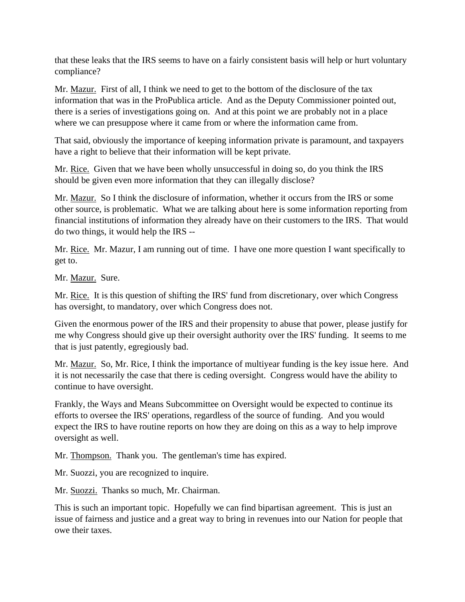that these leaks that the IRS seems to have on a fairly consistent basis will help or hurt voluntary compliance?

Mr. Mazur. First of all, I think we need to get to the bottom of the disclosure of the tax information that was in the ProPublica article. And as the Deputy Commissioner pointed out, there is a series of investigations going on. And at this point we are probably not in a place where we can presuppose where it came from or where the information came from.

That said, obviously the importance of keeping information private is paramount, and taxpayers have a right to believe that their information will be kept private.

Mr. Rice. Given that we have been wholly unsuccessful in doing so, do you think the IRS should be given even more information that they can illegally disclose?

Mr. Mazur. So I think the disclosure of information, whether it occurs from the IRS or some other source, is problematic. What we are talking about here is some information reporting from financial institutions of information they already have on their customers to the IRS. That would do two things, it would help the IRS --

Mr. Rice. Mr. Mazur, I am running out of time. I have one more question I want specifically to get to.

Mr. Mazur. Sure.

Mr. Rice. It is this question of shifting the IRS' fund from discretionary, over which Congress has oversight, to mandatory, over which Congress does not.

Given the enormous power of the IRS and their propensity to abuse that power, please justify for me why Congress should give up their oversight authority over the IRS' funding. It seems to me that is just patently, egregiously bad.

Mr. Mazur. So, Mr. Rice, I think the importance of multiyear funding is the key issue here. And it is not necessarily the case that there is ceding oversight. Congress would have the ability to continue to have oversight.

Frankly, the Ways and Means Subcommittee on Oversight would be expected to continue its efforts to oversee the IRS' operations, regardless of the source of funding. And you would expect the IRS to have routine reports on how they are doing on this as a way to help improve oversight as well.

Mr. Thompson. Thank you. The gentleman's time has expired.

Mr. Suozzi, you are recognized to inquire.

Mr. Suozzi. Thanks so much, Mr. Chairman.

This is such an important topic. Hopefully we can find bipartisan agreement. This is just an issue of fairness and justice and a great way to bring in revenues into our Nation for people that owe their taxes.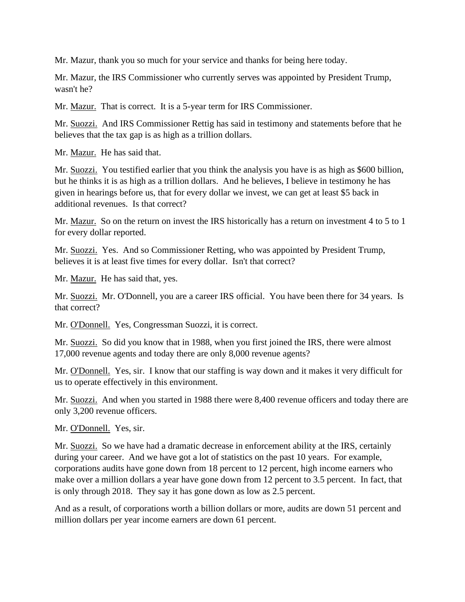Mr. Mazur, thank you so much for your service and thanks for being here today.

Mr. Mazur, the IRS Commissioner who currently serves was appointed by President Trump, wasn't he?

Mr. Mazur. That is correct. It is a 5-year term for IRS Commissioner.

Mr. Suozzi. And IRS Commissioner Rettig has said in testimony and statements before that he believes that the tax gap is as high as a trillion dollars.

Mr. Mazur. He has said that.

Mr. Suozzi. You testified earlier that you think the analysis you have is as high as \$600 billion, but he thinks it is as high as a trillion dollars. And he believes, I believe in testimony he has given in hearings before us, that for every dollar we invest, we can get at least \$5 back in additional revenues. Is that correct?

Mr. Mazur. So on the return on invest the IRS historically has a return on investment 4 to 5 to 1 for every dollar reported.

Mr. Suozzi. Yes. And so Commissioner Retting, who was appointed by President Trump, believes it is at least five times for every dollar. Isn't that correct?

Mr. Mazur. He has said that, yes.

Mr. Suozzi. Mr. O'Donnell, you are a career IRS official. You have been there for 34 years. Is that correct?

Mr. O'Donnell. Yes, Congressman Suozzi, it is correct.

Mr. Suozzi. So did you know that in 1988, when you first joined the IRS, there were almost 17,000 revenue agents and today there are only 8,000 revenue agents?

Mr. O'Donnell. Yes, sir. I know that our staffing is way down and it makes it very difficult for us to operate effectively in this environment.

Mr. Suozzi. And when you started in 1988 there were 8,400 revenue officers and today there are only 3,200 revenue officers.

Mr. O'Donnell. Yes, sir.

Mr. Suozzi. So we have had a dramatic decrease in enforcement ability at the IRS, certainly during your career. And we have got a lot of statistics on the past 10 years. For example, corporations audits have gone down from 18 percent to 12 percent, high income earners who make over a million dollars a year have gone down from 12 percent to 3.5 percent. In fact, that is only through 2018. They say it has gone down as low as 2.5 percent.

And as a result, of corporations worth a billion dollars or more, audits are down 51 percent and million dollars per year income earners are down 61 percent.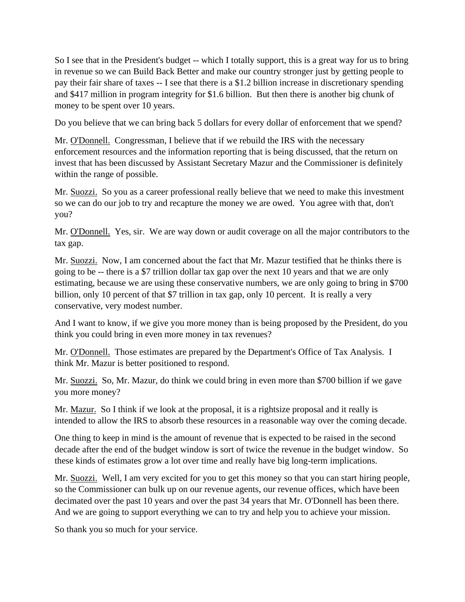So I see that in the President's budget -- which I totally support, this is a great way for us to bring in revenue so we can Build Back Better and make our country stronger just by getting people to pay their fair share of taxes -- I see that there is a \$1.2 billion increase in discretionary spending and \$417 million in program integrity for \$1.6 billion. But then there is another big chunk of money to be spent over 10 years.

Do you believe that we can bring back 5 dollars for every dollar of enforcement that we spend?

Mr. O'Donnell. Congressman, I believe that if we rebuild the IRS with the necessary enforcement resources and the information reporting that is being discussed, that the return on invest that has been discussed by Assistant Secretary Mazur and the Commissioner is definitely within the range of possible.

Mr. Suozzi. So you as a career professional really believe that we need to make this investment so we can do our job to try and recapture the money we are owed. You agree with that, don't you?

Mr. O'Donnell. Yes, sir. We are way down or audit coverage on all the major contributors to the tax gap.

Mr. Suozzi. Now, I am concerned about the fact that Mr. Mazur testified that he thinks there is going to be -- there is a \$7 trillion dollar tax gap over the next 10 years and that we are only estimating, because we are using these conservative numbers, we are only going to bring in \$700 billion, only 10 percent of that \$7 trillion in tax gap, only 10 percent. It is really a very conservative, very modest number.

And I want to know, if we give you more money than is being proposed by the President, do you think you could bring in even more money in tax revenues?

Mr. O'Donnell. Those estimates are prepared by the Department's Office of Tax Analysis. I think Mr. Mazur is better positioned to respond.

Mr. Suozzi. So, Mr. Mazur, do think we could bring in even more than \$700 billion if we gave you more money?

Mr. Mazur. So I think if we look at the proposal, it is a rightsize proposal and it really is intended to allow the IRS to absorb these resources in a reasonable way over the coming decade.

One thing to keep in mind is the amount of revenue that is expected to be raised in the second decade after the end of the budget window is sort of twice the revenue in the budget window. So these kinds of estimates grow a lot over time and really have big long-term implications.

Mr. Suozzi. Well, I am very excited for you to get this money so that you can start hiring people, so the Commissioner can bulk up on our revenue agents, our revenue offices, which have been decimated over the past 10 years and over the past 34 years that Mr. O'Donnell has been there. And we are going to support everything we can to try and help you to achieve your mission.

So thank you so much for your service.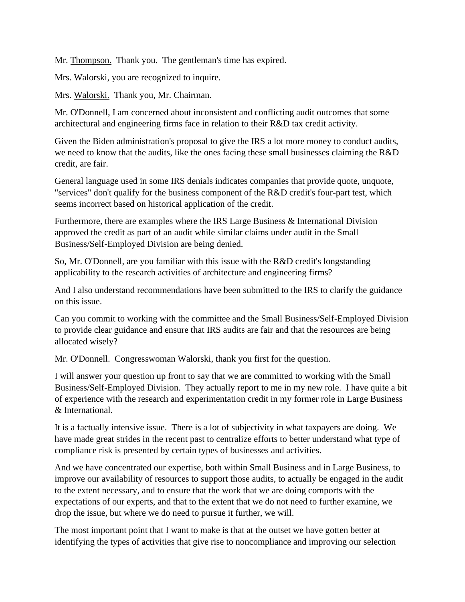Mr. Thompson. Thank you. The gentleman's time has expired.

Mrs. Walorski, you are recognized to inquire.

Mrs. Walorski. Thank you, Mr. Chairman.

Mr. O'Donnell, I am concerned about inconsistent and conflicting audit outcomes that some architectural and engineering firms face in relation to their R&D tax credit activity.

Given the Biden administration's proposal to give the IRS a lot more money to conduct audits, we need to know that the audits, like the ones facing these small businesses claiming the R&D credit, are fair.

General language used in some IRS denials indicates companies that provide quote, unquote, "services" don't qualify for the business component of the R&D credit's four-part test, which seems incorrect based on historical application of the credit.

Furthermore, there are examples where the IRS Large Business & International Division approved the credit as part of an audit while similar claims under audit in the Small Business/Self-Employed Division are being denied.

So, Mr. O'Donnell, are you familiar with this issue with the R&D credit's longstanding applicability to the research activities of architecture and engineering firms?

And I also understand recommendations have been submitted to the IRS to clarify the guidance on this issue.

Can you commit to working with the committee and the Small Business/Self-Employed Division to provide clear guidance and ensure that IRS audits are fair and that the resources are being allocated wisely?

Mr. O'Donnell. Congresswoman Walorski, thank you first for the question.

I will answer your question up front to say that we are committed to working with the Small Business/Self-Employed Division. They actually report to me in my new role. I have quite a bit of experience with the research and experimentation credit in my former role in Large Business & International.

It is a factually intensive issue. There is a lot of subjectivity in what taxpayers are doing. We have made great strides in the recent past to centralize efforts to better understand what type of compliance risk is presented by certain types of businesses and activities.

And we have concentrated our expertise, both within Small Business and in Large Business, to improve our availability of resources to support those audits, to actually be engaged in the audit to the extent necessary, and to ensure that the work that we are doing comports with the expectations of our experts, and that to the extent that we do not need to further examine, we drop the issue, but where we do need to pursue it further, we will.

The most important point that I want to make is that at the outset we have gotten better at identifying the types of activities that give rise to noncompliance and improving our selection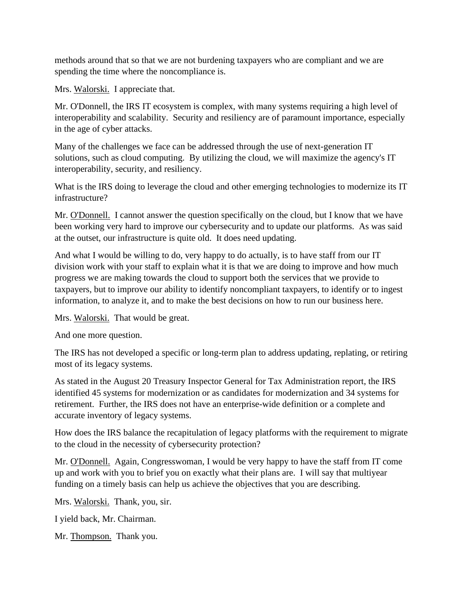methods around that so that we are not burdening taxpayers who are compliant and we are spending the time where the noncompliance is.

Mrs. Walorski. I appreciate that.

Mr. O'Donnell, the IRS IT ecosystem is complex, with many systems requiring a high level of interoperability and scalability. Security and resiliency are of paramount importance, especially in the age of cyber attacks.

Many of the challenges we face can be addressed through the use of next-generation IT solutions, such as cloud computing. By utilizing the cloud, we will maximize the agency's IT interoperability, security, and resiliency.

What is the IRS doing to leverage the cloud and other emerging technologies to modernize its IT infrastructure?

Mr. O'Donnell. I cannot answer the question specifically on the cloud, but I know that we have been working very hard to improve our cybersecurity and to update our platforms. As was said at the outset, our infrastructure is quite old. It does need updating.

And what I would be willing to do, very happy to do actually, is to have staff from our IT division work with your staff to explain what it is that we are doing to improve and how much progress we are making towards the cloud to support both the services that we provide to taxpayers, but to improve our ability to identify noncompliant taxpayers, to identify or to ingest information, to analyze it, and to make the best decisions on how to run our business here.

Mrs. Walorski. That would be great.

And one more question.

The IRS has not developed a specific or long-term plan to address updating, replating, or retiring most of its legacy systems.

As stated in the August 20 Treasury Inspector General for Tax Administration report, the IRS identified 45 systems for modernization or as candidates for modernization and 34 systems for retirement. Further, the IRS does not have an enterprise-wide definition or a complete and accurate inventory of legacy systems.

How does the IRS balance the recapitulation of legacy platforms with the requirement to migrate to the cloud in the necessity of cybersecurity protection?

Mr. O'Donnell. Again, Congresswoman, I would be very happy to have the staff from IT come up and work with you to brief you on exactly what their plans are. I will say that multiyear funding on a timely basis can help us achieve the objectives that you are describing.

Mrs. Walorski. Thank, you, sir.

I yield back, Mr. Chairman.

Mr. Thompson. Thank you.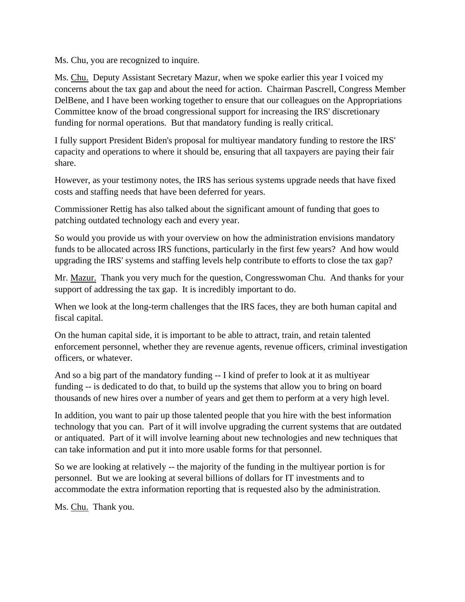Ms. Chu, you are recognized to inquire.

Ms. Chu. Deputy Assistant Secretary Mazur, when we spoke earlier this year I voiced my concerns about the tax gap and about the need for action. Chairman Pascrell, Congress Member DelBene, and I have been working together to ensure that our colleagues on the Appropriations Committee know of the broad congressional support for increasing the IRS' discretionary funding for normal operations. But that mandatory funding is really critical.

I fully support President Biden's proposal for multiyear mandatory funding to restore the IRS' capacity and operations to where it should be, ensuring that all taxpayers are paying their fair share.

However, as your testimony notes, the IRS has serious systems upgrade needs that have fixed costs and staffing needs that have been deferred for years.

Commissioner Rettig has also talked about the significant amount of funding that goes to patching outdated technology each and every year.

So would you provide us with your overview on how the administration envisions mandatory funds to be allocated across IRS functions, particularly in the first few years? And how would upgrading the IRS' systems and staffing levels help contribute to efforts to close the tax gap?

Mr. Mazur. Thank you very much for the question, Congresswoman Chu. And thanks for your support of addressing the tax gap. It is incredibly important to do.

When we look at the long-term challenges that the IRS faces, they are both human capital and fiscal capital.

On the human capital side, it is important to be able to attract, train, and retain talented enforcement personnel, whether they are revenue agents, revenue officers, criminal investigation officers, or whatever.

And so a big part of the mandatory funding -- I kind of prefer to look at it as multiyear funding -- is dedicated to do that, to build up the systems that allow you to bring on board thousands of new hires over a number of years and get them to perform at a very high level.

In addition, you want to pair up those talented people that you hire with the best information technology that you can. Part of it will involve upgrading the current systems that are outdated or antiquated. Part of it will involve learning about new technologies and new techniques that can take information and put it into more usable forms for that personnel.

So we are looking at relatively -- the majority of the funding in the multiyear portion is for personnel. But we are looking at several billions of dollars for IT investments and to accommodate the extra information reporting that is requested also by the administration.

Ms. Chu. Thank you.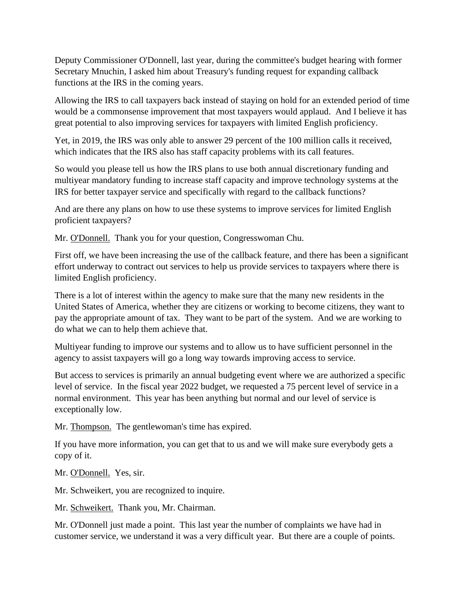Deputy Commissioner O'Donnell, last year, during the committee's budget hearing with former Secretary Mnuchin, I asked him about Treasury's funding request for expanding callback functions at the IRS in the coming years.

Allowing the IRS to call taxpayers back instead of staying on hold for an extended period of time would be a commonsense improvement that most taxpayers would applaud. And I believe it has great potential to also improving services for taxpayers with limited English proficiency.

Yet, in 2019, the IRS was only able to answer 29 percent of the 100 million calls it received, which indicates that the IRS also has staff capacity problems with its call features.

So would you please tell us how the IRS plans to use both annual discretionary funding and multiyear mandatory funding to increase staff capacity and improve technology systems at the IRS for better taxpayer service and specifically with regard to the callback functions?

And are there any plans on how to use these systems to improve services for limited English proficient taxpayers?

Mr. O'Donnell. Thank you for your question, Congresswoman Chu.

First off, we have been increasing the use of the callback feature, and there has been a significant effort underway to contract out services to help us provide services to taxpayers where there is limited English proficiency.

There is a lot of interest within the agency to make sure that the many new residents in the United States of America, whether they are citizens or working to become citizens, they want to pay the appropriate amount of tax. They want to be part of the system. And we are working to do what we can to help them achieve that.

Multiyear funding to improve our systems and to allow us to have sufficient personnel in the agency to assist taxpayers will go a long way towards improving access to service.

But access to services is primarily an annual budgeting event where we are authorized a specific level of service. In the fiscal year 2022 budget, we requested a 75 percent level of service in a normal environment. This year has been anything but normal and our level of service is exceptionally low.

Mr. Thompson. The gentlewoman's time has expired.

If you have more information, you can get that to us and we will make sure everybody gets a copy of it.

Mr. O'Donnell. Yes, sir.

Mr. Schweikert, you are recognized to inquire.

Mr. Schweikert. Thank you, Mr. Chairman.

Mr. O'Donnell just made a point. This last year the number of complaints we have had in customer service, we understand it was a very difficult year. But there are a couple of points.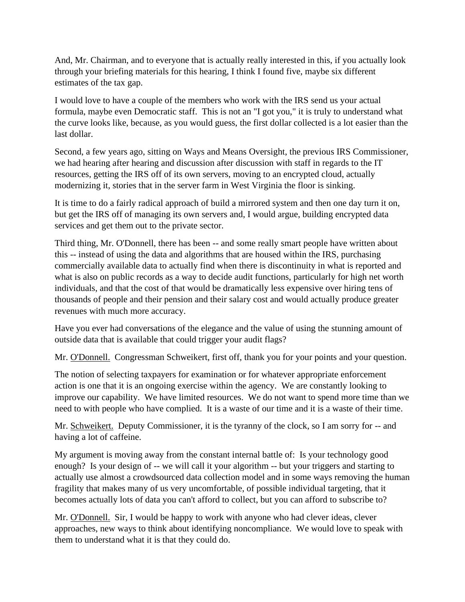And, Mr. Chairman, and to everyone that is actually really interested in this, if you actually look through your briefing materials for this hearing, I think I found five, maybe six different estimates of the tax gap.

I would love to have a couple of the members who work with the IRS send us your actual formula, maybe even Democratic staff. This is not an "I got you," it is truly to understand what the curve looks like, because, as you would guess, the first dollar collected is a lot easier than the last dollar.

Second, a few years ago, sitting on Ways and Means Oversight, the previous IRS Commissioner, we had hearing after hearing and discussion after discussion with staff in regards to the IT resources, getting the IRS off of its own servers, moving to an encrypted cloud, actually modernizing it, stories that in the server farm in West Virginia the floor is sinking.

It is time to do a fairly radical approach of build a mirrored system and then one day turn it on, but get the IRS off of managing its own servers and, I would argue, building encrypted data services and get them out to the private sector.

Third thing, Mr. O'Donnell, there has been -- and some really smart people have written about this -- instead of using the data and algorithms that are housed within the IRS, purchasing commercially available data to actually find when there is discontinuity in what is reported and what is also on public records as a way to decide audit functions, particularly for high net worth individuals, and that the cost of that would be dramatically less expensive over hiring tens of thousands of people and their pension and their salary cost and would actually produce greater revenues with much more accuracy.

Have you ever had conversations of the elegance and the value of using the stunning amount of outside data that is available that could trigger your audit flags?

Mr. O'Donnell. Congressman Schweikert, first off, thank you for your points and your question.

The notion of selecting taxpayers for examination or for whatever appropriate enforcement action is one that it is an ongoing exercise within the agency. We are constantly looking to improve our capability. We have limited resources. We do not want to spend more time than we need to with people who have complied. It is a waste of our time and it is a waste of their time.

Mr. Schweikert. Deputy Commissioner, it is the tyranny of the clock, so I am sorry for -- and having a lot of caffeine.

My argument is moving away from the constant internal battle of: Is your technology good enough? Is your design of -- we will call it your algorithm -- but your triggers and starting to actually use almost a crowdsourced data collection model and in some ways removing the human fragility that makes many of us very uncomfortable, of possible individual targeting, that it becomes actually lots of data you can't afford to collect, but you can afford to subscribe to?

Mr. O'Donnell. Sir, I would be happy to work with anyone who had clever ideas, clever approaches, new ways to think about identifying noncompliance. We would love to speak with them to understand what it is that they could do.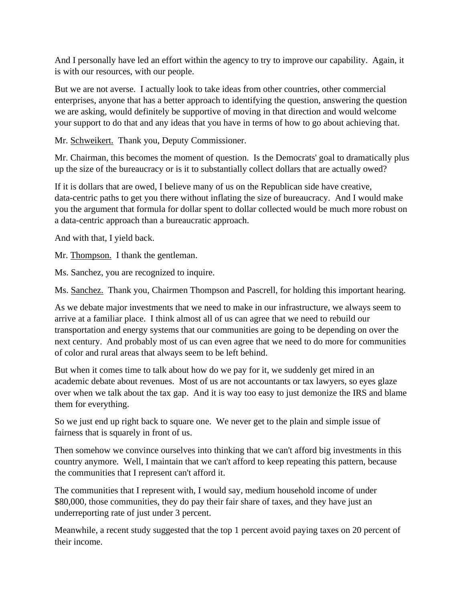And I personally have led an effort within the agency to try to improve our capability. Again, it is with our resources, with our people.

But we are not averse. I actually look to take ideas from other countries, other commercial enterprises, anyone that has a better approach to identifying the question, answering the question we are asking, would definitely be supportive of moving in that direction and would welcome your support to do that and any ideas that you have in terms of how to go about achieving that.

Mr. Schweikert. Thank you, Deputy Commissioner.

Mr. Chairman, this becomes the moment of question. Is the Democrats' goal to dramatically plus up the size of the bureaucracy or is it to substantially collect dollars that are actually owed?

If it is dollars that are owed, I believe many of us on the Republican side have creative, data-centric paths to get you there without inflating the size of bureaucracy. And I would make you the argument that formula for dollar spent to dollar collected would be much more robust on a data-centric approach than a bureaucratic approach.

And with that, I yield back.

Mr. Thompson. I thank the gentleman.

Ms. Sanchez, you are recognized to inquire.

Ms. Sanchez. Thank you, Chairmen Thompson and Pascrell, for holding this important hearing.

As we debate major investments that we need to make in our infrastructure, we always seem to arrive at a familiar place. I think almost all of us can agree that we need to rebuild our transportation and energy systems that our communities are going to be depending on over the next century. And probably most of us can even agree that we need to do more for communities of color and rural areas that always seem to be left behind.

But when it comes time to talk about how do we pay for it, we suddenly get mired in an academic debate about revenues. Most of us are not accountants or tax lawyers, so eyes glaze over when we talk about the tax gap. And it is way too easy to just demonize the IRS and blame them for everything.

So we just end up right back to square one. We never get to the plain and simple issue of fairness that is squarely in front of us.

Then somehow we convince ourselves into thinking that we can't afford big investments in this country anymore. Well, I maintain that we can't afford to keep repeating this pattern, because the communities that I represent can't afford it.

The communities that I represent with, I would say, medium household income of under \$80,000, those communities, they do pay their fair share of taxes, and they have just an underreporting rate of just under 3 percent.

Meanwhile, a recent study suggested that the top 1 percent avoid paying taxes on 20 percent of their income.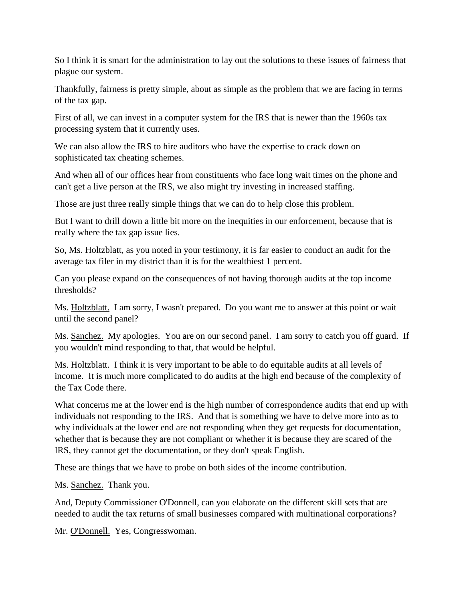So I think it is smart for the administration to lay out the solutions to these issues of fairness that plague our system.

Thankfully, fairness is pretty simple, about as simple as the problem that we are facing in terms of the tax gap.

First of all, we can invest in a computer system for the IRS that is newer than the 1960s tax processing system that it currently uses.

We can also allow the IRS to hire auditors who have the expertise to crack down on sophisticated tax cheating schemes.

And when all of our offices hear from constituents who face long wait times on the phone and can't get a live person at the IRS, we also might try investing in increased staffing.

Those are just three really simple things that we can do to help close this problem.

But I want to drill down a little bit more on the inequities in our enforcement, because that is really where the tax gap issue lies.

So, Ms. Holtzblatt, as you noted in your testimony, it is far easier to conduct an audit for the average tax filer in my district than it is for the wealthiest 1 percent.

Can you please expand on the consequences of not having thorough audits at the top income thresholds?

Ms. Holtzblatt. I am sorry, I wasn't prepared. Do you want me to answer at this point or wait until the second panel?

Ms. Sanchez. My apologies. You are on our second panel. I am sorry to catch you off guard. If you wouldn't mind responding to that, that would be helpful.

Ms. Holtzblatt. I think it is very important to be able to do equitable audits at all levels of income. It is much more complicated to do audits at the high end because of the complexity of the Tax Code there.

What concerns me at the lower end is the high number of correspondence audits that end up with individuals not responding to the IRS. And that is something we have to delve more into as to why individuals at the lower end are not responding when they get requests for documentation, whether that is because they are not compliant or whether it is because they are scared of the IRS, they cannot get the documentation, or they don't speak English.

These are things that we have to probe on both sides of the income contribution.

Ms. Sanchez. Thank you.

And, Deputy Commissioner O'Donnell, can you elaborate on the different skill sets that are needed to audit the tax returns of small businesses compared with multinational corporations?

Mr. O'Donnell. Yes, Congresswoman.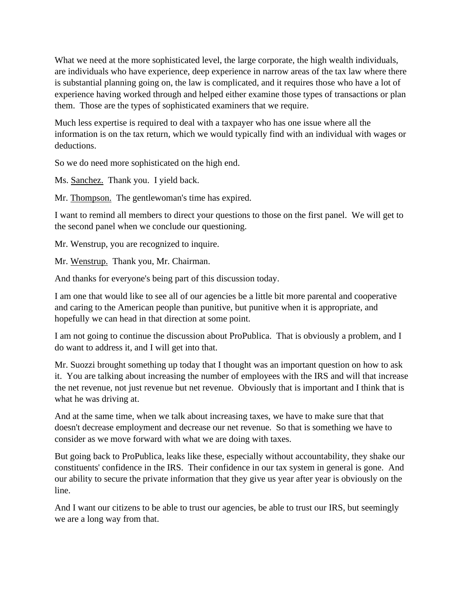What we need at the more sophisticated level, the large corporate, the high wealth individuals, are individuals who have experience, deep experience in narrow areas of the tax law where there is substantial planning going on, the law is complicated, and it requires those who have a lot of experience having worked through and helped either examine those types of transactions or plan them. Those are the types of sophisticated examiners that we require.

Much less expertise is required to deal with a taxpayer who has one issue where all the information is on the tax return, which we would typically find with an individual with wages or deductions.

So we do need more sophisticated on the high end.

Ms. Sanchez. Thank you. I yield back.

Mr. Thompson. The gentlewoman's time has expired.

I want to remind all members to direct your questions to those on the first panel. We will get to the second panel when we conclude our questioning.

Mr. Wenstrup, you are recognized to inquire.

Mr. Wenstrup. Thank you, Mr. Chairman.

And thanks for everyone's being part of this discussion today.

I am one that would like to see all of our agencies be a little bit more parental and cooperative and caring to the American people than punitive, but punitive when it is appropriate, and hopefully we can head in that direction at some point.

I am not going to continue the discussion about ProPublica. That is obviously a problem, and I do want to address it, and I will get into that.

Mr. Suozzi brought something up today that I thought was an important question on how to ask it. You are talking about increasing the number of employees with the IRS and will that increase the net revenue, not just revenue but net revenue. Obviously that is important and I think that is what he was driving at.

And at the same time, when we talk about increasing taxes, we have to make sure that that doesn't decrease employment and decrease our net revenue. So that is something we have to consider as we move forward with what we are doing with taxes.

But going back to ProPublica, leaks like these, especially without accountability, they shake our constituents' confidence in the IRS. Their confidence in our tax system in general is gone. And our ability to secure the private information that they give us year after year is obviously on the line.

And I want our citizens to be able to trust our agencies, be able to trust our IRS, but seemingly we are a long way from that.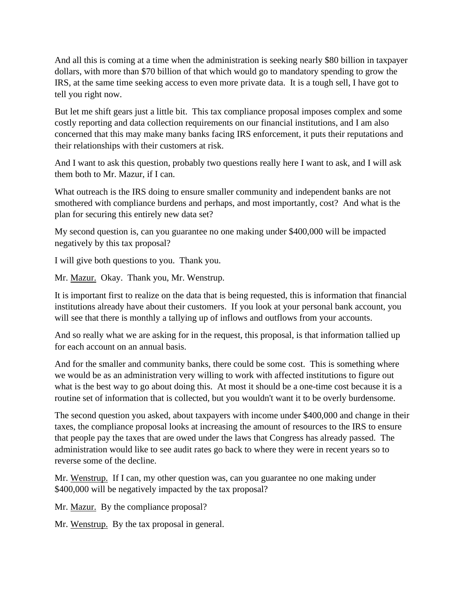And all this is coming at a time when the administration is seeking nearly \$80 billion in taxpayer dollars, with more than \$70 billion of that which would go to mandatory spending to grow the IRS, at the same time seeking access to even more private data. It is a tough sell, I have got to tell you right now.

But let me shift gears just a little bit. This tax compliance proposal imposes complex and some costly reporting and data collection requirements on our financial institutions, and I am also concerned that this may make many banks facing IRS enforcement, it puts their reputations and their relationships with their customers at risk.

And I want to ask this question, probably two questions really here I want to ask, and I will ask them both to Mr. Mazur, if I can.

What outreach is the IRS doing to ensure smaller community and independent banks are not smothered with compliance burdens and perhaps, and most importantly, cost? And what is the plan for securing this entirely new data set?

My second question is, can you guarantee no one making under \$400,000 will be impacted negatively by this tax proposal?

I will give both questions to you. Thank you.

Mr. Mazur. Okay. Thank you, Mr. Wenstrup.

It is important first to realize on the data that is being requested, this is information that financial institutions already have about their customers. If you look at your personal bank account, you will see that there is monthly a tallying up of inflows and outflows from your accounts.

And so really what we are asking for in the request, this proposal, is that information tallied up for each account on an annual basis.

And for the smaller and community banks, there could be some cost. This is something where we would be as an administration very willing to work with affected institutions to figure out what is the best way to go about doing this. At most it should be a one-time cost because it is a routine set of information that is collected, but you wouldn't want it to be overly burdensome.

The second question you asked, about taxpayers with income under \$400,000 and change in their taxes, the compliance proposal looks at increasing the amount of resources to the IRS to ensure that people pay the taxes that are owed under the laws that Congress has already passed. The administration would like to see audit rates go back to where they were in recent years so to reverse some of the decline.

Mr. Wenstrup. If I can, my other question was, can you guarantee no one making under \$400,000 will be negatively impacted by the tax proposal?

Mr. Mazur. By the compliance proposal?

Mr. Wenstrup. By the tax proposal in general.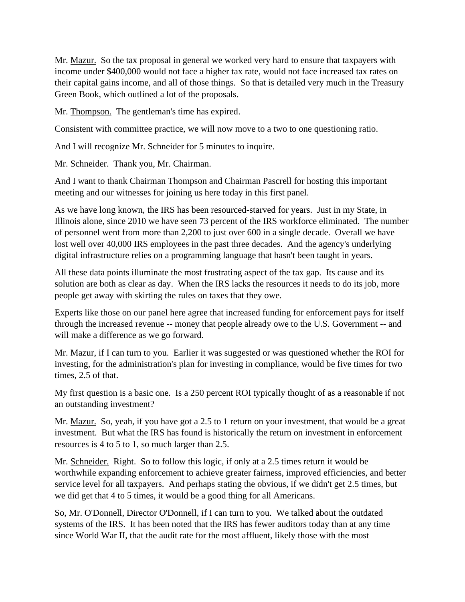Mr. Mazur. So the tax proposal in general we worked very hard to ensure that taxpayers with income under \$400,000 would not face a higher tax rate, would not face increased tax rates on their capital gains income, and all of those things. So that is detailed very much in the Treasury Green Book, which outlined a lot of the proposals.

Mr. Thompson. The gentleman's time has expired.

Consistent with committee practice, we will now move to a two to one questioning ratio.

And I will recognize Mr. Schneider for 5 minutes to inquire.

Mr. Schneider. Thank you, Mr. Chairman.

And I want to thank Chairman Thompson and Chairman Pascrell for hosting this important meeting and our witnesses for joining us here today in this first panel.

As we have long known, the IRS has been resourced-starved for years. Just in my State, in Illinois alone, since 2010 we have seen 73 percent of the IRS workforce eliminated. The number of personnel went from more than 2,200 to just over 600 in a single decade. Overall we have lost well over 40,000 IRS employees in the past three decades. And the agency's underlying digital infrastructure relies on a programming language that hasn't been taught in years.

All these data points illuminate the most frustrating aspect of the tax gap. Its cause and its solution are both as clear as day. When the IRS lacks the resources it needs to do its job, more people get away with skirting the rules on taxes that they owe.

Experts like those on our panel here agree that increased funding for enforcement pays for itself through the increased revenue -- money that people already owe to the U.S. Government -- and will make a difference as we go forward.

Mr. Mazur, if I can turn to you. Earlier it was suggested or was questioned whether the ROI for investing, for the administration's plan for investing in compliance, would be five times for two times, 2.5 of that.

My first question is a basic one. Is a 250 percent ROI typically thought of as a reasonable if not an outstanding investment?

Mr. Mazur. So, yeah, if you have got a 2.5 to 1 return on your investment, that would be a great investment. But what the IRS has found is historically the return on investment in enforcement resources is 4 to 5 to 1, so much larger than 2.5.

Mr. Schneider. Right. So to follow this logic, if only at a 2.5 times return it would be worthwhile expanding enforcement to achieve greater fairness, improved efficiencies, and better service level for all taxpayers. And perhaps stating the obvious, if we didn't get 2.5 times, but we did get that 4 to 5 times, it would be a good thing for all Americans.

So, Mr. O'Donnell, Director O'Donnell, if I can turn to you. We talked about the outdated systems of the IRS. It has been noted that the IRS has fewer auditors today than at any time since World War II, that the audit rate for the most affluent, likely those with the most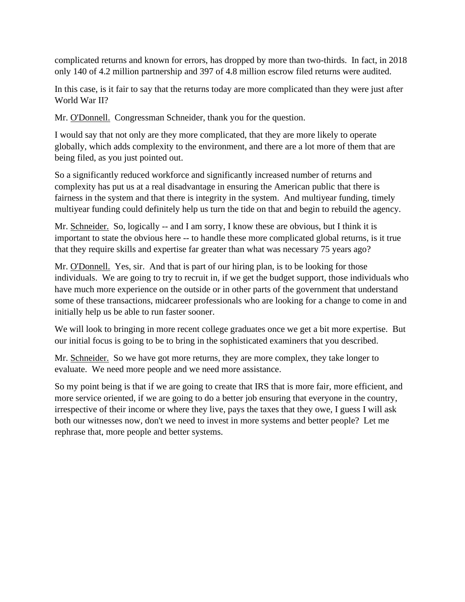complicated returns and known for errors, has dropped by more than two-thirds. In fact, in 2018 only 140 of 4.2 million partnership and 397 of 4.8 million escrow filed returns were audited.

In this case, is it fair to say that the returns today are more complicated than they were just after World War II?

Mr. O'Donnell. Congressman Schneider, thank you for the question.

I would say that not only are they more complicated, that they are more likely to operate globally, which adds complexity to the environment, and there are a lot more of them that are being filed, as you just pointed out.

So a significantly reduced workforce and significantly increased number of returns and complexity has put us at a real disadvantage in ensuring the American public that there is fairness in the system and that there is integrity in the system. And multiyear funding, timely multiyear funding could definitely help us turn the tide on that and begin to rebuild the agency.

Mr. Schneider. So, logically -- and I am sorry, I know these are obvious, but I think it is important to state the obvious here -- to handle these more complicated global returns, is it true that they require skills and expertise far greater than what was necessary 75 years ago?

Mr. O'Donnell. Yes, sir. And that is part of our hiring plan, is to be looking for those individuals. We are going to try to recruit in, if we get the budget support, those individuals who have much more experience on the outside or in other parts of the government that understand some of these transactions, midcareer professionals who are looking for a change to come in and initially help us be able to run faster sooner.

We will look to bringing in more recent college graduates once we get a bit more expertise. But our initial focus is going to be to bring in the sophisticated examiners that you described.

Mr. Schneider. So we have got more returns, they are more complex, they take longer to evaluate. We need more people and we need more assistance.

So my point being is that if we are going to create that IRS that is more fair, more efficient, and more service oriented, if we are going to do a better job ensuring that everyone in the country, irrespective of their income or where they live, pays the taxes that they owe, I guess I will ask both our witnesses now, don't we need to invest in more systems and better people? Let me rephrase that, more people and better systems.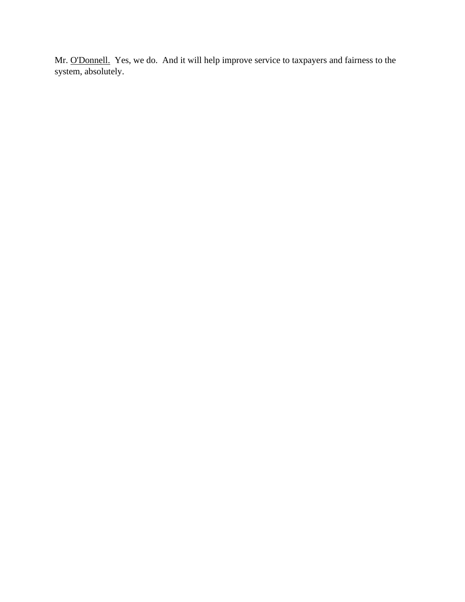Mr. O'Donnell. Yes, we do. And it will help improve service to taxpayers and fairness to the system, absolutely.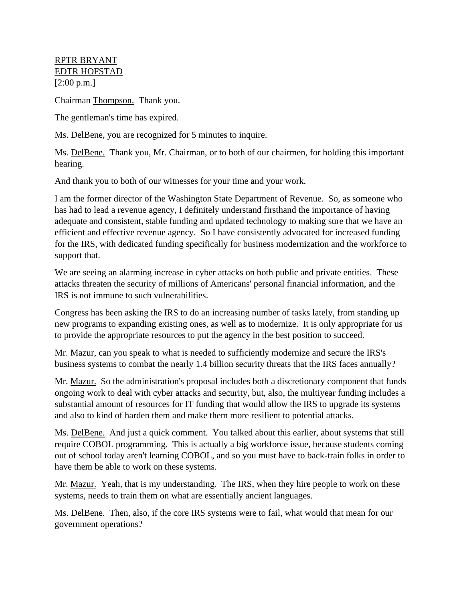## RPTR BRYANT EDTR HOFSTAD [2:00 p.m.]

Chairman Thompson. Thank you.

The gentleman's time has expired.

Ms. DelBene, you are recognized for 5 minutes to inquire.

Ms. DelBene. Thank you, Mr. Chairman, or to both of our chairmen, for holding this important hearing.

And thank you to both of our witnesses for your time and your work.

I am the former director of the Washington State Department of Revenue. So, as someone who has had to lead a revenue agency, I definitely understand firsthand the importance of having adequate and consistent, stable funding and updated technology to making sure that we have an efficient and effective revenue agency. So I have consistently advocated for increased funding for the IRS, with dedicated funding specifically for business modernization and the workforce to support that.

We are seeing an alarming increase in cyber attacks on both public and private entities. These attacks threaten the security of millions of Americans' personal financial information, and the IRS is not immune to such vulnerabilities.

Congress has been asking the IRS to do an increasing number of tasks lately, from standing up new programs to expanding existing ones, as well as to modernize. It is only appropriate for us to provide the appropriate resources to put the agency in the best position to succeed.

Mr. Mazur, can you speak to what is needed to sufficiently modernize and secure the IRS's business systems to combat the nearly 1.4 billion security threats that the IRS faces annually?

Mr. Mazur. So the administration's proposal includes both a discretionary component that funds ongoing work to deal with cyber attacks and security, but, also, the multiyear funding includes a substantial amount of resources for IT funding that would allow the IRS to upgrade its systems and also to kind of harden them and make them more resilient to potential attacks.

Ms. DelBene. And just a quick comment. You talked about this earlier, about systems that still require COBOL programming. This is actually a big workforce issue, because students coming out of school today aren't learning COBOL, and so you must have to back-train folks in order to have them be able to work on these systems.

Mr. Mazur. Yeah, that is my understanding. The IRS, when they hire people to work on these systems, needs to train them on what are essentially ancient languages.

Ms. DelBene. Then, also, if the core IRS systems were to fail, what would that mean for our government operations?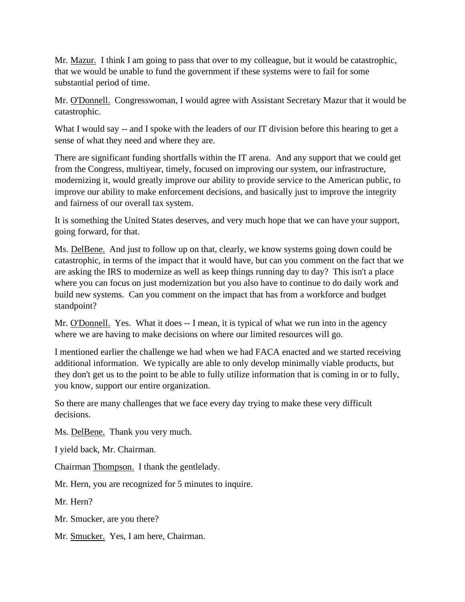Mr. Mazur. I think I am going to pass that over to my colleague, but it would be catastrophic, that we would be unable to fund the government if these systems were to fail for some substantial period of time.

Mr. O'Donnell. Congresswoman, I would agree with Assistant Secretary Mazur that it would be catastrophic.

What I would say -- and I spoke with the leaders of our IT division before this hearing to get a sense of what they need and where they are.

There are significant funding shortfalls within the IT arena. And any support that we could get from the Congress, multiyear, timely, focused on improving our system, our infrastructure, modernizing it, would greatly improve our ability to provide service to the American public, to improve our ability to make enforcement decisions, and basically just to improve the integrity and fairness of our overall tax system.

It is something the United States deserves, and very much hope that we can have your support, going forward, for that.

Ms. DelBene. And just to follow up on that, clearly, we know systems going down could be catastrophic, in terms of the impact that it would have, but can you comment on the fact that we are asking the IRS to modernize as well as keep things running day to day? This isn't a place where you can focus on just modernization but you also have to continue to do daily work and build new systems. Can you comment on the impact that has from a workforce and budget standpoint?

Mr. O'Donnell. Yes. What it does -- I mean, it is typical of what we run into in the agency where we are having to make decisions on where our limited resources will go.

I mentioned earlier the challenge we had when we had FACA enacted and we started receiving additional information. We typically are able to only develop minimally viable products, but they don't get us to the point to be able to fully utilize information that is coming in or to fully, you know, support our entire organization.

So there are many challenges that we face every day trying to make these very difficult decisions.

Ms. DelBene. Thank you very much.

I yield back, Mr. Chairman.

Chairman Thompson. I thank the gentlelady.

Mr. Hern, you are recognized for 5 minutes to inquire.

Mr. Hern?

Mr. Smucker, are you there?

Mr. Smucker. Yes, I am here, Chairman.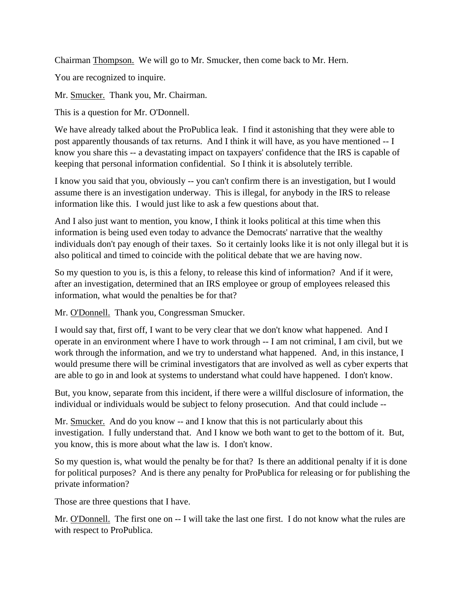Chairman Thompson. We will go to Mr. Smucker, then come back to Mr. Hern.

You are recognized to inquire.

Mr. Smucker. Thank you, Mr. Chairman.

This is a question for Mr. O'Donnell.

We have already talked about the ProPublica leak. I find it astonishing that they were able to post apparently thousands of tax returns. And I think it will have, as you have mentioned -- I know you share this -- a devastating impact on taxpayers' confidence that the IRS is capable of keeping that personal information confidential. So I think it is absolutely terrible.

I know you said that you, obviously -- you can't confirm there is an investigation, but I would assume there is an investigation underway. This is illegal, for anybody in the IRS to release information like this. I would just like to ask a few questions about that.

And I also just want to mention, you know, I think it looks political at this time when this information is being used even today to advance the Democrats' narrative that the wealthy individuals don't pay enough of their taxes. So it certainly looks like it is not only illegal but it is also political and timed to coincide with the political debate that we are having now.

So my question to you is, is this a felony, to release this kind of information? And if it were, after an investigation, determined that an IRS employee or group of employees released this information, what would the penalties be for that?

Mr. O'Donnell. Thank you, Congressman Smucker.

I would say that, first off, I want to be very clear that we don't know what happened. And I operate in an environment where I have to work through -- I am not criminal, I am civil, but we work through the information, and we try to understand what happened. And, in this instance, I would presume there will be criminal investigators that are involved as well as cyber experts that are able to go in and look at systems to understand what could have happened. I don't know.

But, you know, separate from this incident, if there were a willful disclosure of information, the individual or individuals would be subject to felony prosecution. And that could include --

Mr. Smucker. And do you know -- and I know that this is not particularly about this investigation. I fully understand that. And I know we both want to get to the bottom of it. But, you know, this is more about what the law is. I don't know.

So my question is, what would the penalty be for that? Is there an additional penalty if it is done for political purposes? And is there any penalty for ProPublica for releasing or for publishing the private information?

Those are three questions that I have.

Mr. O'Donnell. The first one on -- I will take the last one first. I do not know what the rules are with respect to ProPublica.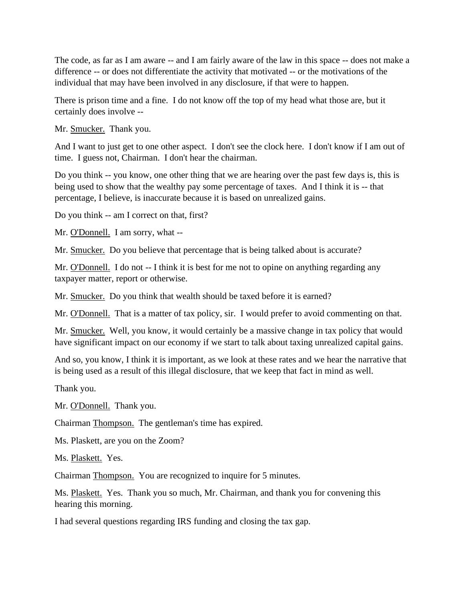The code, as far as I am aware -- and I am fairly aware of the law in this space -- does not make a difference -- or does not differentiate the activity that motivated -- or the motivations of the individual that may have been involved in any disclosure, if that were to happen.

There is prison time and a fine. I do not know off the top of my head what those are, but it certainly does involve --

Mr. Smucker. Thank you.

And I want to just get to one other aspect. I don't see the clock here. I don't know if I am out of time. I guess not, Chairman. I don't hear the chairman.

Do you think -- you know, one other thing that we are hearing over the past few days is, this is being used to show that the wealthy pay some percentage of taxes. And I think it is -- that percentage, I believe, is inaccurate because it is based on unrealized gains.

Do you think -- am I correct on that, first?

Mr. O'Donnell. I am sorry, what --

Mr. Smucker. Do you believe that percentage that is being talked about is accurate?

Mr. O'Donnell. I do not -- I think it is best for me not to opine on anything regarding any taxpayer matter, report or otherwise.

Mr. Smucker. Do you think that wealth should be taxed before it is earned?

Mr. O'Donnell. That is a matter of tax policy, sir. I would prefer to avoid commenting on that.

Mr. Smucker. Well, you know, it would certainly be a massive change in tax policy that would have significant impact on our economy if we start to talk about taxing unrealized capital gains.

And so, you know, I think it is important, as we look at these rates and we hear the narrative that is being used as a result of this illegal disclosure, that we keep that fact in mind as well.

Thank you.

Mr. O'Donnell. Thank you.

Chairman Thompson. The gentleman's time has expired.

Ms. Plaskett, are you on the Zoom?

Ms. Plaskett. Yes.

Chairman Thompson. You are recognized to inquire for 5 minutes.

Ms. Plaskett. Yes. Thank you so much, Mr. Chairman, and thank you for convening this hearing this morning.

I had several questions regarding IRS funding and closing the tax gap.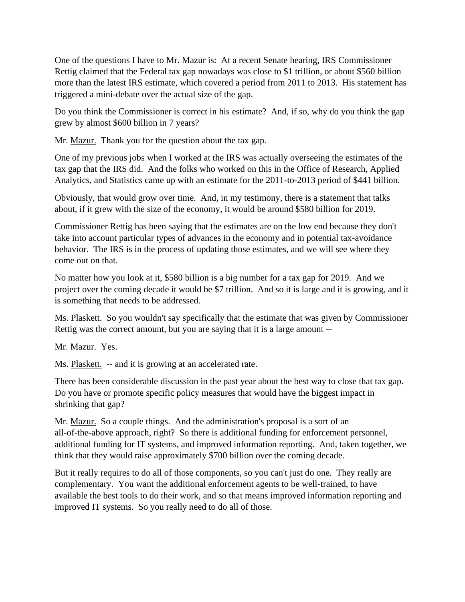One of the questions I have to Mr. Mazur is: At a recent Senate hearing, IRS Commissioner Rettig claimed that the Federal tax gap nowadays was close to \$1 trillion, or about \$560 billion more than the latest IRS estimate, which covered a period from 2011 to 2013. His statement has triggered a mini-debate over the actual size of the gap.

Do you think the Commissioner is correct in his estimate? And, if so, why do you think the gap grew by almost \$600 billion in 7 years?

Mr. Mazur. Thank you for the question about the tax gap.

One of my previous jobs when I worked at the IRS was actually overseeing the estimates of the tax gap that the IRS did. And the folks who worked on this in the Office of Research, Applied Analytics, and Statistics came up with an estimate for the 2011-to-2013 period of \$441 billion.

Obviously, that would grow over time. And, in my testimony, there is a statement that talks about, if it grew with the size of the economy, it would be around \$580 billion for 2019.

Commissioner Rettig has been saying that the estimates are on the low end because they don't take into account particular types of advances in the economy and in potential tax-avoidance behavior. The IRS is in the process of updating those estimates, and we will see where they come out on that.

No matter how you look at it, \$580 billion is a big number for a tax gap for 2019. And we project over the coming decade it would be \$7 trillion. And so it is large and it is growing, and it is something that needs to be addressed.

Ms. Plaskett. So you wouldn't say specifically that the estimate that was given by Commissioner Rettig was the correct amount, but you are saying that it is a large amount --

Mr. Mazur. Yes.

Ms. Plaskett. -- and it is growing at an accelerated rate.

There has been considerable discussion in the past year about the best way to close that tax gap. Do you have or promote specific policy measures that would have the biggest impact in shrinking that gap?

Mr. Mazur. So a couple things. And the administration's proposal is a sort of an all-of-the-above approach, right? So there is additional funding for enforcement personnel, additional funding for IT systems, and improved information reporting. And, taken together, we think that they would raise approximately \$700 billion over the coming decade.

But it really requires to do all of those components, so you can't just do one. They really are complementary. You want the additional enforcement agents to be well-trained, to have available the best tools to do their work, and so that means improved information reporting and improved IT systems. So you really need to do all of those.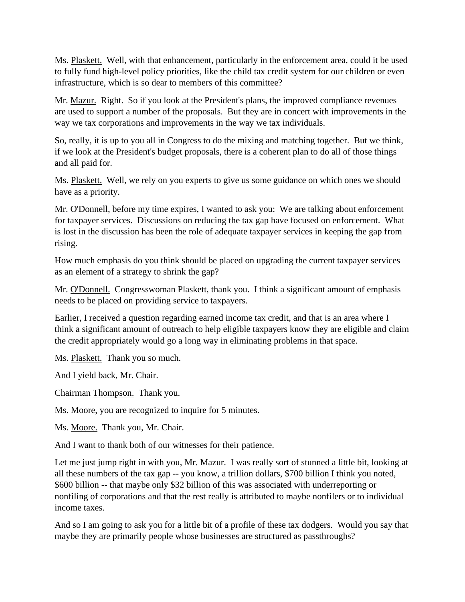Ms. Plaskett. Well, with that enhancement, particularly in the enforcement area, could it be used to fully fund high-level policy priorities, like the child tax credit system for our children or even infrastructure, which is so dear to members of this committee?

Mr. Mazur. Right. So if you look at the President's plans, the improved compliance revenues are used to support a number of the proposals. But they are in concert with improvements in the way we tax corporations and improvements in the way we tax individuals.

So, really, it is up to you all in Congress to do the mixing and matching together. But we think, if we look at the President's budget proposals, there is a coherent plan to do all of those things and all paid for.

Ms. Plaskett. Well, we rely on you experts to give us some guidance on which ones we should have as a priority.

Mr. O'Donnell, before my time expires, I wanted to ask you: We are talking about enforcement for taxpayer services. Discussions on reducing the tax gap have focused on enforcement. What is lost in the discussion has been the role of adequate taxpayer services in keeping the gap from rising.

How much emphasis do you think should be placed on upgrading the current taxpayer services as an element of a strategy to shrink the gap?

Mr. O'Donnell. Congresswoman Plaskett, thank you. I think a significant amount of emphasis needs to be placed on providing service to taxpayers.

Earlier, I received a question regarding earned income tax credit, and that is an area where I think a significant amount of outreach to help eligible taxpayers know they are eligible and claim the credit appropriately would go a long way in eliminating problems in that space.

Ms. Plaskett. Thank you so much.

And I yield back, Mr. Chair.

Chairman Thompson. Thank you.

Ms. Moore, you are recognized to inquire for 5 minutes.

Ms. Moore. Thank you, Mr. Chair.

And I want to thank both of our witnesses for their patience.

Let me just jump right in with you, Mr. Mazur. I was really sort of stunned a little bit, looking at all these numbers of the tax gap -- you know, a trillion dollars, \$700 billion I think you noted, \$600 billion -- that maybe only \$32 billion of this was associated with underreporting or nonfiling of corporations and that the rest really is attributed to maybe nonfilers or to individual income taxes.

And so I am going to ask you for a little bit of a profile of these tax dodgers. Would you say that maybe they are primarily people whose businesses are structured as passthroughs?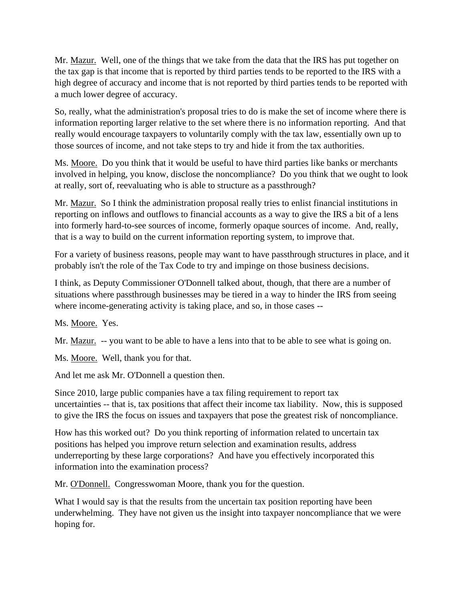Mr. Mazur. Well, one of the things that we take from the data that the IRS has put together on the tax gap is that income that is reported by third parties tends to be reported to the IRS with a high degree of accuracy and income that is not reported by third parties tends to be reported with a much lower degree of accuracy.

So, really, what the administration's proposal tries to do is make the set of income where there is information reporting larger relative to the set where there is no information reporting. And that really would encourage taxpayers to voluntarily comply with the tax law, essentially own up to those sources of income, and not take steps to try and hide it from the tax authorities.

Ms. Moore. Do you think that it would be useful to have third parties like banks or merchants involved in helping, you know, disclose the noncompliance? Do you think that we ought to look at really, sort of, reevaluating who is able to structure as a passthrough?

Mr. Mazur. So I think the administration proposal really tries to enlist financial institutions in reporting on inflows and outflows to financial accounts as a way to give the IRS a bit of a lens into formerly hard-to-see sources of income, formerly opaque sources of income. And, really, that is a way to build on the current information reporting system, to improve that.

For a variety of business reasons, people may want to have passthrough structures in place, and it probably isn't the role of the Tax Code to try and impinge on those business decisions.

I think, as Deputy Commissioner O'Donnell talked about, though, that there are a number of situations where passthrough businesses may be tiered in a way to hinder the IRS from seeing where income-generating activity is taking place, and so, in those cases --

Ms. Moore. Yes.

Mr. <u>Mazur.</u> -- you want to be able to have a lens into that to be able to see what is going on.

Ms. Moore. Well, thank you for that.

And let me ask Mr. O'Donnell a question then.

Since 2010, large public companies have a tax filing requirement to report tax uncertainties -- that is, tax positions that affect their income tax liability. Now, this is supposed to give the IRS the focus on issues and taxpayers that pose the greatest risk of noncompliance.

How has this worked out? Do you think reporting of information related to uncertain tax positions has helped you improve return selection and examination results, address underreporting by these large corporations? And have you effectively incorporated this information into the examination process?

Mr. O'Donnell. Congresswoman Moore, thank you for the question.

What I would say is that the results from the uncertain tax position reporting have been underwhelming. They have not given us the insight into taxpayer noncompliance that we were hoping for.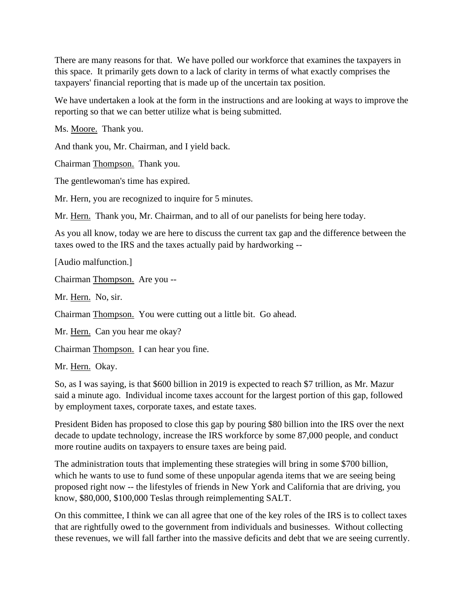There are many reasons for that. We have polled our workforce that examines the taxpayers in this space. It primarily gets down to a lack of clarity in terms of what exactly comprises the taxpayers' financial reporting that is made up of the uncertain tax position.

We have undertaken a look at the form in the instructions and are looking at ways to improve the reporting so that we can better utilize what is being submitted.

Ms. Moore. Thank you.

And thank you, Mr. Chairman, and I yield back.

Chairman Thompson. Thank you.

The gentlewoman's time has expired.

Mr. Hern, you are recognized to inquire for 5 minutes.

Mr. Hern. Thank you, Mr. Chairman, and to all of our panelists for being here today.

As you all know, today we are here to discuss the current tax gap and the difference between the taxes owed to the IRS and the taxes actually paid by hardworking --

[Audio malfunction.]

Chairman Thompson. Are you --

Mr. Hern. No, sir.

Chairman Thompson. You were cutting out a little bit. Go ahead.

Mr. Hern. Can you hear me okay?

Chairman Thompson. I can hear you fine.

Mr. Hern. Okay.

So, as I was saying, is that \$600 billion in 2019 is expected to reach \$7 trillion, as Mr. Mazur said a minute ago. Individual income taxes account for the largest portion of this gap, followed by employment taxes, corporate taxes, and estate taxes.

President Biden has proposed to close this gap by pouring \$80 billion into the IRS over the next decade to update technology, increase the IRS workforce by some 87,000 people, and conduct more routine audits on taxpayers to ensure taxes are being paid.

The administration touts that implementing these strategies will bring in some \$700 billion, which he wants to use to fund some of these unpopular agenda items that we are seeing being proposed right now -- the lifestyles of friends in New York and California that are driving, you know, \$80,000, \$100,000 Teslas through reimplementing SALT.

On this committee, I think we can all agree that one of the key roles of the IRS is to collect taxes that are rightfully owed to the government from individuals and businesses. Without collecting these revenues, we will fall farther into the massive deficits and debt that we are seeing currently.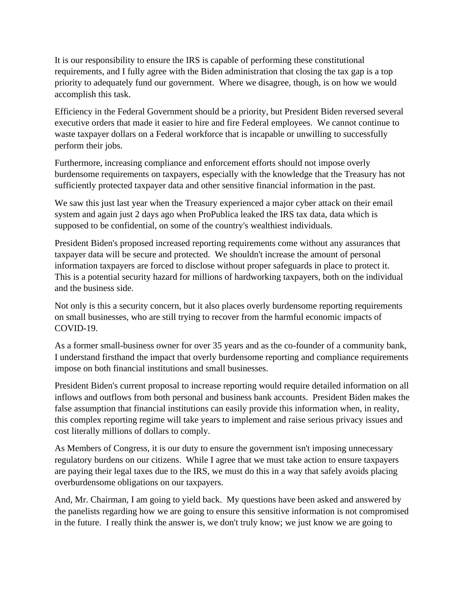It is our responsibility to ensure the IRS is capable of performing these constitutional requirements, and I fully agree with the Biden administration that closing the tax gap is a top priority to adequately fund our government. Where we disagree, though, is on how we would accomplish this task.

Efficiency in the Federal Government should be a priority, but President Biden reversed several executive orders that made it easier to hire and fire Federal employees. We cannot continue to waste taxpayer dollars on a Federal workforce that is incapable or unwilling to successfully perform their jobs.

Furthermore, increasing compliance and enforcement efforts should not impose overly burdensome requirements on taxpayers, especially with the knowledge that the Treasury has not sufficiently protected taxpayer data and other sensitive financial information in the past.

We saw this just last year when the Treasury experienced a major cyber attack on their email system and again just 2 days ago when ProPublica leaked the IRS tax data, data which is supposed to be confidential, on some of the country's wealthiest individuals.

President Biden's proposed increased reporting requirements come without any assurances that taxpayer data will be secure and protected. We shouldn't increase the amount of personal information taxpayers are forced to disclose without proper safeguards in place to protect it. This is a potential security hazard for millions of hardworking taxpayers, both on the individual and the business side.

Not only is this a security concern, but it also places overly burdensome reporting requirements on small businesses, who are still trying to recover from the harmful economic impacts of COVID-19.

As a former small-business owner for over 35 years and as the co-founder of a community bank, I understand firsthand the impact that overly burdensome reporting and compliance requirements impose on both financial institutions and small businesses.

President Biden's current proposal to increase reporting would require detailed information on all inflows and outflows from both personal and business bank accounts. President Biden makes the false assumption that financial institutions can easily provide this information when, in reality, this complex reporting regime will take years to implement and raise serious privacy issues and cost literally millions of dollars to comply.

As Members of Congress, it is our duty to ensure the government isn't imposing unnecessary regulatory burdens on our citizens. While I agree that we must take action to ensure taxpayers are paying their legal taxes due to the IRS, we must do this in a way that safely avoids placing overburdensome obligations on our taxpayers.

And, Mr. Chairman, I am going to yield back. My questions have been asked and answered by the panelists regarding how we are going to ensure this sensitive information is not compromised in the future. I really think the answer is, we don't truly know; we just know we are going to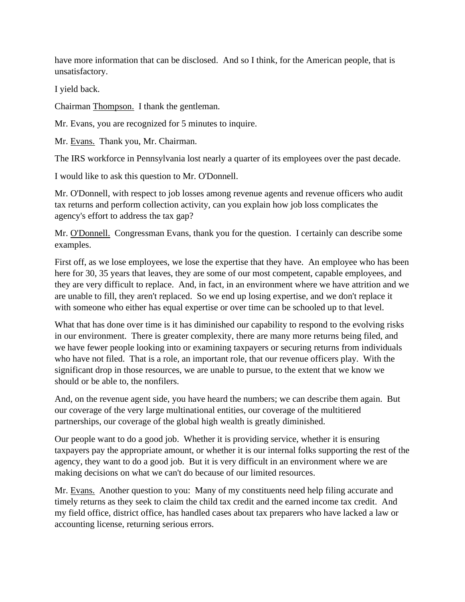have more information that can be disclosed. And so I think, for the American people, that is unsatisfactory.

I yield back.

Chairman Thompson. I thank the gentleman.

Mr. Evans, you are recognized for 5 minutes to inquire.

Mr. Evans. Thank you, Mr. Chairman.

The IRS workforce in Pennsylvania lost nearly a quarter of its employees over the past decade.

I would like to ask this question to Mr. O'Donnell.

Mr. O'Donnell, with respect to job losses among revenue agents and revenue officers who audit tax returns and perform collection activity, can you explain how job loss complicates the agency's effort to address the tax gap?

Mr. O'Donnell. Congressman Evans, thank you for the question. I certainly can describe some examples.

First off, as we lose employees, we lose the expertise that they have. An employee who has been here for 30, 35 years that leaves, they are some of our most competent, capable employees, and they are very difficult to replace. And, in fact, in an environment where we have attrition and we are unable to fill, they aren't replaced. So we end up losing expertise, and we don't replace it with someone who either has equal expertise or over time can be schooled up to that level.

What that has done over time is it has diminished our capability to respond to the evolving risks in our environment. There is greater complexity, there are many more returns being filed, and we have fewer people looking into or examining taxpayers or securing returns from individuals who have not filed. That is a role, an important role, that our revenue officers play. With the significant drop in those resources, we are unable to pursue, to the extent that we know we should or be able to, the nonfilers.

And, on the revenue agent side, you have heard the numbers; we can describe them again. But our coverage of the very large multinational entities, our coverage of the multitiered partnerships, our coverage of the global high wealth is greatly diminished.

Our people want to do a good job. Whether it is providing service, whether it is ensuring taxpayers pay the appropriate amount, or whether it is our internal folks supporting the rest of the agency, they want to do a good job. But it is very difficult in an environment where we are making decisions on what we can't do because of our limited resources.

Mr. Evans. Another question to you: Many of my constituents need help filing accurate and timely returns as they seek to claim the child tax credit and the earned income tax credit. And my field office, district office, has handled cases about tax preparers who have lacked a law or accounting license, returning serious errors.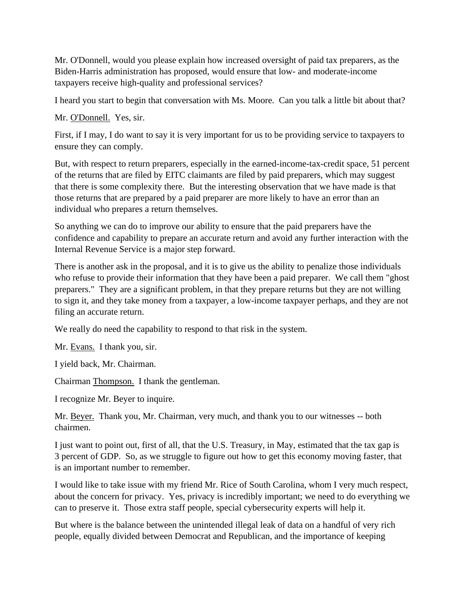Mr. O'Donnell, would you please explain how increased oversight of paid tax preparers, as the Biden-Harris administration has proposed, would ensure that low- and moderate-income taxpayers receive high-quality and professional services?

I heard you start to begin that conversation with Ms. Moore. Can you talk a little bit about that?

Mr. O'Donnell. Yes, sir.

First, if I may, I do want to say it is very important for us to be providing service to taxpayers to ensure they can comply.

But, with respect to return preparers, especially in the earned-income-tax-credit space, 51 percent of the returns that are filed by EITC claimants are filed by paid preparers, which may suggest that there is some complexity there. But the interesting observation that we have made is that those returns that are prepared by a paid preparer are more likely to have an error than an individual who prepares a return themselves.

So anything we can do to improve our ability to ensure that the paid preparers have the confidence and capability to prepare an accurate return and avoid any further interaction with the Internal Revenue Service is a major step forward.

There is another ask in the proposal, and it is to give us the ability to penalize those individuals who refuse to provide their information that they have been a paid preparer. We call them "ghost preparers." They are a significant problem, in that they prepare returns but they are not willing to sign it, and they take money from a taxpayer, a low-income taxpayer perhaps, and they are not filing an accurate return.

We really do need the capability to respond to that risk in the system.

Mr. Evans. I thank you, sir.

I yield back, Mr. Chairman.

Chairman Thompson. I thank the gentleman.

I recognize Mr. Beyer to inquire.

Mr. Beyer. Thank you, Mr. Chairman, very much, and thank you to our witnesses -- both chairmen.

I just want to point out, first of all, that the U.S. Treasury, in May, estimated that the tax gap is 3 percent of GDP. So, as we struggle to figure out how to get this economy moving faster, that is an important number to remember.

I would like to take issue with my friend Mr. Rice of South Carolina, whom I very much respect, about the concern for privacy. Yes, privacy is incredibly important; we need to do everything we can to preserve it. Those extra staff people, special cybersecurity experts will help it.

But where is the balance between the unintended illegal leak of data on a handful of very rich people, equally divided between Democrat and Republican, and the importance of keeping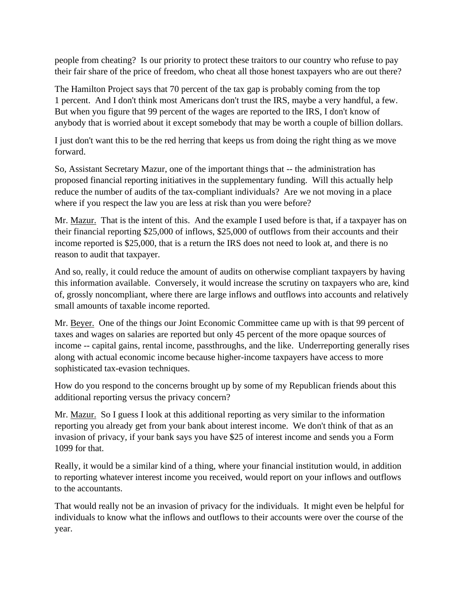people from cheating? Is our priority to protect these traitors to our country who refuse to pay their fair share of the price of freedom, who cheat all those honest taxpayers who are out there?

The Hamilton Project says that 70 percent of the tax gap is probably coming from the top 1 percent. And I don't think most Americans don't trust the IRS, maybe a very handful, a few. But when you figure that 99 percent of the wages are reported to the IRS, I don't know of anybody that is worried about it except somebody that may be worth a couple of billion dollars.

I just don't want this to be the red herring that keeps us from doing the right thing as we move forward.

So, Assistant Secretary Mazur, one of the important things that -- the administration has proposed financial reporting initiatives in the supplementary funding. Will this actually help reduce the number of audits of the tax-compliant individuals? Are we not moving in a place where if you respect the law you are less at risk than you were before?

Mr. Mazur. That is the intent of this. And the example I used before is that, if a taxpayer has on their financial reporting \$25,000 of inflows, \$25,000 of outflows from their accounts and their income reported is \$25,000, that is a return the IRS does not need to look at, and there is no reason to audit that taxpayer.

And so, really, it could reduce the amount of audits on otherwise compliant taxpayers by having this information available. Conversely, it would increase the scrutiny on taxpayers who are, kind of, grossly noncompliant, where there are large inflows and outflows into accounts and relatively small amounts of taxable income reported.

Mr. Beyer. One of the things our Joint Economic Committee came up with is that 99 percent of taxes and wages on salaries are reported but only 45 percent of the more opaque sources of income -- capital gains, rental income, passthroughs, and the like. Underreporting generally rises along with actual economic income because higher-income taxpayers have access to more sophisticated tax-evasion techniques.

How do you respond to the concerns brought up by some of my Republican friends about this additional reporting versus the privacy concern?

Mr. Mazur. So I guess I look at this additional reporting as very similar to the information reporting you already get from your bank about interest income. We don't think of that as an invasion of privacy, if your bank says you have \$25 of interest income and sends you a Form 1099 for that.

Really, it would be a similar kind of a thing, where your financial institution would, in addition to reporting whatever interest income you received, would report on your inflows and outflows to the accountants.

That would really not be an invasion of privacy for the individuals. It might even be helpful for individuals to know what the inflows and outflows to their accounts were over the course of the year.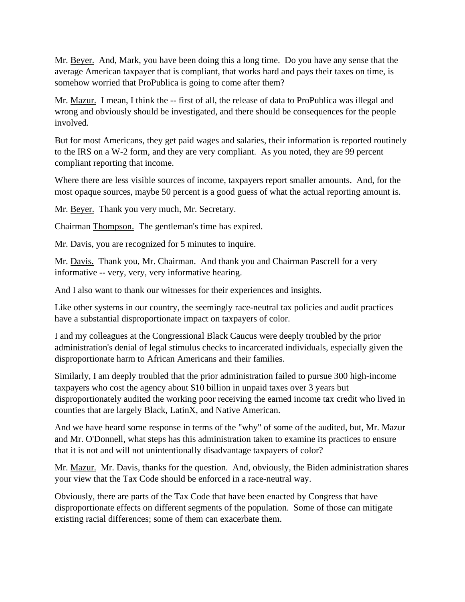Mr. Beyer. And, Mark, you have been doing this a long time. Do you have any sense that the average American taxpayer that is compliant, that works hard and pays their taxes on time, is somehow worried that ProPublica is going to come after them?

Mr. Mazur. I mean, I think the -- first of all, the release of data to ProPublica was illegal and wrong and obviously should be investigated, and there should be consequences for the people involved.

But for most Americans, they get paid wages and salaries, their information is reported routinely to the IRS on a W-2 form, and they are very compliant. As you noted, they are 99 percent compliant reporting that income.

Where there are less visible sources of income, taxpayers report smaller amounts. And, for the most opaque sources, maybe 50 percent is a good guess of what the actual reporting amount is.

Mr. Beyer. Thank you very much, Mr. Secretary.

Chairman Thompson. The gentleman's time has expired.

Mr. Davis, you are recognized for 5 minutes to inquire.

Mr. Davis. Thank you, Mr. Chairman. And thank you and Chairman Pascrell for a very informative -- very, very, very informative hearing.

And I also want to thank our witnesses for their experiences and insights.

Like other systems in our country, the seemingly race-neutral tax policies and audit practices have a substantial disproportionate impact on taxpayers of color.

I and my colleagues at the Congressional Black Caucus were deeply troubled by the prior administration's denial of legal stimulus checks to incarcerated individuals, especially given the disproportionate harm to African Americans and their families.

Similarly, I am deeply troubled that the prior administration failed to pursue 300 high-income taxpayers who cost the agency about \$10 billion in unpaid taxes over 3 years but disproportionately audited the working poor receiving the earned income tax credit who lived in counties that are largely Black, LatinX, and Native American.

And we have heard some response in terms of the "why" of some of the audited, but, Mr. Mazur and Mr. O'Donnell, what steps has this administration taken to examine its practices to ensure that it is not and will not unintentionally disadvantage taxpayers of color?

Mr. Mazur. Mr. Davis, thanks for the question. And, obviously, the Biden administration shares your view that the Tax Code should be enforced in a race-neutral way.

Obviously, there are parts of the Tax Code that have been enacted by Congress that have disproportionate effects on different segments of the population. Some of those can mitigate existing racial differences; some of them can exacerbate them.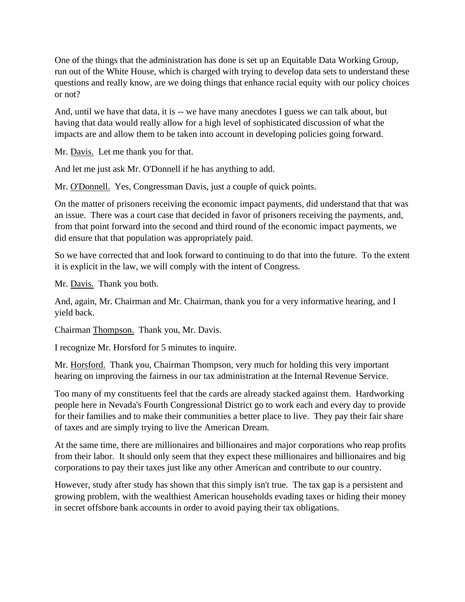One of the things that the administration has done is set up an Equitable Data Working Group, run out of the White House, which is charged with trying to develop data sets to understand these questions and really know, are we doing things that enhance racial equity with our policy choices or not?

And, until we have that data, it is -- we have many anecdotes I guess we can talk about, but having that data would really allow for a high level of sophisticated discussion of what the impacts are and allow them to be taken into account in developing policies going forward.

Mr. Davis. Let me thank you for that.

And let me just ask Mr. O'Donnell if he has anything to add.

Mr. O'Donnell. Yes, Congressman Davis, just a couple of quick points.

On the matter of prisoners receiving the economic impact payments, did understand that that was an issue. There was a court case that decided in favor of prisoners receiving the payments, and, from that point forward into the second and third round of the economic impact payments, we did ensure that that population was appropriately paid.

So we have corrected that and look forward to continuing to do that into the future. To the extent it is explicit in the law, we will comply with the intent of Congress.

Mr. Davis. Thank you both.

And, again, Mr. Chairman and Mr. Chairman, thank you for a very informative hearing, and I yield back.

Chairman Thompson. Thank you, Mr. Davis.

I recognize Mr. Horsford for 5 minutes to inquire.

Mr. Horsford. Thank you, Chairman Thompson, very much for holding this very important hearing on improving the fairness in our tax administration at the Internal Revenue Service.

Too many of my constituents feel that the cards are already stacked against them. Hardworking people here in Nevada's Fourth Congressional District go to work each and every day to provide for their families and to make their communities a better place to live. They pay their fair share of taxes and are simply trying to live the American Dream.

At the same time, there are millionaires and billionaires and major corporations who reap profits from their labor. It should only seem that they expect these millionaires and billionaires and big corporations to pay their taxes just like any other American and contribute to our country.

However, study after study has shown that this simply isn't true. The tax gap is a persistent and growing problem, with the wealthiest American households evading taxes or hiding their money in secret offshore bank accounts in order to avoid paying their tax obligations.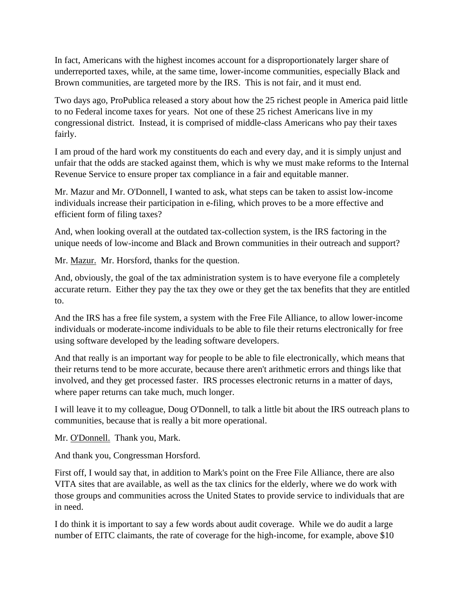In fact, Americans with the highest incomes account for a disproportionately larger share of underreported taxes, while, at the same time, lower-income communities, especially Black and Brown communities, are targeted more by the IRS. This is not fair, and it must end.

Two days ago, ProPublica released a story about how the 25 richest people in America paid little to no Federal income taxes for years. Not one of these 25 richest Americans live in my congressional district. Instead, it is comprised of middle-class Americans who pay their taxes fairly.

I am proud of the hard work my constituents do each and every day, and it is simply unjust and unfair that the odds are stacked against them, which is why we must make reforms to the Internal Revenue Service to ensure proper tax compliance in a fair and equitable manner.

Mr. Mazur and Mr. O'Donnell, I wanted to ask, what steps can be taken to assist low-income individuals increase their participation in e-filing, which proves to be a more effective and efficient form of filing taxes?

And, when looking overall at the outdated tax-collection system, is the IRS factoring in the unique needs of low-income and Black and Brown communities in their outreach and support?

Mr. Mazur. Mr. Horsford, thanks for the question.

And, obviously, the goal of the tax administration system is to have everyone file a completely accurate return. Either they pay the tax they owe or they get the tax benefits that they are entitled to.

And the IRS has a free file system, a system with the Free File Alliance, to allow lower-income individuals or moderate-income individuals to be able to file their returns electronically for free using software developed by the leading software developers.

And that really is an important way for people to be able to file electronically, which means that their returns tend to be more accurate, because there aren't arithmetic errors and things like that involved, and they get processed faster. IRS processes electronic returns in a matter of days, where paper returns can take much, much longer.

I will leave it to my colleague, Doug O'Donnell, to talk a little bit about the IRS outreach plans to communities, because that is really a bit more operational.

Mr. O'Donnell. Thank you, Mark.

And thank you, Congressman Horsford.

First off, I would say that, in addition to Mark's point on the Free File Alliance, there are also VITA sites that are available, as well as the tax clinics for the elderly, where we do work with those groups and communities across the United States to provide service to individuals that are in need.

I do think it is important to say a few words about audit coverage. While we do audit a large number of EITC claimants, the rate of coverage for the high-income, for example, above \$10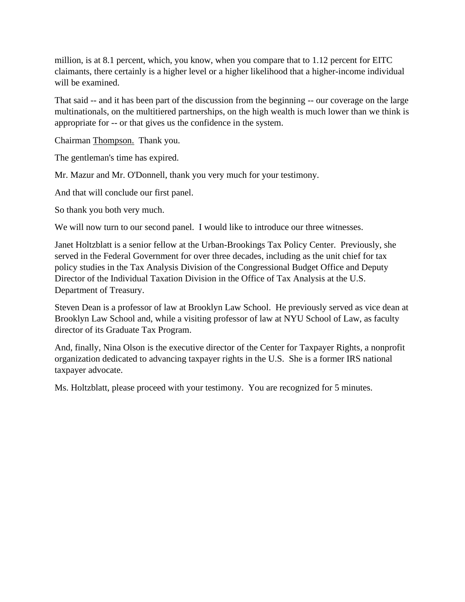million, is at 8.1 percent, which, you know, when you compare that to 1.12 percent for EITC claimants, there certainly is a higher level or a higher likelihood that a higher-income individual will be examined.

That said -- and it has been part of the discussion from the beginning -- our coverage on the large multinationals, on the multitiered partnerships, on the high wealth is much lower than we think is appropriate for -- or that gives us the confidence in the system.

Chairman Thompson. Thank you.

The gentleman's time has expired.

Mr. Mazur and Mr. O'Donnell, thank you very much for your testimony.

And that will conclude our first panel.

So thank you both very much.

We will now turn to our second panel. I would like to introduce our three witnesses.

Janet Holtzblatt is a senior fellow at the Urban-Brookings Tax Policy Center. Previously, she served in the Federal Government for over three decades, including as the unit chief for tax policy studies in the Tax Analysis Division of the Congressional Budget Office and Deputy Director of the Individual Taxation Division in the Office of Tax Analysis at the U.S. Department of Treasury.

Steven Dean is a professor of law at Brooklyn Law School. He previously served as vice dean at Brooklyn Law School and, while a visiting professor of law at NYU School of Law, as faculty director of its Graduate Tax Program.

And, finally, Nina Olson is the executive director of the Center for Taxpayer Rights, a nonprofit organization dedicated to advancing taxpayer rights in the U.S. She is a former IRS national taxpayer advocate.

Ms. Holtzblatt, please proceed with your testimony. You are recognized for 5 minutes.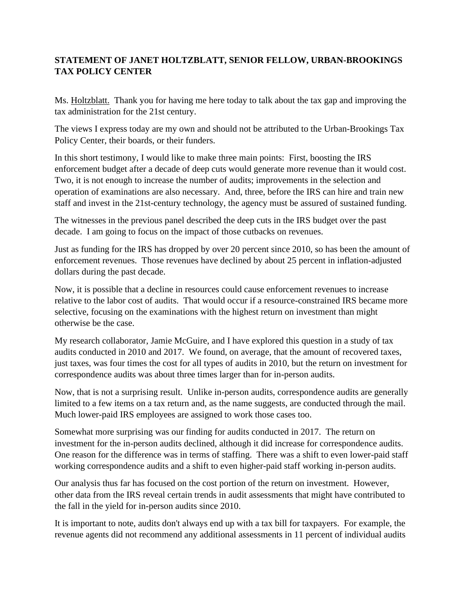## **STATEMENT OF JANET HOLTZBLATT, SENIOR FELLOW, URBAN-BROOKINGS TAX POLICY CENTER**

Ms. Holtzblatt. Thank you for having me here today to talk about the tax gap and improving the tax administration for the 21st century.

The views I express today are my own and should not be attributed to the Urban-Brookings Tax Policy Center, their boards, or their funders.

In this short testimony, I would like to make three main points: First, boosting the IRS enforcement budget after a decade of deep cuts would generate more revenue than it would cost. Two, it is not enough to increase the number of audits; improvements in the selection and operation of examinations are also necessary. And, three, before the IRS can hire and train new staff and invest in the 21st-century technology, the agency must be assured of sustained funding.

The witnesses in the previous panel described the deep cuts in the IRS budget over the past decade. I am going to focus on the impact of those cutbacks on revenues.

Just as funding for the IRS has dropped by over 20 percent since 2010, so has been the amount of enforcement revenues. Those revenues have declined by about 25 percent in inflation-adjusted dollars during the past decade.

Now, it is possible that a decline in resources could cause enforcement revenues to increase relative to the labor cost of audits. That would occur if a resource-constrained IRS became more selective, focusing on the examinations with the highest return on investment than might otherwise be the case.

My research collaborator, Jamie McGuire, and I have explored this question in a study of tax audits conducted in 2010 and 2017. We found, on average, that the amount of recovered taxes, just taxes, was four times the cost for all types of audits in 2010, but the return on investment for correspondence audits was about three times larger than for in-person audits.

Now, that is not a surprising result. Unlike in-person audits, correspondence audits are generally limited to a few items on a tax return and, as the name suggests, are conducted through the mail. Much lower-paid IRS employees are assigned to work those cases too.

Somewhat more surprising was our finding for audits conducted in 2017. The return on investment for the in-person audits declined, although it did increase for correspondence audits. One reason for the difference was in terms of staffing. There was a shift to even lower-paid staff working correspondence audits and a shift to even higher-paid staff working in-person audits.

Our analysis thus far has focused on the cost portion of the return on investment. However, other data from the IRS reveal certain trends in audit assessments that might have contributed to the fall in the yield for in-person audits since 2010.

It is important to note, audits don't always end up with a tax bill for taxpayers. For example, the revenue agents did not recommend any additional assessments in 11 percent of individual audits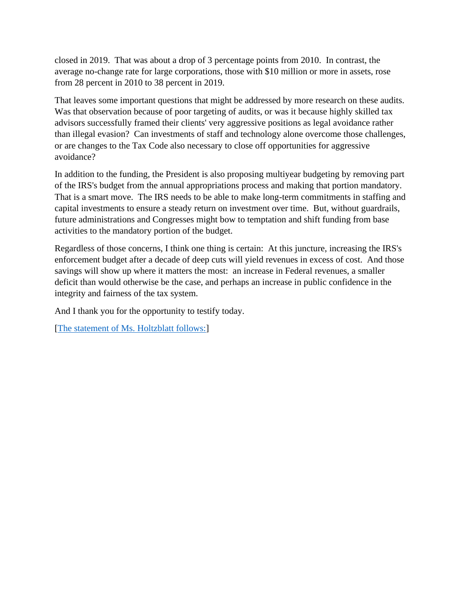closed in 2019. That was about a drop of 3 percentage points from 2010. In contrast, the average no-change rate for large corporations, those with \$10 million or more in assets, rose from 28 percent in 2010 to 38 percent in 2019.

That leaves some important questions that might be addressed by more research on these audits. Was that observation because of poor targeting of audits, or was it because highly skilled tax advisors successfully framed their clients' very aggressive positions as legal avoidance rather than illegal evasion? Can investments of staff and technology alone overcome those challenges, or are changes to the Tax Code also necessary to close off opportunities for aggressive avoidance?

In addition to the funding, the President is also proposing multiyear budgeting by removing part of the IRS's budget from the annual appropriations process and making that portion mandatory. That is a smart move. The IRS needs to be able to make long-term commitments in staffing and capital investments to ensure a steady return on investment over time. But, without guardrails, future administrations and Congresses might bow to temptation and shift funding from base activities to the mandatory portion of the budget.

Regardless of those concerns, I think one thing is certain: At this juncture, increasing the IRS's enforcement budget after a decade of deep cuts will yield revenues in excess of cost. And those savings will show up where it matters the most: an increase in Federal revenues, a smaller deficit than would otherwise be the case, and perhaps an increase in public confidence in the integrity and fairness of the tax system.

And I thank you for the opportunity to testify today.

[\[The statement of Ms. Holtzblatt follows:\]](https://waysandmeans.house.gov/sites/democrats.waysandmeans.house.gov/files/documents/Holtzblatt_Testimony.pdf)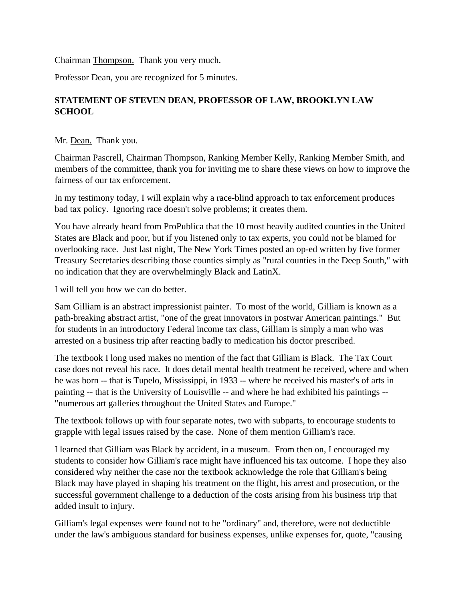Chairman Thompson. Thank you very much.

Professor Dean, you are recognized for 5 minutes.

## **STATEMENT OF STEVEN DEAN, PROFESSOR OF LAW, BROOKLYN LAW SCHOOL**

Mr. Dean. Thank you.

Chairman Pascrell, Chairman Thompson, Ranking Member Kelly, Ranking Member Smith, and members of the committee, thank you for inviting me to share these views on how to improve the fairness of our tax enforcement.

In my testimony today, I will explain why a race-blind approach to tax enforcement produces bad tax policy. Ignoring race doesn't solve problems; it creates them.

You have already heard from ProPublica that the 10 most heavily audited counties in the United States are Black and poor, but if you listened only to tax experts, you could not be blamed for overlooking race. Just last night, The New York Times posted an op-ed written by five former Treasury Secretaries describing those counties simply as "rural counties in the Deep South," with no indication that they are overwhelmingly Black and LatinX.

I will tell you how we can do better.

Sam Gilliam is an abstract impressionist painter. To most of the world, Gilliam is known as a path-breaking abstract artist, "one of the great innovators in postwar American paintings." But for students in an introductory Federal income tax class, Gilliam is simply a man who was arrested on a business trip after reacting badly to medication his doctor prescribed.

The textbook I long used makes no mention of the fact that Gilliam is Black. The Tax Court case does not reveal his race. It does detail mental health treatment he received, where and when he was born -- that is Tupelo, Mississippi, in 1933 -- where he received his master's of arts in painting -- that is the University of Louisville -- and where he had exhibited his paintings -- "numerous art galleries throughout the United States and Europe."

The textbook follows up with four separate notes, two with subparts, to encourage students to grapple with legal issues raised by the case. None of them mention Gilliam's race.

I learned that Gilliam was Black by accident, in a museum. From then on, I encouraged my students to consider how Gilliam's race might have influenced his tax outcome. I hope they also considered why neither the case nor the textbook acknowledge the role that Gilliam's being Black may have played in shaping his treatment on the flight, his arrest and prosecution, or the successful government challenge to a deduction of the costs arising from his business trip that added insult to injury.

Gilliam's legal expenses were found not to be "ordinary" and, therefore, were not deductible under the law's ambiguous standard for business expenses, unlike expenses for, quote, "causing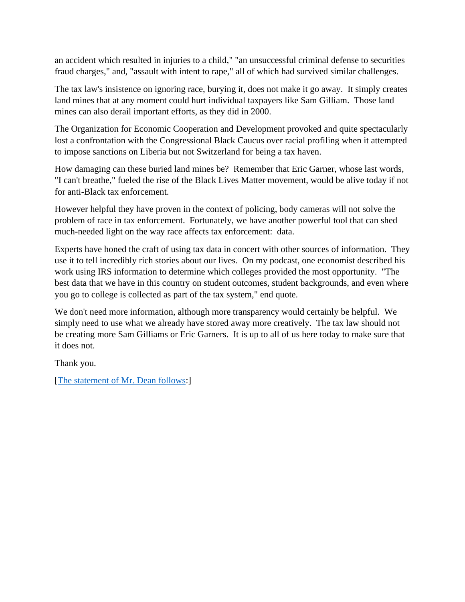an accident which resulted in injuries to a child," "an unsuccessful criminal defense to securities fraud charges," and, "assault with intent to rape," all of which had survived similar challenges.

The tax law's insistence on ignoring race, burying it, does not make it go away. It simply creates land mines that at any moment could hurt individual taxpayers like Sam Gilliam. Those land mines can also derail important efforts, as they did in 2000.

The Organization for Economic Cooperation and Development provoked and quite spectacularly lost a confrontation with the Congressional Black Caucus over racial profiling when it attempted to impose sanctions on Liberia but not Switzerland for being a tax haven.

How damaging can these buried land mines be? Remember that Eric Garner, whose last words, "I can't breathe," fueled the rise of the Black Lives Matter movement, would be alive today if not for anti-Black tax enforcement.

However helpful they have proven in the context of policing, body cameras will not solve the problem of race in tax enforcement. Fortunately, we have another powerful tool that can shed much-needed light on the way race affects tax enforcement: data.

Experts have honed the craft of using tax data in concert with other sources of information. They use it to tell incredibly rich stories about our lives. On my podcast, one economist described his work using IRS information to determine which colleges provided the most opportunity. "The best data that we have in this country on student outcomes, student backgrounds, and even where you go to college is collected as part of the tax system," end quote.

We don't need more information, although more transparency would certainly be helpful. We simply need to use what we already have stored away more creatively. The tax law should not be creating more Sam Gilliams or Eric Garners. It is up to all of us here today to make sure that it does not.

Thank you.

[\[The statement of Mr. Dean follows:](https://waysandmeans.house.gov/sites/democrats.waysandmeans.house.gov/files/documents/Dean_Testimony.pdf)]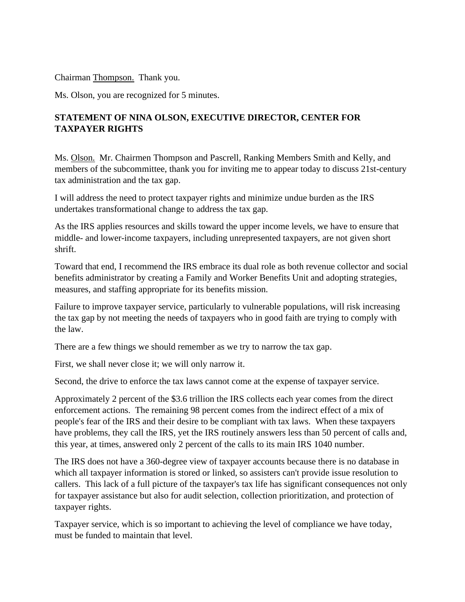Chairman Thompson. Thank you.

Ms. Olson, you are recognized for 5 minutes.

## **STATEMENT OF NINA OLSON, EXECUTIVE DIRECTOR, CENTER FOR TAXPAYER RIGHTS**

Ms. Olson. Mr. Chairmen Thompson and Pascrell, Ranking Members Smith and Kelly, and members of the subcommittee, thank you for inviting me to appear today to discuss 21st-century tax administration and the tax gap.

I will address the need to protect taxpayer rights and minimize undue burden as the IRS undertakes transformational change to address the tax gap.

As the IRS applies resources and skills toward the upper income levels, we have to ensure that middle- and lower-income taxpayers, including unrepresented taxpayers, are not given short shrift.

Toward that end, I recommend the IRS embrace its dual role as both revenue collector and social benefits administrator by creating a Family and Worker Benefits Unit and adopting strategies, measures, and staffing appropriate for its benefits mission.

Failure to improve taxpayer service, particularly to vulnerable populations, will risk increasing the tax gap by not meeting the needs of taxpayers who in good faith are trying to comply with the law.

There are a few things we should remember as we try to narrow the tax gap.

First, we shall never close it; we will only narrow it.

Second, the drive to enforce the tax laws cannot come at the expense of taxpayer service.

Approximately 2 percent of the \$3.6 trillion the IRS collects each year comes from the direct enforcement actions. The remaining 98 percent comes from the indirect effect of a mix of people's fear of the IRS and their desire to be compliant with tax laws. When these taxpayers have problems, they call the IRS, yet the IRS routinely answers less than 50 percent of calls and, this year, at times, answered only 2 percent of the calls to its main IRS 1040 number.

The IRS does not have a 360-degree view of taxpayer accounts because there is no database in which all taxpayer information is stored or linked, so assisters can't provide issue resolution to callers. This lack of a full picture of the taxpayer's tax life has significant consequences not only for taxpayer assistance but also for audit selection, collection prioritization, and protection of taxpayer rights.

Taxpayer service, which is so important to achieving the level of compliance we have today, must be funded to maintain that level.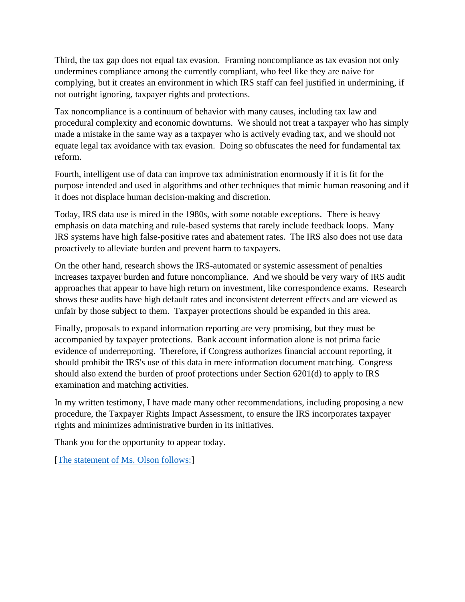Third, the tax gap does not equal tax evasion. Framing noncompliance as tax evasion not only undermines compliance among the currently compliant, who feel like they are naive for complying, but it creates an environment in which IRS staff can feel justified in undermining, if not outright ignoring, taxpayer rights and protections.

Tax noncompliance is a continuum of behavior with many causes, including tax law and procedural complexity and economic downturns. We should not treat a taxpayer who has simply made a mistake in the same way as a taxpayer who is actively evading tax, and we should not equate legal tax avoidance with tax evasion. Doing so obfuscates the need for fundamental tax reform.

Fourth, intelligent use of data can improve tax administration enormously if it is fit for the purpose intended and used in algorithms and other techniques that mimic human reasoning and if it does not displace human decision-making and discretion.

Today, IRS data use is mired in the 1980s, with some notable exceptions. There is heavy emphasis on data matching and rule-based systems that rarely include feedback loops. Many IRS systems have high false-positive rates and abatement rates. The IRS also does not use data proactively to alleviate burden and prevent harm to taxpayers.

On the other hand, research shows the IRS-automated or systemic assessment of penalties increases taxpayer burden and future noncompliance. And we should be very wary of IRS audit approaches that appear to have high return on investment, like correspondence exams. Research shows these audits have high default rates and inconsistent deterrent effects and are viewed as unfair by those subject to them. Taxpayer protections should be expanded in this area.

Finally, proposals to expand information reporting are very promising, but they must be accompanied by taxpayer protections. Bank account information alone is not prima facie evidence of underreporting. Therefore, if Congress authorizes financial account reporting, it should prohibit the IRS's use of this data in mere information document matching. Congress should also extend the burden of proof protections under Section 6201(d) to apply to IRS examination and matching activities.

In my written testimony, I have made many other recommendations, including proposing a new procedure, the Taxpayer Rights Impact Assessment, to ensure the IRS incorporates taxpayer rights and minimizes administrative burden in its initiatives.

Thank you for the opportunity to appear today.

[\[The statement of Ms. Olson follows:\]](https://waysandmeans.house.gov/sites/democrats.waysandmeans.house.gov/files/documents/Olson_Testimony.pdf)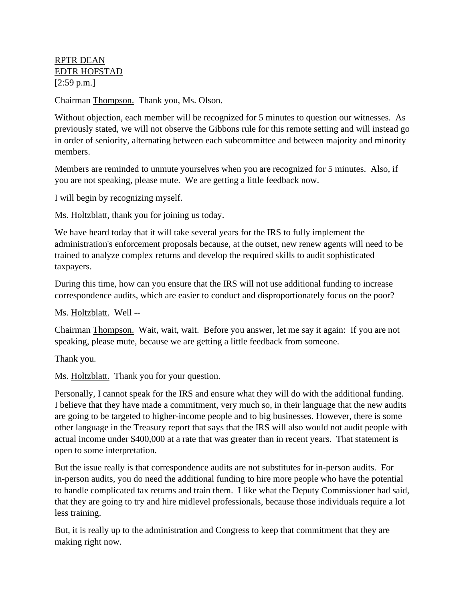### RPTR DEAN EDTR HOFSTAD [2:59 p.m.]

Chairman Thompson. Thank you, Ms. Olson.

Without objection, each member will be recognized for 5 minutes to question our witnesses. As previously stated, we will not observe the Gibbons rule for this remote setting and will instead go in order of seniority, alternating between each subcommittee and between majority and minority members.

Members are reminded to unmute yourselves when you are recognized for 5 minutes. Also, if you are not speaking, please mute. We are getting a little feedback now.

I will begin by recognizing myself.

Ms. Holtzblatt, thank you for joining us today.

We have heard today that it will take several years for the IRS to fully implement the administration's enforcement proposals because, at the outset, new renew agents will need to be trained to analyze complex returns and develop the required skills to audit sophisticated taxpayers.

During this time, how can you ensure that the IRS will not use additional funding to increase correspondence audits, which are easier to conduct and disproportionately focus on the poor?

Ms. Holtzblatt. Well --

Chairman Thompson. Wait, wait, wait. Before you answer, let me say it again: If you are not speaking, please mute, because we are getting a little feedback from someone.

Thank you.

Ms. Holtzblatt. Thank you for your question.

Personally, I cannot speak for the IRS and ensure what they will do with the additional funding. I believe that they have made a commitment, very much so, in their language that the new audits are going to be targeted to higher-income people and to big businesses. However, there is some other language in the Treasury report that says that the IRS will also would not audit people with actual income under \$400,000 at a rate that was greater than in recent years. That statement is open to some interpretation.

But the issue really is that correspondence audits are not substitutes for in-person audits. For in-person audits, you do need the additional funding to hire more people who have the potential to handle complicated tax returns and train them. I like what the Deputy Commissioner had said, that they are going to try and hire midlevel professionals, because those individuals require a lot less training.

But, it is really up to the administration and Congress to keep that commitment that they are making right now.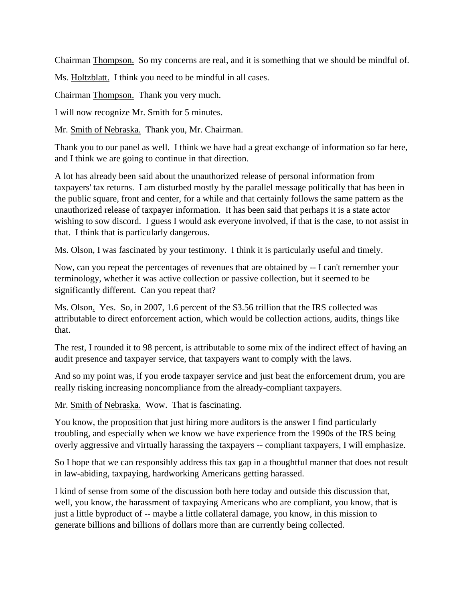Chairman Thompson. So my concerns are real, and it is something that we should be mindful of.

Ms. Holtzblatt. I think you need to be mindful in all cases.

Chairman Thompson. Thank you very much.

I will now recognize Mr. Smith for 5 minutes.

Mr. Smith of Nebraska. Thank you, Mr. Chairman.

Thank you to our panel as well. I think we have had a great exchange of information so far here, and I think we are going to continue in that direction.

A lot has already been said about the unauthorized release of personal information from taxpayers' tax returns. I am disturbed mostly by the parallel message politically that has been in the public square, front and center, for a while and that certainly follows the same pattern as the unauthorized release of taxpayer information. It has been said that perhaps it is a state actor wishing to sow discord. I guess I would ask everyone involved, if that is the case, to not assist in that. I think that is particularly dangerous.

Ms. Olson, I was fascinated by your testimony. I think it is particularly useful and timely.

Now, can you repeat the percentages of revenues that are obtained by -- I can't remember your terminology, whether it was active collection or passive collection, but it seemed to be significantly different. Can you repeat that?

Ms. Olson. Yes. So, in 2007, 1.6 percent of the \$3.56 trillion that the IRS collected was attributable to direct enforcement action, which would be collection actions, audits, things like that.

The rest, I rounded it to 98 percent, is attributable to some mix of the indirect effect of having an audit presence and taxpayer service, that taxpayers want to comply with the laws.

And so my point was, if you erode taxpayer service and just beat the enforcement drum, you are really risking increasing noncompliance from the already-compliant taxpayers.

Mr. Smith of Nebraska. Wow. That is fascinating.

You know, the proposition that just hiring more auditors is the answer I find particularly troubling, and especially when we know we have experience from the 1990s of the IRS being overly aggressive and virtually harassing the taxpayers -- compliant taxpayers, I will emphasize.

So I hope that we can responsibly address this tax gap in a thoughtful manner that does not result in law-abiding, taxpaying, hardworking Americans getting harassed.

I kind of sense from some of the discussion both here today and outside this discussion that, well, you know, the harassment of taxpaying Americans who are compliant, you know, that is just a little byproduct of -- maybe a little collateral damage, you know, in this mission to generate billions and billions of dollars more than are currently being collected.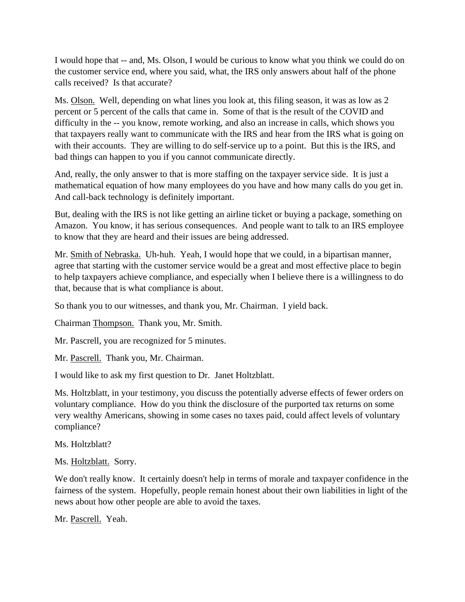I would hope that -- and, Ms. Olson, I would be curious to know what you think we could do on the customer service end, where you said, what, the IRS only answers about half of the phone calls received? Is that accurate?

Ms. Olson. Well, depending on what lines you look at, this filing season, it was as low as 2 percent or 5 percent of the calls that came in. Some of that is the result of the COVID and difficulty in the -- you know, remote working, and also an increase in calls, which shows you that taxpayers really want to communicate with the IRS and hear from the IRS what is going on with their accounts. They are willing to do self-service up to a point. But this is the IRS, and bad things can happen to you if you cannot communicate directly.

And, really, the only answer to that is more staffing on the taxpayer service side. It is just a mathematical equation of how many employees do you have and how many calls do you get in. And call-back technology is definitely important.

But, dealing with the IRS is not like getting an airline ticket or buying a package, something on Amazon. You know, it has serious consequences. And people want to talk to an IRS employee to know that they are heard and their issues are being addressed.

Mr. Smith of Nebraska. Uh-huh. Yeah, I would hope that we could, in a bipartisan manner, agree that starting with the customer service would be a great and most effective place to begin to help taxpayers achieve compliance, and especially when I believe there is a willingness to do that, because that is what compliance is about.

So thank you to our witnesses, and thank you, Mr. Chairman. I yield back.

Chairman Thompson. Thank you, Mr. Smith.

Mr. Pascrell, you are recognized for 5 minutes.

Mr. Pascrell. Thank you, Mr. Chairman.

I would like to ask my first question to Dr. Janet Holtzblatt.

Ms. Holtzblatt, in your testimony, you discuss the potentially adverse effects of fewer orders on voluntary compliance. How do you think the disclosure of the purported tax returns on some very wealthy Americans, showing in some cases no taxes paid, could affect levels of voluntary compliance?

Ms. Holtzblatt?

Ms. Holtzblatt. Sorry.

We don't really know. It certainly doesn't help in terms of morale and taxpayer confidence in the fairness of the system. Hopefully, people remain honest about their own liabilities in light of the news about how other people are able to avoid the taxes.

Mr. Pascrell. Yeah.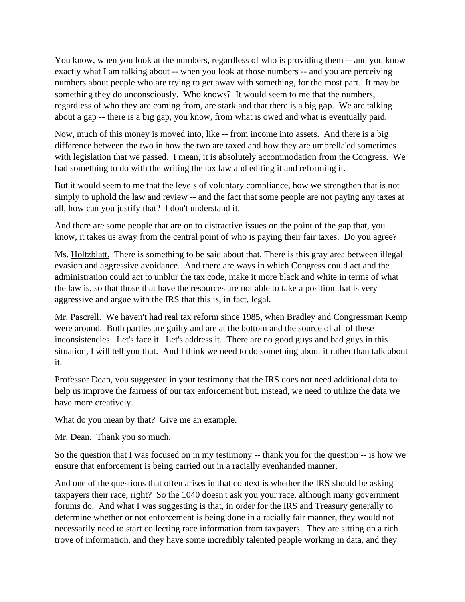You know, when you look at the numbers, regardless of who is providing them -- and you know exactly what I am talking about -- when you look at those numbers -- and you are perceiving numbers about people who are trying to get away with something, for the most part. It may be something they do unconsciously. Who knows? It would seem to me that the numbers, regardless of who they are coming from, are stark and that there is a big gap. We are talking about a gap -- there is a big gap, you know, from what is owed and what is eventually paid.

Now, much of this money is moved into, like -- from income into assets. And there is a big difference between the two in how the two are taxed and how they are umbrella'ed sometimes with legislation that we passed. I mean, it is absolutely accommodation from the Congress. We had something to do with the writing the tax law and editing it and reforming it.

But it would seem to me that the levels of voluntary compliance, how we strengthen that is not simply to uphold the law and review -- and the fact that some people are not paying any taxes at all, how can you justify that? I don't understand it.

And there are some people that are on to distractive issues on the point of the gap that, you know, it takes us away from the central point of who is paying their fair taxes. Do you agree?

Ms. Holtzblatt. There is something to be said about that. There is this gray area between illegal evasion and aggressive avoidance. And there are ways in which Congress could act and the administration could act to unblur the tax code, make it more black and white in terms of what the law is, so that those that have the resources are not able to take a position that is very aggressive and argue with the IRS that this is, in fact, legal.

Mr. Pascrell. We haven't had real tax reform since 1985, when Bradley and Congressman Kemp were around. Both parties are guilty and are at the bottom and the source of all of these inconsistencies. Let's face it. Let's address it. There are no good guys and bad guys in this situation, I will tell you that. And I think we need to do something about it rather than talk about it.

Professor Dean, you suggested in your testimony that the IRS does not need additional data to help us improve the fairness of our tax enforcement but, instead, we need to utilize the data we have more creatively.

What do you mean by that? Give me an example.

Mr. Dean. Thank you so much.

So the question that I was focused on in my testimony -- thank you for the question -- is how we ensure that enforcement is being carried out in a racially evenhanded manner.

And one of the questions that often arises in that context is whether the IRS should be asking taxpayers their race, right? So the 1040 doesn't ask you your race, although many government forums do. And what I was suggesting is that, in order for the IRS and Treasury generally to determine whether or not enforcement is being done in a racially fair manner, they would not necessarily need to start collecting race information from taxpayers. They are sitting on a rich trove of information, and they have some incredibly talented people working in data, and they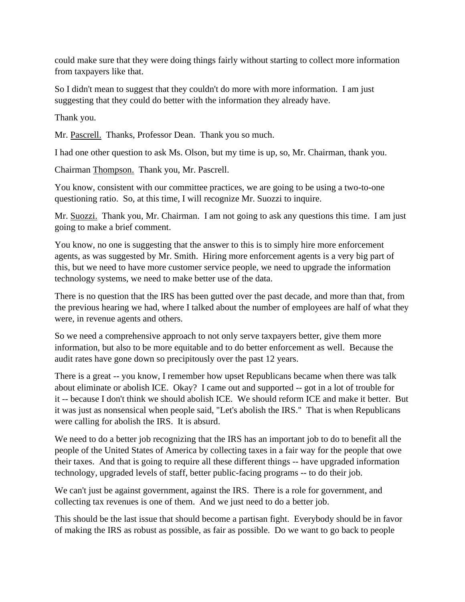could make sure that they were doing things fairly without starting to collect more information from taxpayers like that.

So I didn't mean to suggest that they couldn't do more with more information. I am just suggesting that they could do better with the information they already have.

Thank you.

Mr. Pascrell. Thanks, Professor Dean. Thank you so much.

I had one other question to ask Ms. Olson, but my time is up, so, Mr. Chairman, thank you.

Chairman Thompson. Thank you, Mr. Pascrell.

You know, consistent with our committee practices, we are going to be using a two-to-one questioning ratio. So, at this time, I will recognize Mr. Suozzi to inquire.

Mr. Suozzi. Thank you, Mr. Chairman. I am not going to ask any questions this time. I am just going to make a brief comment.

You know, no one is suggesting that the answer to this is to simply hire more enforcement agents, as was suggested by Mr. Smith. Hiring more enforcement agents is a very big part of this, but we need to have more customer service people, we need to upgrade the information technology systems, we need to make better use of the data.

There is no question that the IRS has been gutted over the past decade, and more than that, from the previous hearing we had, where I talked about the number of employees are half of what they were, in revenue agents and others.

So we need a comprehensive approach to not only serve taxpayers better, give them more information, but also to be more equitable and to do better enforcement as well. Because the audit rates have gone down so precipitously over the past 12 years.

There is a great -- you know, I remember how upset Republicans became when there was talk about eliminate or abolish ICE. Okay? I came out and supported -- got in a lot of trouble for it -- because I don't think we should abolish ICE. We should reform ICE and make it better. But it was just as nonsensical when people said, "Let's abolish the IRS." That is when Republicans were calling for abolish the IRS. It is absurd.

We need to do a better job recognizing that the IRS has an important job to do to benefit all the people of the United States of America by collecting taxes in a fair way for the people that owe their taxes. And that is going to require all these different things -- have upgraded information technology, upgraded levels of staff, better public-facing programs -- to do their job.

We can't just be against government, against the IRS. There is a role for government, and collecting tax revenues is one of them. And we just need to do a better job.

This should be the last issue that should become a partisan fight. Everybody should be in favor of making the IRS as robust as possible, as fair as possible. Do we want to go back to people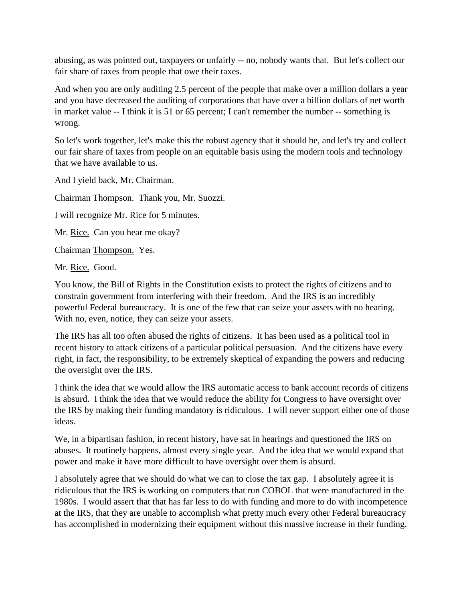abusing, as was pointed out, taxpayers or unfairly -- no, nobody wants that. But let's collect our fair share of taxes from people that owe their taxes.

And when you are only auditing 2.5 percent of the people that make over a million dollars a year and you have decreased the auditing of corporations that have over a billion dollars of net worth in market value -- I think it is 51 or 65 percent; I can't remember the number -- something is wrong.

So let's work together, let's make this the robust agency that it should be, and let's try and collect our fair share of taxes from people on an equitable basis using the modern tools and technology that we have available to us.

And I yield back, Mr. Chairman.

Chairman Thompson. Thank you, Mr. Suozzi.

I will recognize Mr. Rice for 5 minutes.

Mr. Rice. Can you hear me okay?

Chairman Thompson. Yes.

Mr. Rice. Good.

You know, the Bill of Rights in the Constitution exists to protect the rights of citizens and to constrain government from interfering with their freedom. And the IRS is an incredibly powerful Federal bureaucracy. It is one of the few that can seize your assets with no hearing. With no, even, notice, they can seize your assets.

The IRS has all too often abused the rights of citizens. It has been used as a political tool in recent history to attack citizens of a particular political persuasion. And the citizens have every right, in fact, the responsibility, to be extremely skeptical of expanding the powers and reducing the oversight over the IRS.

I think the idea that we would allow the IRS automatic access to bank account records of citizens is absurd. I think the idea that we would reduce the ability for Congress to have oversight over the IRS by making their funding mandatory is ridiculous. I will never support either one of those ideas.

We, in a bipartisan fashion, in recent history, have sat in hearings and questioned the IRS on abuses. It routinely happens, almost every single year. And the idea that we would expand that power and make it have more difficult to have oversight over them is absurd.

I absolutely agree that we should do what we can to close the tax gap. I absolutely agree it is ridiculous that the IRS is working on computers that run COBOL that were manufactured in the 1980s. I would assert that that has far less to do with funding and more to do with incompetence at the IRS, that they are unable to accomplish what pretty much every other Federal bureaucracy has accomplished in modernizing their equipment without this massive increase in their funding.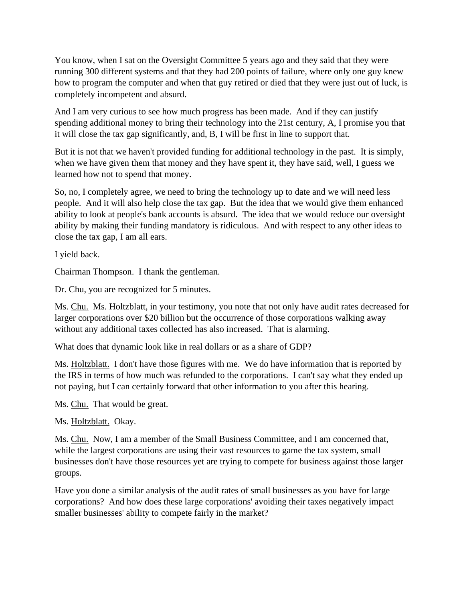You know, when I sat on the Oversight Committee 5 years ago and they said that they were running 300 different systems and that they had 200 points of failure, where only one guy knew how to program the computer and when that guy retired or died that they were just out of luck, is completely incompetent and absurd.

And I am very curious to see how much progress has been made. And if they can justify spending additional money to bring their technology into the 21st century, A, I promise you that it will close the tax gap significantly, and, B, I will be first in line to support that.

But it is not that we haven't provided funding for additional technology in the past. It is simply, when we have given them that money and they have spent it, they have said, well, I guess we learned how not to spend that money.

So, no, I completely agree, we need to bring the technology up to date and we will need less people. And it will also help close the tax gap. But the idea that we would give them enhanced ability to look at people's bank accounts is absurd. The idea that we would reduce our oversight ability by making their funding mandatory is ridiculous. And with respect to any other ideas to close the tax gap, I am all ears.

I yield back.

Chairman Thompson. I thank the gentleman.

Dr. Chu, you are recognized for 5 minutes.

Ms. Chu. Ms. Holtzblatt, in your testimony, you note that not only have audit rates decreased for larger corporations over \$20 billion but the occurrence of those corporations walking away without any additional taxes collected has also increased. That is alarming.

What does that dynamic look like in real dollars or as a share of GDP?

Ms. Holtzblatt. I don't have those figures with me. We do have information that is reported by the IRS in terms of how much was refunded to the corporations. I can't say what they ended up not paying, but I can certainly forward that other information to you after this hearing.

Ms. Chu. That would be great.

Ms. Holtzblatt. Okay.

Ms. Chu. Now, I am a member of the Small Business Committee, and I am concerned that, while the largest corporations are using their vast resources to game the tax system, small businesses don't have those resources yet are trying to compete for business against those larger groups.

Have you done a similar analysis of the audit rates of small businesses as you have for large corporations? And how does these large corporations' avoiding their taxes negatively impact smaller businesses' ability to compete fairly in the market?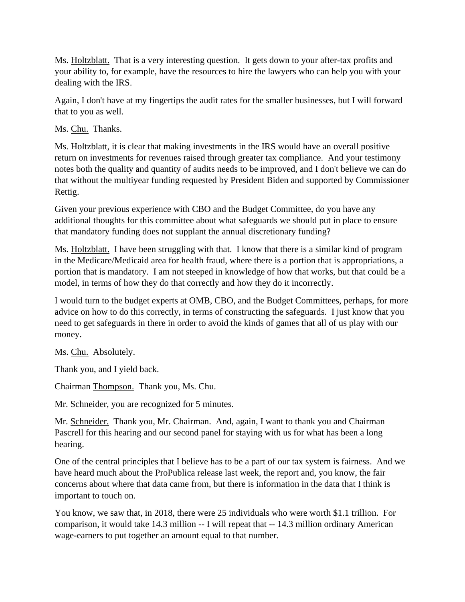Ms. Holtzblatt. That is a very interesting question. It gets down to your after-tax profits and your ability to, for example, have the resources to hire the lawyers who can help you with your dealing with the IRS.

Again, I don't have at my fingertips the audit rates for the smaller businesses, but I will forward that to you as well.

Ms. Chu. Thanks.

Ms. Holtzblatt, it is clear that making investments in the IRS would have an overall positive return on investments for revenues raised through greater tax compliance. And your testimony notes both the quality and quantity of audits needs to be improved, and I don't believe we can do that without the multiyear funding requested by President Biden and supported by Commissioner Rettig.

Given your previous experience with CBO and the Budget Committee, do you have any additional thoughts for this committee about what safeguards we should put in place to ensure that mandatory funding does not supplant the annual discretionary funding?

Ms. Holtzblatt. I have been struggling with that. I know that there is a similar kind of program in the Medicare/Medicaid area for health fraud, where there is a portion that is appropriations, a portion that is mandatory. I am not steeped in knowledge of how that works, but that could be a model, in terms of how they do that correctly and how they do it incorrectly.

I would turn to the budget experts at OMB, CBO, and the Budget Committees, perhaps, for more advice on how to do this correctly, in terms of constructing the safeguards. I just know that you need to get safeguards in there in order to avoid the kinds of games that all of us play with our money.

Ms. Chu. Absolutely.

Thank you, and I yield back.

Chairman Thompson. Thank you, Ms. Chu.

Mr. Schneider, you are recognized for 5 minutes.

Mr. Schneider. Thank you, Mr. Chairman. And, again, I want to thank you and Chairman Pascrell for this hearing and our second panel for staying with us for what has been a long hearing.

One of the central principles that I believe has to be a part of our tax system is fairness. And we have heard much about the ProPublica release last week, the report and, you know, the fair concerns about where that data came from, but there is information in the data that I think is important to touch on.

You know, we saw that, in 2018, there were 25 individuals who were worth \$1.1 trillion. For comparison, it would take 14.3 million -- I will repeat that -- 14.3 million ordinary American wage-earners to put together an amount equal to that number.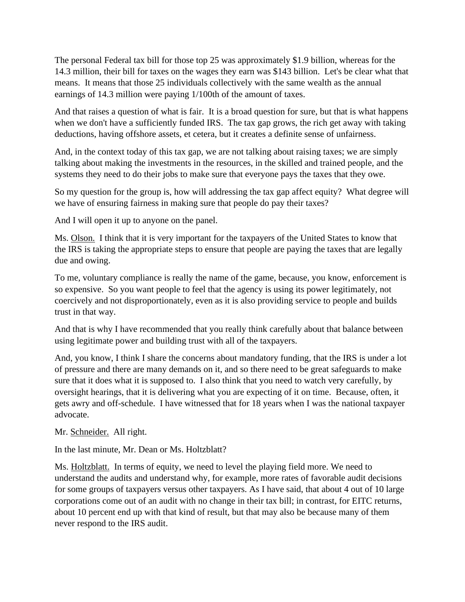The personal Federal tax bill for those top 25 was approximately \$1.9 billion, whereas for the 14.3 million, their bill for taxes on the wages they earn was \$143 billion. Let's be clear what that means. It means that those 25 individuals collectively with the same wealth as the annual earnings of 14.3 million were paying 1/100th of the amount of taxes.

And that raises a question of what is fair. It is a broad question for sure, but that is what happens when we don't have a sufficiently funded IRS. The tax gap grows, the rich get away with taking deductions, having offshore assets, et cetera, but it creates a definite sense of unfairness.

And, in the context today of this tax gap, we are not talking about raising taxes; we are simply talking about making the investments in the resources, in the skilled and trained people, and the systems they need to do their jobs to make sure that everyone pays the taxes that they owe.

So my question for the group is, how will addressing the tax gap affect equity? What degree will we have of ensuring fairness in making sure that people do pay their taxes?

And I will open it up to anyone on the panel.

Ms. Olson. I think that it is very important for the taxpayers of the United States to know that the IRS is taking the appropriate steps to ensure that people are paying the taxes that are legally due and owing.

To me, voluntary compliance is really the name of the game, because, you know, enforcement is so expensive. So you want people to feel that the agency is using its power legitimately, not coercively and not disproportionately, even as it is also providing service to people and builds trust in that way.

And that is why I have recommended that you really think carefully about that balance between using legitimate power and building trust with all of the taxpayers.

And, you know, I think I share the concerns about mandatory funding, that the IRS is under a lot of pressure and there are many demands on it, and so there need to be great safeguards to make sure that it does what it is supposed to. I also think that you need to watch very carefully, by oversight hearings, that it is delivering what you are expecting of it on time. Because, often, it gets awry and off-schedule. I have witnessed that for 18 years when I was the national taxpayer advocate.

Mr. Schneider. All right.

In the last minute, Mr. Dean or Ms. Holtzblatt?

Ms. Holtzblatt. In terms of equity, we need to level the playing field more. We need to understand the audits and understand why, for example, more rates of favorable audit decisions for some groups of taxpayers versus other taxpayers. As I have said, that about 4 out of 10 large corporations come out of an audit with no change in their tax bill; in contrast, for EITC returns, about 10 percent end up with that kind of result, but that may also be because many of them never respond to the IRS audit.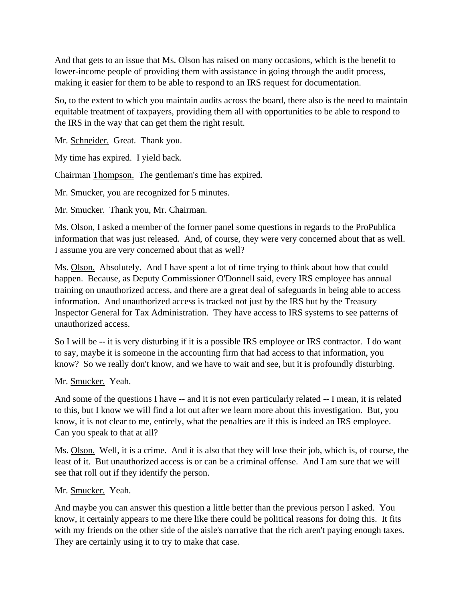And that gets to an issue that Ms. Olson has raised on many occasions, which is the benefit to lower-income people of providing them with assistance in going through the audit process, making it easier for them to be able to respond to an IRS request for documentation.

So, to the extent to which you maintain audits across the board, there also is the need to maintain equitable treatment of taxpayers, providing them all with opportunities to be able to respond to the IRS in the way that can get them the right result.

Mr. Schneider. Great. Thank you.

My time has expired. I yield back.

Chairman Thompson. The gentleman's time has expired.

Mr. Smucker, you are recognized for 5 minutes.

Mr. Smucker. Thank you, Mr. Chairman.

Ms. Olson, I asked a member of the former panel some questions in regards to the ProPublica information that was just released. And, of course, they were very concerned about that as well. I assume you are very concerned about that as well?

Ms. Olson. Absolutely. And I have spent a lot of time trying to think about how that could happen. Because, as Deputy Commissioner O'Donnell said, every IRS employee has annual training on unauthorized access, and there are a great deal of safeguards in being able to access information. And unauthorized access is tracked not just by the IRS but by the Treasury Inspector General for Tax Administration. They have access to IRS systems to see patterns of unauthorized access.

So I will be -- it is very disturbing if it is a possible IRS employee or IRS contractor. I do want to say, maybe it is someone in the accounting firm that had access to that information, you know? So we really don't know, and we have to wait and see, but it is profoundly disturbing.

#### Mr. Smucker. Yeah.

And some of the questions I have -- and it is not even particularly related -- I mean, it is related to this, but I know we will find a lot out after we learn more about this investigation. But, you know, it is not clear to me, entirely, what the penalties are if this is indeed an IRS employee. Can you speak to that at all?

Ms. Olson. Well, it is a crime. And it is also that they will lose their job, which is, of course, the least of it. But unauthorized access is or can be a criminal offense. And I am sure that we will see that roll out if they identify the person.

#### Mr. Smucker. Yeah.

And maybe you can answer this question a little better than the previous person I asked. You know, it certainly appears to me there like there could be political reasons for doing this. It fits with my friends on the other side of the aisle's narrative that the rich aren't paying enough taxes. They are certainly using it to try to make that case.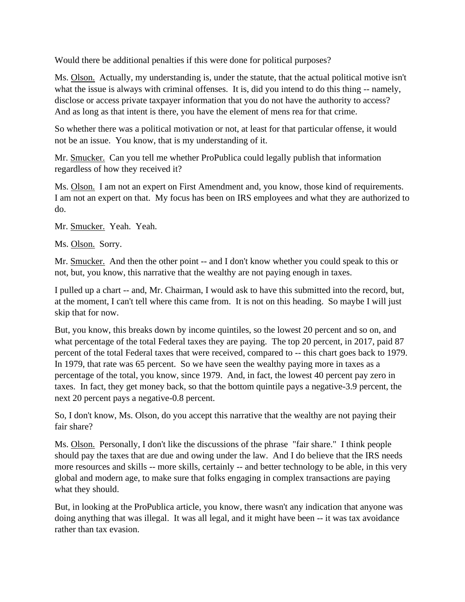Would there be additional penalties if this were done for political purposes?

Ms. Olson. Actually, my understanding is, under the statute, that the actual political motive isn't what the issue is always with criminal offenses. It is, did you intend to do this thing -- namely, disclose or access private taxpayer information that you do not have the authority to access? And as long as that intent is there, you have the element of mens rea for that crime.

So whether there was a political motivation or not, at least for that particular offense, it would not be an issue. You know, that is my understanding of it.

Mr. Smucker. Can you tell me whether ProPublica could legally publish that information regardless of how they received it?

Ms. Olson. I am not an expert on First Amendment and, you know, those kind of requirements. I am not an expert on that. My focus has been on IRS employees and what they are authorized to do.

Mr. Smucker. Yeah. Yeah.

Ms. Olson. Sorry.

Mr. Smucker. And then the other point -- and I don't know whether you could speak to this or not, but, you know, this narrative that the wealthy are not paying enough in taxes.

I pulled up a chart -- and, Mr. Chairman, I would ask to have this submitted into the record, but, at the moment, I can't tell where this came from. It is not on this heading. So maybe I will just skip that for now.

But, you know, this breaks down by income quintiles, so the lowest 20 percent and so on, and what percentage of the total Federal taxes they are paying. The top 20 percent, in 2017, paid 87 percent of the total Federal taxes that were received, compared to -- this chart goes back to 1979. In 1979, that rate was 65 percent. So we have seen the wealthy paying more in taxes as a percentage of the total, you know, since 1979. And, in fact, the lowest 40 percent pay zero in taxes. In fact, they get money back, so that the bottom quintile pays a negative-3.9 percent, the next 20 percent pays a negative-0.8 percent.

So, I don't know, Ms. Olson, do you accept this narrative that the wealthy are not paying their fair share?

Ms. Olson. Personally, I don't like the discussions of the phrase "fair share." I think people should pay the taxes that are due and owing under the law. And I do believe that the IRS needs more resources and skills -- more skills, certainly -- and better technology to be able, in this very global and modern age, to make sure that folks engaging in complex transactions are paying what they should.

But, in looking at the ProPublica article, you know, there wasn't any indication that anyone was doing anything that was illegal. It was all legal, and it might have been -- it was tax avoidance rather than tax evasion.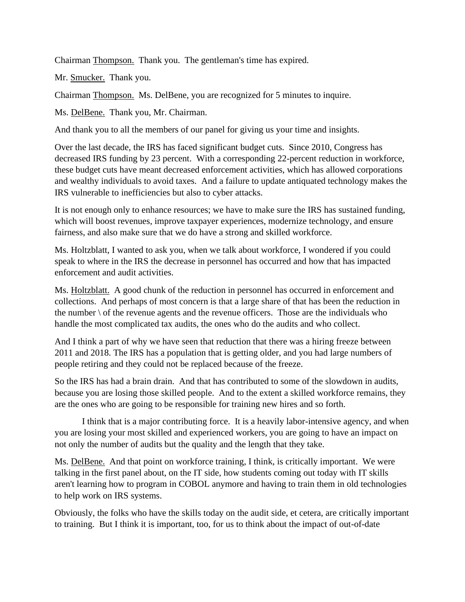Chairman Thompson. Thank you. The gentleman's time has expired.

Mr. Smucker. Thank you.

Chairman Thompson. Ms. DelBene, you are recognized for 5 minutes to inquire.

Ms. DelBene. Thank you, Mr. Chairman.

And thank you to all the members of our panel for giving us your time and insights.

Over the last decade, the IRS has faced significant budget cuts. Since 2010, Congress has decreased IRS funding by 23 percent. With a corresponding 22-percent reduction in workforce, these budget cuts have meant decreased enforcement activities, which has allowed corporations and wealthy individuals to avoid taxes. And a failure to update antiquated technology makes the IRS vulnerable to inefficiencies but also to cyber attacks.

It is not enough only to enhance resources; we have to make sure the IRS has sustained funding, which will boost revenues, improve taxpayer experiences, modernize technology, and ensure fairness, and also make sure that we do have a strong and skilled workforce.

Ms. Holtzblatt, I wanted to ask you, when we talk about workforce, I wondered if you could speak to where in the IRS the decrease in personnel has occurred and how that has impacted enforcement and audit activities.

Ms. Holtzblatt. A good chunk of the reduction in personnel has occurred in enforcement and collections. And perhaps of most concern is that a large share of that has been the reduction in the number  $\setminus$  of the revenue agents and the revenue officers. Those are the individuals who handle the most complicated tax audits, the ones who do the audits and who collect.

And I think a part of why we have seen that reduction that there was a hiring freeze between 2011 and 2018. The IRS has a population that is getting older, and you had large numbers of people retiring and they could not be replaced because of the freeze.

So the IRS has had a brain drain. And that has contributed to some of the slowdown in audits, because you are losing those skilled people. And to the extent a skilled workforce remains, they are the ones who are going to be responsible for training new hires and so forth.

I think that is a major contributing force. It is a heavily labor-intensive agency, and when you are losing your most skilled and experienced workers, you are going to have an impact on not only the number of audits but the quality and the length that they take.

Ms. DelBene. And that point on workforce training, I think, is critically important. We were talking in the first panel about, on the IT side, how students coming out today with IT skills aren't learning how to program in COBOL anymore and having to train them in old technologies to help work on IRS systems.

Obviously, the folks who have the skills today on the audit side, et cetera, are critically important to training. But I think it is important, too, for us to think about the impact of out-of-date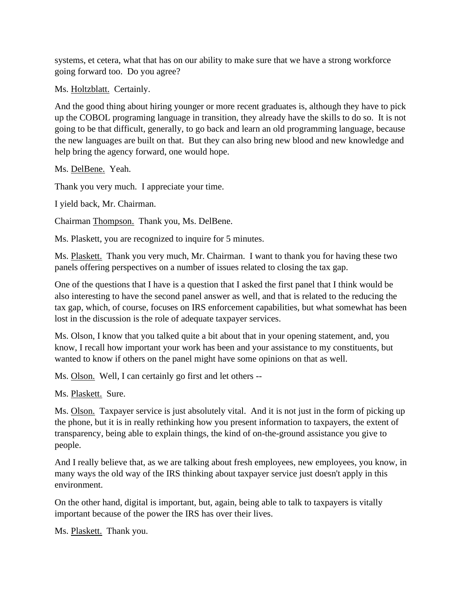systems, et cetera, what that has on our ability to make sure that we have a strong workforce going forward too. Do you agree?

Ms. Holtzblatt. Certainly.

And the good thing about hiring younger or more recent graduates is, although they have to pick up the COBOL programing language in transition, they already have the skills to do so. It is not going to be that difficult, generally, to go back and learn an old programming language, because the new languages are built on that. But they can also bring new blood and new knowledge and help bring the agency forward, one would hope.

Ms. DelBene. Yeah.

Thank you very much. I appreciate your time.

I yield back, Mr. Chairman.

Chairman Thompson. Thank you, Ms. DelBene.

Ms. Plaskett, you are recognized to inquire for 5 minutes.

Ms. Plaskett. Thank you very much, Mr. Chairman. I want to thank you for having these two panels offering perspectives on a number of issues related to closing the tax gap.

One of the questions that I have is a question that I asked the first panel that I think would be also interesting to have the second panel answer as well, and that is related to the reducing the tax gap, which, of course, focuses on IRS enforcement capabilities, but what somewhat has been lost in the discussion is the role of adequate taxpayer services.

Ms. Olson, I know that you talked quite a bit about that in your opening statement, and, you know, I recall how important your work has been and your assistance to my constituents, but wanted to know if others on the panel might have some opinions on that as well.

Ms. Olson. Well, I can certainly go first and let others --

Ms. Plaskett. Sure.

Ms. Olson. Taxpayer service is just absolutely vital. And it is not just in the form of picking up the phone, but it is in really rethinking how you present information to taxpayers, the extent of transparency, being able to explain things, the kind of on-the-ground assistance you give to people.

And I really believe that, as we are talking about fresh employees, new employees, you know, in many ways the old way of the IRS thinking about taxpayer service just doesn't apply in this environment.

On the other hand, digital is important, but, again, being able to talk to taxpayers is vitally important because of the power the IRS has over their lives.

Ms. Plaskett. Thank you.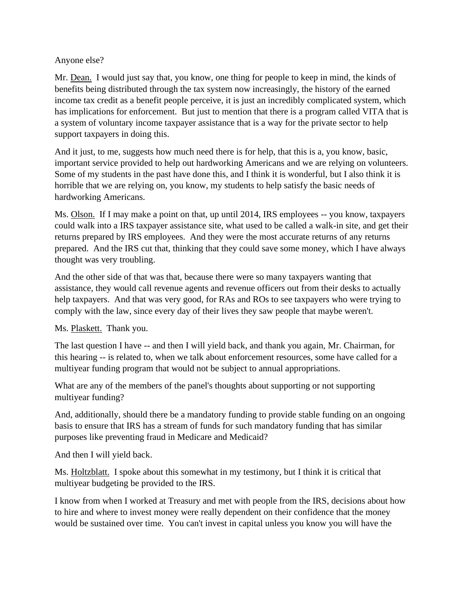### Anyone else?

Mr. Dean. I would just say that, you know, one thing for people to keep in mind, the kinds of benefits being distributed through the tax system now increasingly, the history of the earned income tax credit as a benefit people perceive, it is just an incredibly complicated system, which has implications for enforcement. But just to mention that there is a program called VITA that is a system of voluntary income taxpayer assistance that is a way for the private sector to help support taxpayers in doing this.

And it just, to me, suggests how much need there is for help, that this is a, you know, basic, important service provided to help out hardworking Americans and we are relying on volunteers. Some of my students in the past have done this, and I think it is wonderful, but I also think it is horrible that we are relying on, you know, my students to help satisfy the basic needs of hardworking Americans.

Ms. Olson. If I may make a point on that, up until 2014, IRS employees -- you know, taxpayers could walk into a IRS taxpayer assistance site, what used to be called a walk-in site, and get their returns prepared by IRS employees. And they were the most accurate returns of any returns prepared. And the IRS cut that, thinking that they could save some money, which I have always thought was very troubling.

And the other side of that was that, because there were so many taxpayers wanting that assistance, they would call revenue agents and revenue officers out from their desks to actually help taxpayers. And that was very good, for RAs and ROs to see taxpayers who were trying to comply with the law, since every day of their lives they saw people that maybe weren't.

Ms. Plaskett. Thank you.

The last question I have -- and then I will yield back, and thank you again, Mr. Chairman, for this hearing -- is related to, when we talk about enforcement resources, some have called for a multiyear funding program that would not be subject to annual appropriations.

What are any of the members of the panel's thoughts about supporting or not supporting multiyear funding?

And, additionally, should there be a mandatory funding to provide stable funding on an ongoing basis to ensure that IRS has a stream of funds for such mandatory funding that has similar purposes like preventing fraud in Medicare and Medicaid?

And then I will yield back.

Ms. Holtzblatt. I spoke about this somewhat in my testimony, but I think it is critical that multiyear budgeting be provided to the IRS.

I know from when I worked at Treasury and met with people from the IRS, decisions about how to hire and where to invest money were really dependent on their confidence that the money would be sustained over time. You can't invest in capital unless you know you will have the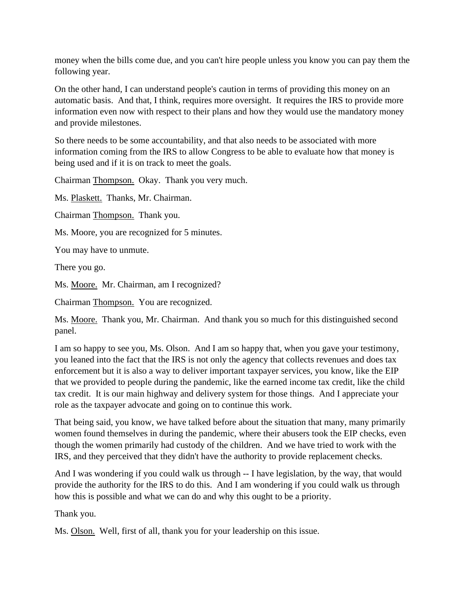money when the bills come due, and you can't hire people unless you know you can pay them the following year.

On the other hand, I can understand people's caution in terms of providing this money on an automatic basis. And that, I think, requires more oversight. It requires the IRS to provide more information even now with respect to their plans and how they would use the mandatory money and provide milestones.

So there needs to be some accountability, and that also needs to be associated with more information coming from the IRS to allow Congress to be able to evaluate how that money is being used and if it is on track to meet the goals.

Chairman Thompson. Okay. Thank you very much.

Ms. Plaskett. Thanks, Mr. Chairman.

Chairman Thompson. Thank you.

Ms. Moore, you are recognized for 5 minutes.

You may have to unmute.

There you go.

Ms. Moore. Mr. Chairman, am I recognized?

Chairman Thompson. You are recognized.

Ms. Moore. Thank you, Mr. Chairman. And thank you so much for this distinguished second panel.

I am so happy to see you, Ms. Olson. And I am so happy that, when you gave your testimony, you leaned into the fact that the IRS is not only the agency that collects revenues and does tax enforcement but it is also a way to deliver important taxpayer services, you know, like the EIP that we provided to people during the pandemic, like the earned income tax credit, like the child tax credit. It is our main highway and delivery system for those things. And I appreciate your role as the taxpayer advocate and going on to continue this work.

That being said, you know, we have talked before about the situation that many, many primarily women found themselves in during the pandemic, where their abusers took the EIP checks, even though the women primarily had custody of the children. And we have tried to work with the IRS, and they perceived that they didn't have the authority to provide replacement checks.

And I was wondering if you could walk us through -- I have legislation, by the way, that would provide the authority for the IRS to do this. And I am wondering if you could walk us through how this is possible and what we can do and why this ought to be a priority.

Thank you.

Ms. Olson. Well, first of all, thank you for your leadership on this issue.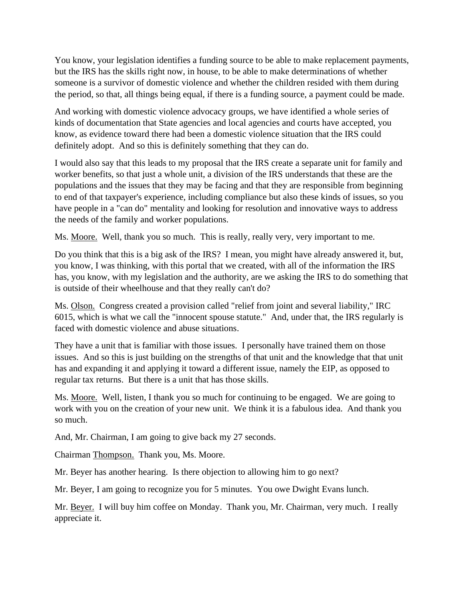You know, your legislation identifies a funding source to be able to make replacement payments, but the IRS has the skills right now, in house, to be able to make determinations of whether someone is a survivor of domestic violence and whether the children resided with them during the period, so that, all things being equal, if there is a funding source, a payment could be made.

And working with domestic violence advocacy groups, we have identified a whole series of kinds of documentation that State agencies and local agencies and courts have accepted, you know, as evidence toward there had been a domestic violence situation that the IRS could definitely adopt. And so this is definitely something that they can do.

I would also say that this leads to my proposal that the IRS create a separate unit for family and worker benefits, so that just a whole unit, a division of the IRS understands that these are the populations and the issues that they may be facing and that they are responsible from beginning to end of that taxpayer's experience, including compliance but also these kinds of issues, so you have people in a "can do" mentality and looking for resolution and innovative ways to address the needs of the family and worker populations.

Ms. Moore. Well, thank you so much. This is really, really very, very important to me.

Do you think that this is a big ask of the IRS? I mean, you might have already answered it, but, you know, I was thinking, with this portal that we created, with all of the information the IRS has, you know, with my legislation and the authority, are we asking the IRS to do something that is outside of their wheelhouse and that they really can't do?

Ms. Olson. Congress created a provision called "relief from joint and several liability," IRC 6015, which is what we call the "innocent spouse statute." And, under that, the IRS regularly is faced with domestic violence and abuse situations.

They have a unit that is familiar with those issues. I personally have trained them on those issues. And so this is just building on the strengths of that unit and the knowledge that that unit has and expanding it and applying it toward a different issue, namely the EIP, as opposed to regular tax returns. But there is a unit that has those skills.

Ms. Moore. Well, listen, I thank you so much for continuing to be engaged. We are going to work with you on the creation of your new unit. We think it is a fabulous idea. And thank you so much.

And, Mr. Chairman, I am going to give back my 27 seconds.

Chairman Thompson. Thank you, Ms. Moore.

Mr. Beyer has another hearing. Is there objection to allowing him to go next?

Mr. Beyer, I am going to recognize you for 5 minutes. You owe Dwight Evans lunch.

Mr. Beyer. I will buy him coffee on Monday. Thank you, Mr. Chairman, very much. I really appreciate it.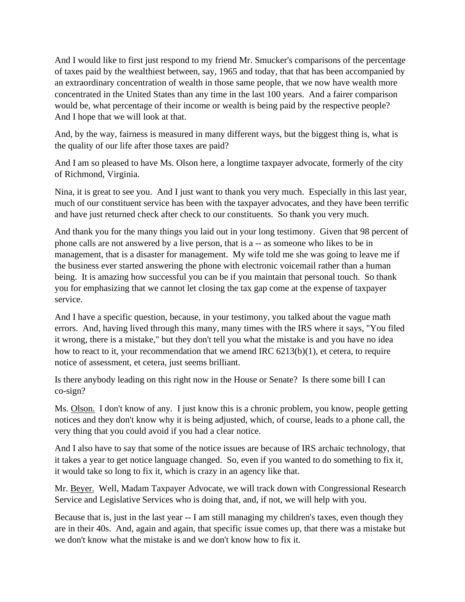And I would like to first just respond to my friend Mr. Smucker's comparisons of the percentage of taxes paid by the wealthiest between, say, 1965 and today, that that has been accompanied by an extraordinary concentration of wealth in those same people, that we now have wealth more concentrated in the United States than any time in the last 100 years. And a fairer comparison would be, what percentage of their income or wealth is being paid by the respective people? And I hope that we will look at that.

And, by the way, fairness is measured in many different ways, but the biggest thing is, what is the quality of our life after those taxes are paid?

And I am so pleased to have Ms. Olson here, a longtime taxpayer advocate, formerly of the city of Richmond, Virginia.

Nina, it is great to see you. And I just want to thank you very much. Especially in this last year, much of our constituent service has been with the taxpayer advocates, and they have been terrific and have just returned check after check to our constituents. So thank you very much.

And thank you for the many things you laid out in your long testimony. Given that 98 percent of phone calls are not answered by a live person, that is a -- as someone who likes to be in management, that is a disaster for management. My wife told me she was going to leave me if the business ever started answering the phone with electronic voicemail rather than a human being. It is amazing how successful you can be if you maintain that personal touch. So thank you for emphasizing that we cannot let closing the tax gap come at the expense of taxpayer service.

And I have a specific question, because, in your testimony, you talked about the vague math errors. And, having lived through this many, many times with the IRS where it says, "You filed it wrong, there is a mistake," but they don't tell you what the mistake is and you have no idea how to react to it, your recommendation that we amend IRC 6213(b)(1), et cetera, to require notice of assessment, et cetera, just seems brilliant.

Is there anybody leading on this right now in the House or Senate? Is there some bill I can co-sign?

Ms. Olson. I don't know of any. I just know this is a chronic problem, you know, people getting notices and they don't know why it is being adjusted, which, of course, leads to a phone call, the very thing that you could avoid if you had a clear notice.

And I also have to say that some of the notice issues are because of IRS archaic technology, that it takes a year to get notice language changed. So, even if you wanted to do something to fix it, it would take so long to fix it, which is crazy in an agency like that.

Mr. Beyer. Well, Madam Taxpayer Advocate, we will track down with Congressional Research Service and Legislative Services who is doing that, and, if not, we will help with you.

Because that is, just in the last year -- I am still managing my children's taxes, even though they are in their 40s. And, again and again, that specific issue comes up, that there was a mistake but we don't know what the mistake is and we don't know how to fix it.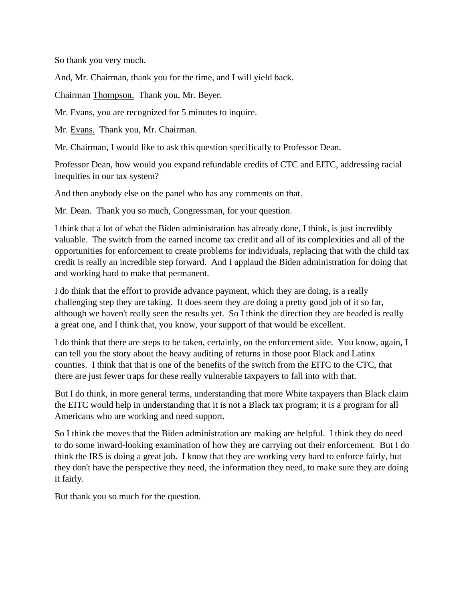So thank you very much.

And, Mr. Chairman, thank you for the time, and I will yield back.

Chairman Thompson. Thank you, Mr. Beyer.

Mr. Evans, you are recognized for 5 minutes to inquire.

Mr. Evans. Thank you, Mr. Chairman.

Mr. Chairman, I would like to ask this question specifically to Professor Dean.

Professor Dean, how would you expand refundable credits of CTC and EITC, addressing racial inequities in our tax system?

And then anybody else on the panel who has any comments on that.

Mr. Dean. Thank you so much, Congressman, for your question.

I think that a lot of what the Biden administration has already done, I think, is just incredibly valuable. The switch from the earned income tax credit and all of its complexities and all of the opportunities for enforcement to create problems for individuals, replacing that with the child tax credit is really an incredible step forward. And I applaud the Biden administration for doing that and working hard to make that permanent.

I do think that the effort to provide advance payment, which they are doing, is a really challenging step they are taking. It does seem they are doing a pretty good job of it so far, although we haven't really seen the results yet. So I think the direction they are headed is really a great one, and I think that, you know, your support of that would be excellent.

I do think that there are steps to be taken, certainly, on the enforcement side. You know, again, I can tell you the story about the heavy auditing of returns in those poor Black and Latinx counties. I think that that is one of the benefits of the switch from the EITC to the CTC, that there are just fewer traps for these really vulnerable taxpayers to fall into with that.

But I do think, in more general terms, understanding that more White taxpayers than Black claim the EITC would help in understanding that it is not a Black tax program; it is a program for all Americans who are working and need support.

So I think the moves that the Biden administration are making are helpful. I think they do need to do some inward-looking examination of how they are carrying out their enforcement. But I do think the IRS is doing a great job. I know that they are working very hard to enforce fairly, but they don't have the perspective they need, the information they need, to make sure they are doing it fairly.

But thank you so much for the question.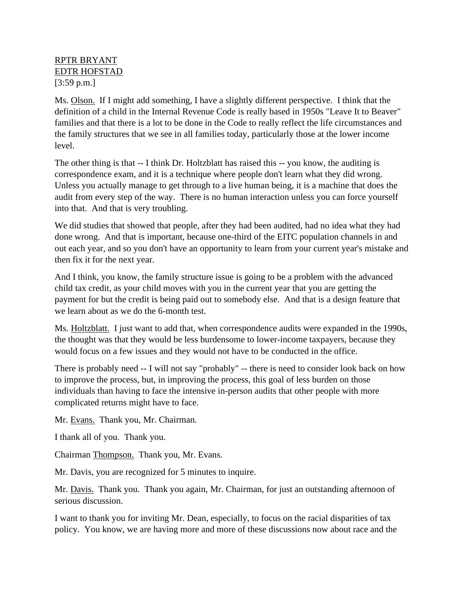## RPTR BRYANT EDTR HOFSTAD [3:59 p.m.]

Ms. Olson. If I might add something, I have a slightly different perspective. I think that the definition of a child in the Internal Revenue Code is really based in 1950s "Leave It to Beaver" families and that there is a lot to be done in the Code to really reflect the life circumstances and the family structures that we see in all families today, particularly those at the lower income level.

The other thing is that -- I think Dr. Holtzblatt has raised this -- you know, the auditing is correspondence exam, and it is a technique where people don't learn what they did wrong. Unless you actually manage to get through to a live human being, it is a machine that does the audit from every step of the way. There is no human interaction unless you can force yourself into that. And that is very troubling.

We did studies that showed that people, after they had been audited, had no idea what they had done wrong. And that is important, because one-third of the EITC population channels in and out each year, and so you don't have an opportunity to learn from your current year's mistake and then fix it for the next year.

And I think, you know, the family structure issue is going to be a problem with the advanced child tax credit, as your child moves with you in the current year that you are getting the payment for but the credit is being paid out to somebody else. And that is a design feature that we learn about as we do the 6-month test.

Ms. Holtzblatt. I just want to add that, when correspondence audits were expanded in the 1990s, the thought was that they would be less burdensome to lower-income taxpayers, because they would focus on a few issues and they would not have to be conducted in the office.

There is probably need -- I will not say "probably" -- there is need to consider look back on how to improve the process, but, in improving the process, this goal of less burden on those individuals than having to face the intensive in-person audits that other people with more complicated returns might have to face.

Mr. Evans. Thank you, Mr. Chairman.

I thank all of you. Thank you.

Chairman Thompson. Thank you, Mr. Evans.

Mr. Davis, you are recognized for 5 minutes to inquire.

Mr. Davis. Thank you. Thank you again, Mr. Chairman, for just an outstanding afternoon of serious discussion.

I want to thank you for inviting Mr. Dean, especially, to focus on the racial disparities of tax policy. You know, we are having more and more of these discussions now about race and the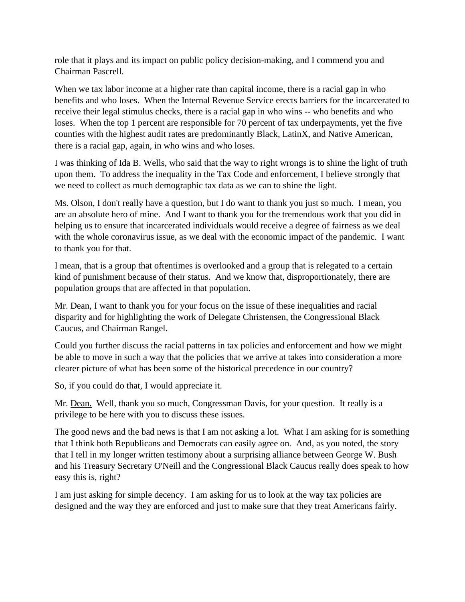role that it plays and its impact on public policy decision-making, and I commend you and Chairman Pascrell.

When we tax labor income at a higher rate than capital income, there is a racial gap in who benefits and who loses. When the Internal Revenue Service erects barriers for the incarcerated to receive their legal stimulus checks, there is a racial gap in who wins -- who benefits and who loses. When the top 1 percent are responsible for 70 percent of tax underpayments, yet the five counties with the highest audit rates are predominantly Black, LatinX, and Native American, there is a racial gap, again, in who wins and who loses.

I was thinking of Ida B. Wells, who said that the way to right wrongs is to shine the light of truth upon them. To address the inequality in the Tax Code and enforcement, I believe strongly that we need to collect as much demographic tax data as we can to shine the light.

Ms. Olson, I don't really have a question, but I do want to thank you just so much. I mean, you are an absolute hero of mine. And I want to thank you for the tremendous work that you did in helping us to ensure that incarcerated individuals would receive a degree of fairness as we deal with the whole coronavirus issue, as we deal with the economic impact of the pandemic. I want to thank you for that.

I mean, that is a group that oftentimes is overlooked and a group that is relegated to a certain kind of punishment because of their status. And we know that, disproportionately, there are population groups that are affected in that population.

Mr. Dean, I want to thank you for your focus on the issue of these inequalities and racial disparity and for highlighting the work of Delegate Christensen, the Congressional Black Caucus, and Chairman Rangel.

Could you further discuss the racial patterns in tax policies and enforcement and how we might be able to move in such a way that the policies that we arrive at takes into consideration a more clearer picture of what has been some of the historical precedence in our country?

So, if you could do that, I would appreciate it.

Mr. Dean. Well, thank you so much, Congressman Davis, for your question. It really is a privilege to be here with you to discuss these issues.

The good news and the bad news is that I am not asking a lot. What I am asking for is something that I think both Republicans and Democrats can easily agree on. And, as you noted, the story that I tell in my longer written testimony about a surprising alliance between George W. Bush and his Treasury Secretary O'Neill and the Congressional Black Caucus really does speak to how easy this is, right?

I am just asking for simple decency. I am asking for us to look at the way tax policies are designed and the way they are enforced and just to make sure that they treat Americans fairly.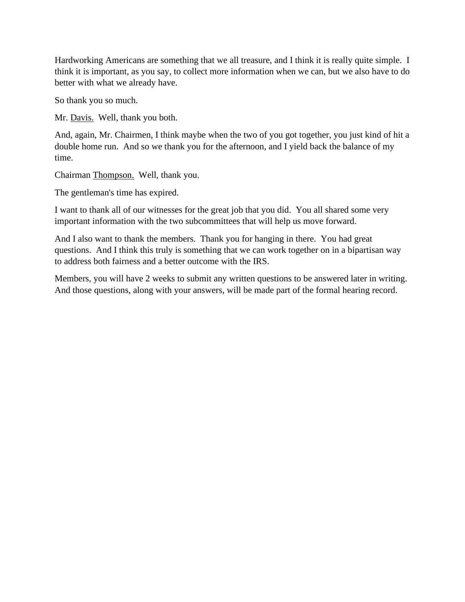Hardworking Americans are something that we all treasure, and I think it is really quite simple. I think it is important, as you say, to collect more information when we can, but we also have to do better with what we already have.

So thank you so much.

Mr. Davis. Well, thank you both.

And, again, Mr. Chairmen, I think maybe when the two of you got together, you just kind of hit a double home run. And so we thank you for the afternoon, and I yield back the balance of my time.

Chairman Thompson. Well, thank you.

The gentleman's time has expired.

I want to thank all of our witnesses for the great job that you did. You all shared some very important information with the two subcommittees that will help us move forward.

And I also want to thank the members. Thank you for hanging in there. You had great questions. And I think this truly is something that we can work together on in a bipartisan way to address both fairness and a better outcome with the IRS.

Members, you will have 2 weeks to submit any written questions to be answered later in writing. And those questions, along with your answers, will be made part of the formal hearing record.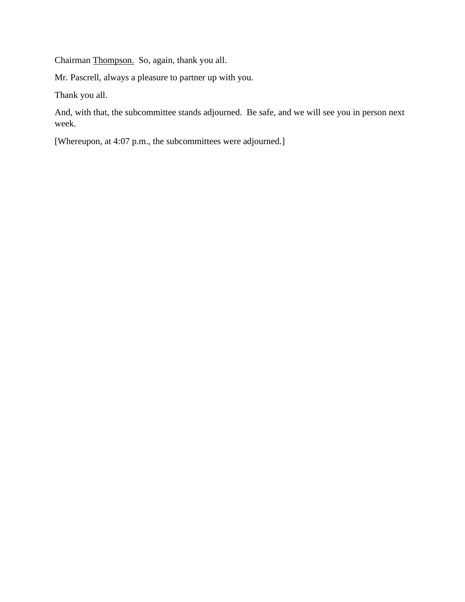Chairman Thompson. So, again, thank you all.

Mr. Pascrell, always a pleasure to partner up with you.

Thank you all.

And, with that, the subcommittee stands adjourned. Be safe, and we will see you in person next week.

[Whereupon, at 4:07 p.m., the subcommittees were adjourned.]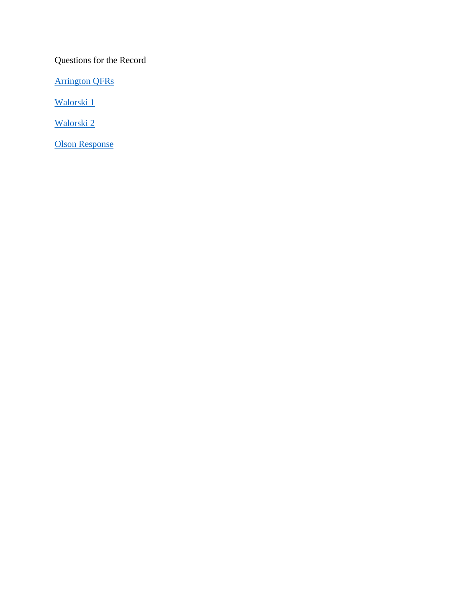Questions for the Record

[Arrington QFRs](https://waysandmeans.house.gov/sites/democrats.waysandmeans.house.gov/files/documents/Arrington%20QFRs.pdf)

[Walorski 1](https://waysandmeans.house.gov/sites/democrats.waysandmeans.house.gov/files/documents/Walorski%20QFRs.pdf)

[Walorski 2](https://waysandmeans.house.gov/sites/democrats.waysandmeans.house.gov/files/documents/Walorski%20Additional%20QFRs.pdf)

[Olson Response](https://waysandmeans.house.gov/sites/democrats.waysandmeans.house.gov/files/documents/Olson%20Response.pdf)